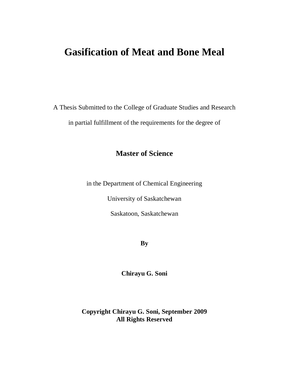# **Gasification of Meat and Bone Meal**

A Thesis Submitted to the College of Graduate Studies and Research in partial fulfillment of the requirements for the degree of

## **Master of Science**

in the Department of Chemical Engineering

University of Saskatchewan

Saskatoon, Saskatchewan

**By**

**Chirayu G. Soni**

**Copyright Chirayu G. Soni, September 2009 All Rights Reserved**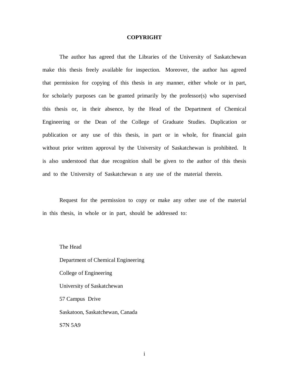#### **COPYRIGHT**

The author has agreed that the Libraries of the University of Saskatchewan make this thesis freely available for inspection. Moreover, the author has agreed that permission for copying of this thesis in any manner, either whole or in part, for scholarly purposes can be granted primarily by the professor(s) who supervised this thesis or, in their absence, by the Head of the Department of Chemical Engineering or the Dean of the College of Graduate Studies. Duplication or publication or any use of this thesis, in part or in whole, for financial gain without prior written approval by the University of Saskatchewan is prohibited. It is also understood that due recognition shall be given to the author of this thesis and to the University of Saskatchewan n any use of the material therein.

Request for the permission to copy or make any other use of the material in this thesis, in whole or in part, should be addressed to:

The Head Department of Chemical Engineering College of Engineering University of Saskatchewan 57 Campus Drive Saskatoon, Saskatchewan, Canada S7N 5A9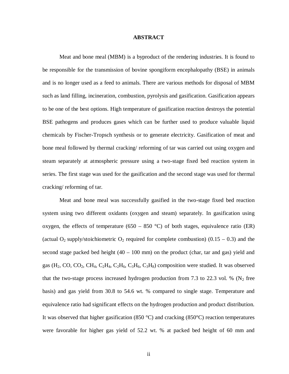#### **ABSTRACT**

Meat and bone meal (MBM) is a byproduct of the rendering industries. It is found to be responsible for the transmission of bovine spongiform encephalopathy (BSE) in animals and is no longer used as a feed to animals. There are various methods for disposal of MBM such as land filling, incineration, combustion, pyrolysis and gasification. Gasification appears to be one of the best options. High temperature of gasification reaction destroys the potential BSE pathogens and produces gases which can be further used to produce valuable liquid chemicals by Fischer-Tropsch synthesis or to generate electricity. Gasification of meat and bone meal followed by thermal cracking/ reforming of tar was carried out using oxygen and steam separately at atmospheric pressure using a two-stage fixed bed reaction system in series. The first stage was used for the gasification and the second stage was used for thermal cracking/ reforming of tar.

Meat and bone meal was successfully gasified in the two-stage fixed bed reaction system using two different oxidants (oxygen and steam) separately. In gasification using oxygen, the effects of temperature (650 – 850 °C) of both stages, equivalence ratio (ER) (actual  $O_2$  supply/stoichiometric  $O_2$  required for complete combustion) (0.15 – 0.3) and the second stage packed bed height  $(40 - 100 \text{ mm})$  on the product (char, tar and gas) yield and gas  $(H_2, CO, CO_2, CH_4, C_2H_4, C_2H_6, C_3H_6, C_3H_8)$  composition were studied. It was observed that the two-stage process increased hydrogen production from 7.3 to 22.3 vol. % ( $N_2$  free basis) and gas yield from 30.8 to 54.6 wt. % compared to single stage. Temperature and equivalence ratio had significant effects on the hydrogen production and product distribution. It was observed that higher gasification (850 °C) and cracking (850 °C) reaction temperatures were favorable for higher gas yield of 52.2 wt. % at packed bed height of 60 mm and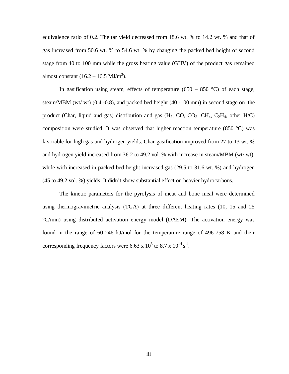equivalence ratio of 0.2. The tar yield decreased from 18.6 wt. % to 14.2 wt. % and that of gas increased from 50.6 wt. % to 54.6 wt. % by changing the packed bed height of second stage from 40 to 100 mm while the gross heating value (GHV) of the product gas remained almost constant  $(16.2 – 16.5 MJ/m<sup>3</sup>)$ .

In gasification using steam, effects of temperature (650 – 850 °C) of each stage, steam/MBM (wt/ wt) (0.4 -0.8), and packed bed height (40 -100 mm) in second stage on the product (Char, liquid and gas) distribution and gas  $(H_2, CO, CO_2, CH_4, C_2H_4, other H/C)$ composition were studied. It was observed that higher reaction temperature (850 °C) was favorable for high gas and hydrogen yields. Char gasification improved from 27 to 13 wt. % and hydrogen yield increased from 36.2 to 49.2 vol. % with increase in steam/MBM (wt/ wt), while with increased in packed bed height increased gas (29.5 to 31.6 wt. %) and hydrogen (45 to 49.2 vol. %) yields. It didn't show substantial effect on heavier hydrocarbons.

The kinetic parameters for the pyrolysis of meat and bone meal were determined using thermogravimetric analysis (TGA) at three different heating rates (10, 15 and 25 °C/min) using distributed activation energy model (DAEM). The activation energy was found in the range of 60-246 kJ/mol for the temperature range of 496-758 K and their corresponding frequency factors were 6.63 x  $10^3$  to 8.7 x  $10^{14}$  s<sup>-1</sup>.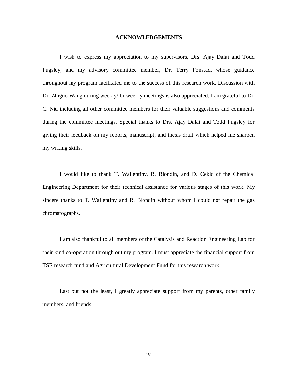#### **ACKNOWLEDGEMENTS**

I wish to express my appreciation to my supervisors, Drs. Ajay Dalai and Todd Pugsley, and my advisory committee member, Dr. Terry Fonstad, whose guidance throughout my program facilitated me to the success of this research work. Discussion with Dr. Zhiguo Wang during weekly/ bi-weekly meetings is also appreciated. I am grateful to Dr. C. Niu including all other committee members for their valuable suggestions and comments during the committee meetings. Special thanks to Drs. Ajay Dalai and Todd Pugsley for giving their feedback on my reports, manuscript, and thesis draft which helped me sharpen my writing skills.

I would like to thank T. Wallentiny, R. Blondin, and D. Cekic of the Chemical Engineering Department for their technical assistance for various stages of this work. My sincere thanks to T. Wallentiny and R. Blondin without whom I could not repair the gas chromatographs.

I am also thankful to all members of the Catalysis and Reaction Engineering Lab for their kind co-operation through out my program. I must appreciate the financial support from TSE research fund and Agricultural Development Fund for this research work.

Last but not the least, I greatly appreciate support from my parents, other family members, and friends.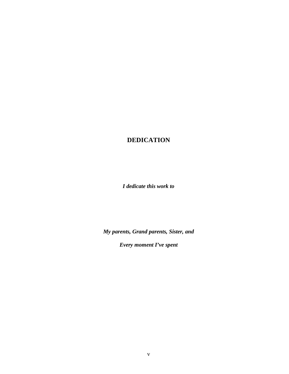### **DEDICATION**

*I dedicate this work to* 

*My parents, Grand parents, Sister, and* 

*Every moment I've spent*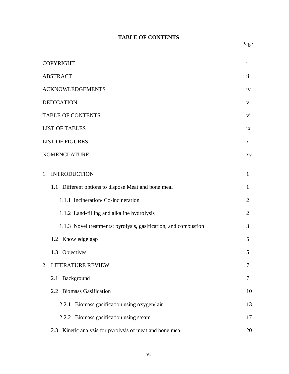### **TABLE OF CONTENTS**

| <b>COPYRIGHT</b>                                                | $\mathbf{i}$   |
|-----------------------------------------------------------------|----------------|
| <b>ABSTRACT</b>                                                 | ii             |
| <b>ACKNOWLEDGEMENTS</b>                                         | iv             |
| <b>DEDICATION</b>                                               | V              |
| <b>TABLE OF CONTENTS</b>                                        | vi             |
| <b>LIST OF TABLES</b>                                           | ix             |
| <b>LIST OF FIGURES</b>                                          | xi             |
| <b>NOMENCLATURE</b>                                             | XV             |
| 1. INTRODUCTION                                                 | $\mathbf{1}$   |
| 1.1 Different options to dispose Meat and bone meal             | $\mathbf{1}$   |
| 1.1.1 Incineration/Co-incineration                              | $\overline{2}$ |
| 1.1.2 Land-filling and alkaline hydrolysis                      | $\overline{2}$ |
| 1.1.3 Novel treatments: pyrolysis, gasification, and combustion | 3              |
| 1.2 Knowledge gap                                               | 5              |
| 1.3 Objectives                                                  | 5              |
| 2. LITERATURE REVIEW                                            | 7              |
| 2.1 Background                                                  | 7              |
| 2.2 Biomass Gasification                                        | 10             |
| 2.2.1 Biomass gasification using oxygen/air                     | 13             |
| 2.2.2 Biomass gasification using steam                          | 17             |
| 2.3 Kinetic analysis for pyrolysis of meat and bone meal        | 20             |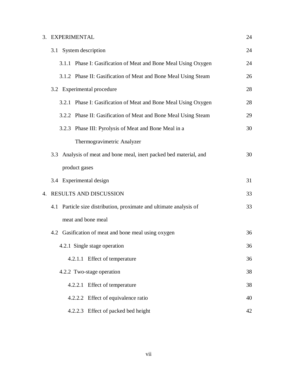### 3. EXPERIMENTAL 24

|    | 3.1 System description                                                | 24 |
|----|-----------------------------------------------------------------------|----|
|    | 3.1.1 Phase I: Gasification of Meat and Bone Meal Using Oxygen        | 24 |
|    | 3.1.2 Phase II: Gasification of Meat and Bone Meal Using Steam        | 26 |
|    | 3.2 Experimental procedure                                            | 28 |
|    | 3.2.1 Phase I: Gasification of Meat and Bone Meal Using Oxygen        | 28 |
|    | 3.2.2 Phase II: Gasification of Meat and Bone Meal Using Steam        | 29 |
|    | 3.2.3 Phase III: Pyrolysis of Meat and Bone Meal in a                 | 30 |
|    | Thermogravimetric Analyzer                                            |    |
|    | Analysis of meat and bone meal, inert packed bed material, and<br>3.3 | 30 |
|    | product gases                                                         |    |
|    | 3.4 Experimental design                                               | 31 |
| 4. | RESULTS AND DISCUSSION                                                | 33 |
|    | 4.1 Particle size distribution, proximate and ultimate analysis of    | 33 |
|    | meat and bone meal                                                    |    |
|    | 4.2 Gasification of meat and bone meal using oxygen                   | 36 |
|    | 4.2.1 Single stage operation                                          | 36 |
|    | 4.2.1.1 Effect of temperature                                         | 36 |
|    | 4.2.2 Two-stage operation                                             | 38 |
|    | 4.2.2.1 Effect of temperature                                         | 38 |
|    | 4.2.2.2 Effect of equivalence ratio                                   | 40 |
|    | 4.2.2.3 Effect of packed bed height                                   | 42 |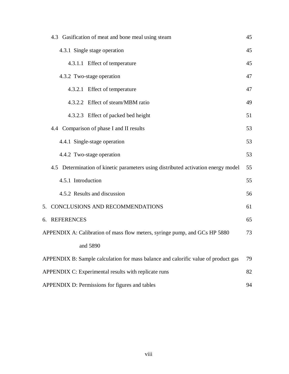| 4.3 Gasification of meat and bone meal using steam                                 | 45 |  |  |  |
|------------------------------------------------------------------------------------|----|--|--|--|
| 45<br>4.3.1 Single stage operation                                                 |    |  |  |  |
| 4.3.1.1 Effect of temperature<br>45                                                |    |  |  |  |
| 4.3.2 Two-stage operation                                                          | 47 |  |  |  |
| 4.3.2.1 Effect of temperature                                                      | 47 |  |  |  |
| 4.3.2.2 Effect of steam/MBM ratio                                                  | 49 |  |  |  |
| 4.3.2.3 Effect of packed bed height                                                | 51 |  |  |  |
| 4.4 Comparison of phase I and II results                                           | 53 |  |  |  |
| 4.4.1 Single-stage operation                                                       | 53 |  |  |  |
| 4.4.2 Two-stage operation                                                          | 53 |  |  |  |
| 4.5 Determination of kinetic parameters using distributed activation energy model  | 55 |  |  |  |
| 4.5.1 Introduction                                                                 | 55 |  |  |  |
| 4.5.2 Results and discussion                                                       | 56 |  |  |  |
| 5. CONCLUSIONS AND RECOMMENDATIONS                                                 | 61 |  |  |  |
| 6. REFERENCES                                                                      | 65 |  |  |  |
| APPENDIX A: Calibration of mass flow meters, syringe pump, and GCs HP 5880         | 73 |  |  |  |
| and 5890                                                                           |    |  |  |  |
| APPENDIX B: Sample calculation for mass balance and calorific value of product gas | 79 |  |  |  |
| APPENDIX C: Experimental results with replicate runs                               | 82 |  |  |  |
| APPENDIX D: Permissions for figures and tables                                     | 94 |  |  |  |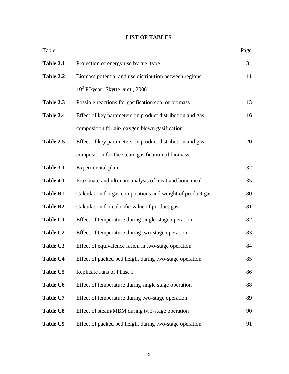### **LIST OF TABLES**

| Table           |                                                            | Page |
|-----------------|------------------------------------------------------------|------|
| Table 2.1       | Projection of energy use by fuel type                      | 8    |
| Table 2.2       | Biomass potential and use distribution between regions,    | 11   |
|                 | $10^3$ PJ/year [Skytte <i>et al.</i> , 2006]               |      |
| Table 2.3       | Possible reactions for gasification coal or biomass        | 13   |
| Table 2.4       | Effect of key parameters on product distribution and gas   | 16   |
|                 | composition for air/ oxygen blown gasification             |      |
| Table 2.5       | Effect of key parameters on product distribution and gas   | 20   |
|                 | composition for the steam gasification of biomass          |      |
| Table 3.1       | Experimental plan                                          | 32   |
| Table 4.1       | Proximate and ultimate analysis of meat and bone meal      | 35   |
| <b>Table B1</b> | Calculation for gas compositions and weight of product gas | 80   |
| <b>Table B2</b> | Calculation for calorific value of product gas             | 81   |
| <b>Table C1</b> | Effect of temperature during single-stage operation        | 82   |
| <b>Table C2</b> | Effect of temperature during two-stage operation           | 83   |
| Table C3        | Effect of equivalence ration in two-stage operation        | 84   |
| <b>Table C4</b> | Effect of packed bed height during two-stage operation     | 85   |
| <b>Table C5</b> | Replicate runs of Phase I                                  | 86   |
| <b>Table C6</b> | Effect of temperature during single stage operation        | 88   |
| <b>Table C7</b> | Effect of temperature during two-stage operation           | 89   |
| <b>Table C8</b> | Effect of steam/MBM during two-stage operation             | 90   |
| <b>Table C9</b> | Effect of packed bed height during two-stage operation     | 91   |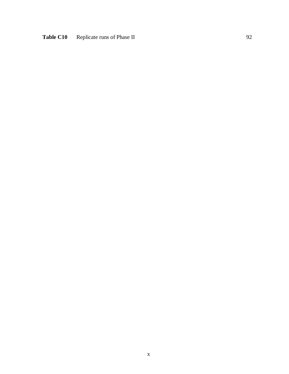# Table C10 Replicate runs of Phase II 92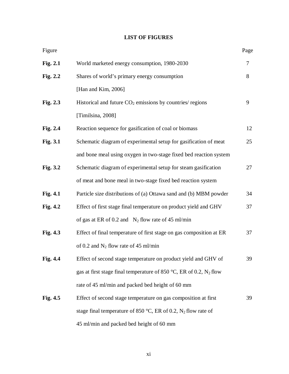### **LIST OF FIGURES**

| Figure     |                                                                       | Page |
|------------|-----------------------------------------------------------------------|------|
| Fig. 2.1   | World marketed energy consumption, 1980-2030                          | 7    |
| Fig. 2.2   | Shares of world's primary energy consumption                          | 8    |
|            | [Han and Kim, 2006]                                                   |      |
| Fig. $2.3$ | Historical and future $CO2$ emissions by countries/ regions           | 9    |
|            | [Timilsina, 2008]                                                     |      |
| Fig. 2.4   | Reaction sequence for gasification of coal or biomass                 | 12   |
| Fig. 3.1   | Schematic diagram of experimental setup for gasification of meat      | 25   |
|            | and bone meal using oxygen in two-stage fixed bed reaction system     |      |
| Fig. 3.2   | Schematic diagram of experimental setup for steam gasification        | 27   |
|            | of meat and bone meal in two-stage fixed bed reaction system          |      |
| Fig. 4.1   | Particle size distributions of (a) Ottawa sand and (b) MBM powder     | 34   |
| Fig. 4.2   | Effect of first stage final temperature on product yield and GHV      | 37   |
|            | of gas at ER of 0.2 and $N_2$ flow rate of 45 ml/min                  |      |
| Fig. 4.3   | Effect of final temperature of first stage on gas composition at ER   | 37   |
|            | of 0.2 and $N_2$ flow rate of 45 ml/min                               |      |
| Fig. 4.4   | Effect of second stage temperature on product yield and GHV of        | 39   |
|            | gas at first stage final temperature of 850 °C, ER of 0.2, $N_2$ flow |      |
|            | rate of 45 ml/min and packed bed height of 60 mm                      |      |
| Fig. $4.5$ | Effect of second stage temperature on gas composition at first        | 39   |
|            | stage final temperature of 850 °C, ER of 0.2, $N_2$ flow rate of      |      |
|            | 45 ml/min and packed bed height of 60 mm                              |      |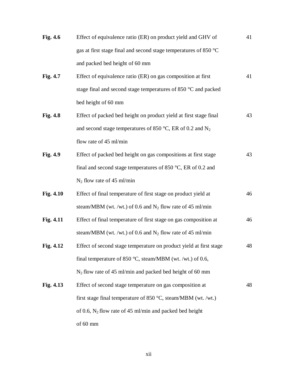| Fig. 4.6        | Effect of equivalence ratio (ER) on product yield and GHV of           | 41 |
|-----------------|------------------------------------------------------------------------|----|
|                 | gas at first stage final and second stage temperatures of 850 °C       |    |
|                 | and packed bed height of 60 mm                                         |    |
| Fig. 4.7        | Effect of equivalence ratio (ER) on gas composition at first           | 41 |
|                 | stage final and second stage temperatures of 850 °C and packed         |    |
|                 | bed height of 60 mm                                                    |    |
| <b>Fig. 4.8</b> | Effect of packed bed height on product yield at first stage final      | 43 |
|                 | and second stage temperatures of 850 °C, ER of 0.2 and $N_2$           |    |
|                 | flow rate of 45 ml/min                                                 |    |
| Fig. 4.9        | Effect of packed bed height on gas compositions at first stage         | 43 |
|                 | final and second stage temperatures of 850 $^{\circ}$ C, ER of 0.2 and |    |
|                 | $N_2$ flow rate of 45 ml/min                                           |    |
| Fig. 4.10       | Effect of final temperature of first stage on product yield at         | 46 |
|                 | steam/MBM (wt. /wt.) of 0.6 and $N_2$ flow rate of 45 ml/min           |    |
| Fig. 4.11       | Effect of final temperature of first stage on gas composition at       | 46 |
|                 | steam/MBM (wt. /wt.) of 0.6 and $N_2$ flow rate of 45 ml/min           |    |
| Fig. 4.12       | Effect of second stage temperature on product yield at first stage     | 48 |
|                 | final temperature of 850 °C, steam/MBM (wt. /wt.) of 0.6,              |    |
|                 | $N_2$ flow rate of 45 ml/min and packed bed height of 60 mm            |    |
| Fig. 4.13       | Effect of second stage temperature on gas composition at               | 48 |
|                 | first stage final temperature of 850 $\degree$ C, steam/MBM (wt. /wt.) |    |
|                 | of 0.6, $N_2$ flow rate of 45 ml/min and packed bed height             |    |
|                 | of 60 mm                                                               |    |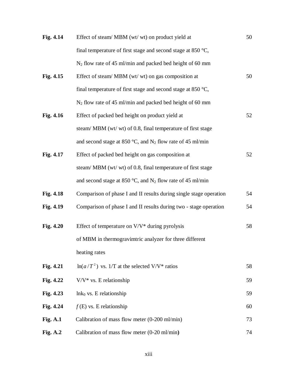| Fig. 4.14  | Effect of steam/ MBM (wt/ wt) on product yield at                      | 50 |
|------------|------------------------------------------------------------------------|----|
|            | final temperature of first stage and second stage at 850 $^{\circ}C$ , |    |
|            | $N_2$ flow rate of 45 ml/min and packed bed height of 60 mm            |    |
| Fig. 4.15  | Effect of steam/ MBM (wt/ wt) on gas composition at                    | 50 |
|            | final temperature of first stage and second stage at 850 $^{\circ}C$ , |    |
|            | $N_2$ flow rate of 45 ml/min and packed bed height of 60 mm            |    |
| Fig. 4.16  | Effect of packed bed height on product yield at                        | 52 |
|            | steam/ MBM (wt/ wt) of 0.8, final temperature of first stage           |    |
|            | and second stage at 850 °C, and $N_2$ flow rate of 45 ml/min           |    |
| Fig. 4.17  | Effect of packed bed height on gas composition at                      | 52 |
|            | steam/ MBM (wt/ wt) of 0.8, final temperature of first stage           |    |
|            | and second stage at 850 °C, and $N_2$ flow rate of 45 ml/min           |    |
| Fig. 4.18  | Comparison of phase I and II results during single stage operation     | 54 |
| Fig. 4.19  | Comparison of phase I and II results during two - stage operation      | 54 |
| Fig. 4.20  | Effect of temperature on $V/V^*$ during pyrolysis                      | 58 |
|            | of MBM in thermogravimtric analyzer for three different                |    |
|            | heating rates                                                          |    |
| Fig. 4.21  | $\ln(a/T^2)$ vs. 1/T at the selected V/V* ratios                       | 58 |
| Fig. 4.22  | $V/V^*$ vs. E relationship                                             | 59 |
| Fig. 4.23  | $ln k_0$ vs. E relationship                                            | 59 |
| Fig. 4.24  | $f(E)$ vs. E relationship                                              | 60 |
| Fig. $A.1$ | Calibration of mass flow meter $(0-200 \text{ ml/min})$                | 73 |
| Fig. $A.2$ | Calibration of mass flow meter $(0-20 \text{ ml/min})$                 | 74 |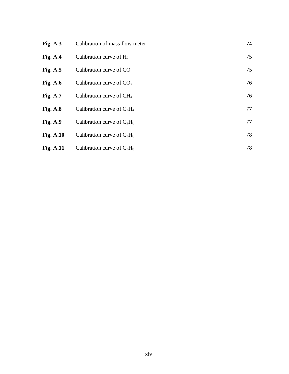| <b>Fig. A.3</b>  | Calibration of mass flow meter |    |  |  |
|------------------|--------------------------------|----|--|--|
| Fig. $A.4$       | Calibration curve of $H_2$     | 75 |  |  |
| Fig. $A.5$       | Calibration curve of CO        | 75 |  |  |
| Fig. $A.6$       | Calibration curve of $CO2$     | 76 |  |  |
| <b>Fig. A.7</b>  | Calibration curve of $CH4$     | 76 |  |  |
| Fig. $A.8$       | Calibration curve of $C_2H_4$  | 77 |  |  |
| <b>Fig. A.9</b>  | Calibration curve of $C_2H_6$  | 77 |  |  |
| <b>Fig. A.10</b> | Calibration curve of $C_3H_6$  | 78 |  |  |
| <b>Fig. A.11</b> | Calibration curve of $C_3H_8$  | 78 |  |  |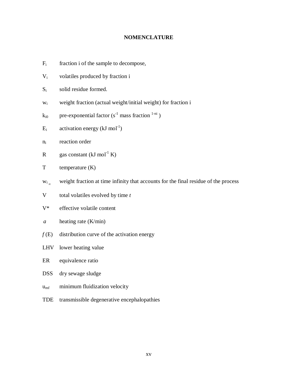#### **NOMENCLATURE**

- $F_i$  fraction i of the sample to decompose,
- V<sup>i</sup> volatiles produced by fraction i
- S<sub>i</sub> solid residue formed.
- w<sup>i</sup> weight fraction (actual weight/initial weight) for fraction i
- $k_{i0}$  pre-exponential factor (s<sup>-1</sup> mass fraction  $1-ni$ )
- $E_i$  activation energy (kJ mol<sup>-1</sup>)
- n<sup>i</sup> reaction order
- R gas constant  $(kJ \text{ mol}^{-1} K)$
- T temperature (K)
- $W_i$ <sub>m</sub> weight fraction at time infinity that accounts for the final residue of the process
- V total volatiles evolved by time *t*
- V\* effective volatile content
- *a* heating rate (K/min)
- $f(E)$  distribution curve of the activation energy
- LHV lower heating value
- ER equivalence ratio
- DSS dry sewage sludge
- $u_{\text{mf}}$  minimum fluidization velocity
- TDE transmissible degenerative encephalopathies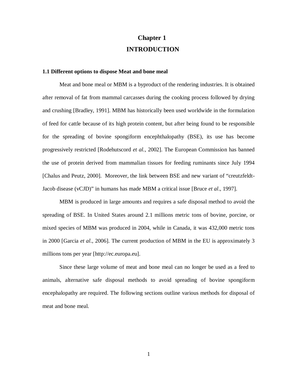# **Chapter 1 INTRODUCTION**

#### **1.1 Different options to dispose Meat and bone meal**

Meat and bone meal or MBM is a byproduct of the rendering industries. It is obtained after removal of fat from mammal carcasses during the cooking process followed by drying and crushing [Bradley, 1991]. MBM has historically been used worldwide in the formulation of feed for cattle because of its high protein content, but after being found to be responsible for the spreading of bovine spongiform encephthalopathy (BSE), its use has become progressively restricted [Rodehutscord *et al.*, 2002]. The European Commission has banned the use of protein derived from mammalian tissues for feeding ruminants since July 1994 [Chalus and Peutz, 2000]. Moreover, the link between BSE and new variant of "creutzfeldt-Jacob disease (vCJD)" in humans has made MBM a critical issue [Bruce *et al*., 1997].

MBM is produced in large amounts and requires a safe disposal method to avoid the spreading of BSE. In United States around 2.1 millions metric tons of bovine, porcine, or mixed species of MBM was produced in 2004, while in Canada, it was 432,000 metric tons in 2000 [Garcia *et al*., 2006]. The current production of MBM in the EU is approximately 3 millions tons per year [http://ec.europa.eu].

Since these large volume of meat and bone meal can no longer be used as a feed to animals, alternative safe disposal methods to avoid spreading of bovine spongiform encephalopathy are required. The following sections outline various methods for disposal of meat and bone meal.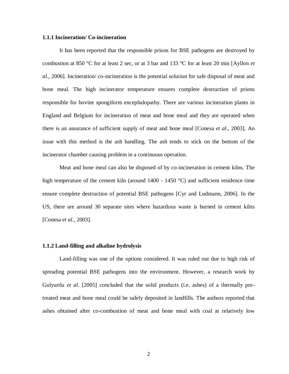#### **1.1.1 Incineration/ Co-incineration**

It has been reported that the responsible prions for BSE pathogens are destroyed by combustion at 850 °C for at least 2 sec, or at 3 bar and 133 °C for at least 20 min [Ayllon *et al*., 2006]. Incineration/ co-incineration is the potential solution for safe disposal of meat and bone meal. The high incinerator temperature ensures complete destruction of prions responsible for bovine spongiform encephalopathy. There are various incineration plants in England and Belgium for incineration of meat and bone meal and they are operated when there is an assurance of sufficient supply of meat and bone meal [Conesa *et al*., 2003]. An issue with this method is the ash handling. The ash tends to stick on the bottom of the incinerator chamber causing problem in a continuous operation.

Meat and bone meal can also be disposed of by co-incineration in cement kilns. The high temperature of the cement kiln (around  $1400 - 1450$  °C) and sufficient residence time ensure complete destruction of potential BSE pathogens [Cyr and Ludmann, 2006]. In the US, there are around 30 separate sites where hazardous waste is burned in cement kilns [Conesa *et al*., 2003].

#### **1.1.2 Land-filling and alkaline hydrolysis**

Land-filling was one of the options considered. It was ruled out due to high risk of spreading potential BSE pathogens into the environment. However, a research work by Gulyurtlu *et al*. [2005] concluded that the solid products (i.e. ashes) of a thermally pretreated meat and bone meal could be safely deposited in landfills. The authors reported that ashes obtained after co-combustion of meat and bone meal with coal at relatively low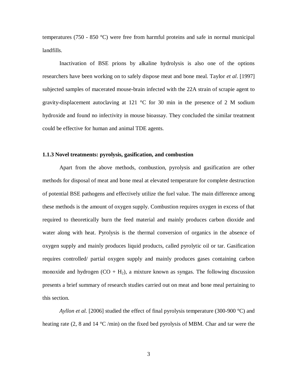temperatures (750 - 850 °C) were free from harmful proteins and safe in normal municipal landfills.

Inactivation of BSE prions by alkaline hydrolysis is also one of the options researchers have been working on to safely dispose meat and bone meal. Taylor *et al*. [1997] subjected samples of macerated mouse-brain infected with the 22A strain of scrapie agent to gravity-displacement autoclaving at 121  $\degree$ C for 30 min in the presence of 2 M sodium hydroxide and found no infectivity in mouse bioassay. They concluded the similar treatment could be effective for human and animal TDE agents.

#### **1.1.3 Novel treatments: pyrolysis, gasification, and combustion**

Apart from the above methods, combustion, pyrolysis and gasification are other methods for disposal of meat and bone meal at elevated temperature for complete destruction of potential BSE pathogens and effectively utilize the fuel value. The main difference among these methods is the amount of oxygen supply. Combustion requires oxygen in excess of that required to theoretically burn the feed material and mainly produces carbon dioxide and water along with heat. Pyrolysis is the thermal conversion of organics in the absence of oxygen supply and mainly produces liquid products, called pyrolytic oil or tar. Gasification requires controlled/ partial oxygen supply and mainly produces gases containing carbon monoxide and hydrogen  $(CO + H_2)$ , a mixture known as syngas. The following discussion presents a brief summary of research studies carried out on meat and bone meal pertaining to this section.

*Ayllon et al.* [2006] studied the effect of final pyrolysis temperature (300-900 °C) and heating rate (2, 8 and 14 °C /min) on the fixed bed pyrolysis of MBM. Char and tar were the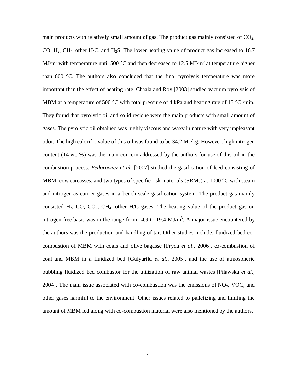main products with relatively small amount of gas. The product gas mainly consisted of  $CO<sub>2</sub>$ , CO,  $H_2$ , CH<sub>4</sub>, other H/C, and H<sub>2</sub>S. The lower heating value of product gas increased to 16.7 MJ/m<sup>3</sup> with temperature until 500 °C and then decreased to 12.5 MJ/m<sup>3</sup> at temperature higher than 600 °C. The authors also concluded that the final pyrolysis temperature was more important than the effect of heating rate. Chaala and Roy [2003] studied vacuum pyrolysis of MBM at a temperature of 500 °C with total pressure of 4 kPa and heating rate of 15 °C/min. They found that pyrolytic oil and solid residue were the main products with small amount of gases. The pyrolytic oil obtained was highly viscous and waxy in nature with very unpleasant odor. The high calorific value of this oil was found to be 34.2 MJ/kg. However, high nitrogen content (14 wt. %) was the main concern addressed by the authors for use of this oil in the combustion process. *Fedorowicz et al*. [2007] studied the gasification of feed consisting of MBM, cow carcasses, and two types of specific risk materials (SRMs) at  $1000^{\circ}$ C with steam and nitrogen as carrier gases in a bench scale gasification system. The product gas mainly consisted  $H_2$ , CO, CO<sub>2</sub>, CH<sub>4</sub>, other H/C gases. The heating value of the product gas on nitrogen free basis was in the range from 14.9 to 19.4  $MJ/m<sup>3</sup>$ . A major issue encountered by the authors was the production and handling of tar. Other studies include: fluidized bed cocombustion of MBM with coals and olive bagasse [Fryda *et al*., 2006], co-combustion of coal and MBM in a fluidized bed [Gulyurtlu *et al*., 2005], and the use of atmospheric bubbling fluidized bed combustor for the utilization of raw animal wastes [Pilawska *et al*., 2004]. The main issue associated with co-combustion was the emissions of  $NO_x$ , VOC, and other gases harmful to the environment. Other issues related to palletizing and limiting the amount of MBM fed along with co-combustion material were also mentioned by the authors.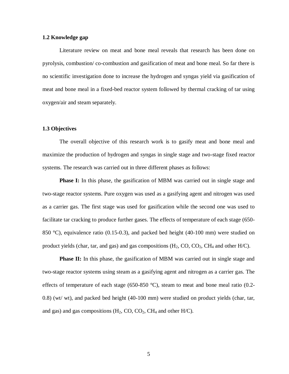#### **1.2 Knowledge gap**

Literature review on meat and bone meal reveals that research has been done on pyrolysis, combustion/ co-combustion and gasification of meat and bone meal. So far there is no scientific investigation done to increase the hydrogen and syngas yield via gasification of meat and bone meal in a fixed-bed reactor system followed by thermal cracking of tar using oxygen/air and steam separately.

#### **1.3 Objectives**

The overall objective of this research work is to gasify meat and bone meal and maximize the production of hydrogen and syngas in single stage and two-stage fixed reactor systems. The research was carried out in three different phases as follows:

**Phase I:** In this phase, the gasification of MBM was carried out in single stage and two-stage reactor systems. Pure oxygen was used as a gasifying agent and nitrogen was used as a carrier gas. The first stage was used for gasification while the second one was used to facilitate tar cracking to produce further gases. The effects of temperature of each stage (650- 850 °C), equivalence ratio (0.15-0.3), and packed bed height (40-100 mm) were studied on product yields (char, tar, and gas) and gas compositions  $(H_2, CO, CO_2, CH_4$  and other  $H/C$ ).

**Phase II:** In this phase, the gasification of MBM was carried out in single stage and two-stage reactor systems using steam as a gasifying agent and nitrogen as a carrier gas. The effects of temperature of each stage (650-850  $^{\circ}$ C), steam to meat and bone meal ratio (0.2-0.8) (wt/ wt), and packed bed height (40-100 mm) were studied on product yields (char, tar, and gas) and gas compositions  $(H_2, CO, CO_2, CH_4$  and other  $H/C$ ).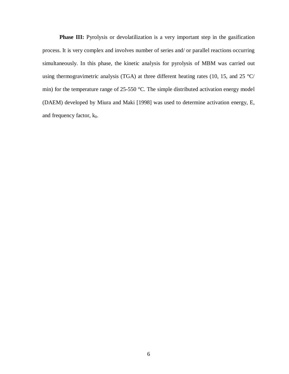**Phase III:** Pyrolysis or devolatilization is a very important step in the gasification process. It is very complex and involves number of series and/ or parallel reactions occurring simultaneously. In this phase, the kinetic analysis for pyrolysis of MBM was carried out using thermogravimetric analysis (TGA) at three different heating rates (10, 15, and 25  $^{\circ}$ C/ min) for the temperature range of 25-550 °C. The simple distributed activation energy model (DAEM) developed by Miura and Maki [1998] was used to determine activation energy, E, and frequency factor,  $k_0$ .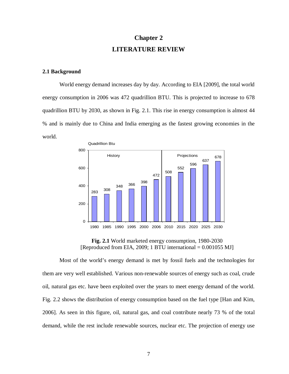# **Chapter 2 LITERATURE REVIEW**

#### **2.1 Background**

World energy demand increases day by day. According to EIA [2009], the total world energy consumption in 2006 was 472 quadrillion BTU. This is projected to increase to 678 quadrillion BTU by 2030, as shown in Fig. 2.1. This rise in energy consumption is almost 44 % and is mainly due to China and India emerging as the fastest growing economies in the world.



**Fig. 2.1** World marketed energy consumption, 1980-2030 [Reproduced from EIA, 2009; 1 BTU international  $= 0.001055$  MJ]

Most of the world's energy demand is met by fossil fuels and the technologies for them are very well established. Various non-renewable sources of energy such as coal, crude oil, natural gas etc. have been exploited over the years to meet energy demand of the world. Fig. 2.2 shows the distribution of energy consumption based on the fuel type [Han and Kim, 2006]. As seen in this figure, oil, natural gas, and coal contribute nearly 73 % of the total demand, while the rest include renewable sources, nuclear etc. The projection of energy use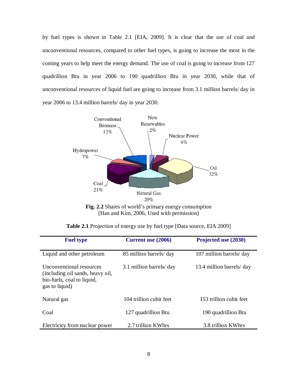by fuel types is shown in Table 2.1 [EIA, 2009]. It is clear that the use of coal and unconventional resources, compared to other fuel types, is going to increase the most in the coming years to help meet the energy demand. The use of coal is going to increase from 127 quadrillion Btu in year 2006 to 190 quadrillion Btu in year 2030, while that of unconventional resources of liquid fuel are going to increase from 3.1 million barrels/ day in year 2006 to 13.4 million barrels/ day in year 2030.



[Han and Kim, 2006, Used with permission]

|  |  |  | Table 2.1 Projection of energy use by fuel type [Data source, EIA 2009] |
|--|--|--|-------------------------------------------------------------------------|
|--|--|--|-------------------------------------------------------------------------|

| <b>Fuel type</b>                                                                                             | <b>Current use (2006)</b> | Projected use (2030)     |
|--------------------------------------------------------------------------------------------------------------|---------------------------|--------------------------|
| Liquid and other petroleum                                                                                   | 85 million barrels/day    | 107 million barrels/day  |
| Unconventional resources<br>(including oil sands, heavy oil,<br>bio-fuels, coal to liquid,<br>gas to liquid) | 3.1 million barrels/day   | 13.4 million barrels/day |
| Natural gas                                                                                                  | 104 trillion cubit feet   | 153 trillion cubit feet  |
| Coal                                                                                                         | 127 quadrillion Btu       | 190 quadrillion Btu      |
| Electricity from nuclear power                                                                               | 2.7 trillion KWhrs        | 3.8 trillion KWhrs       |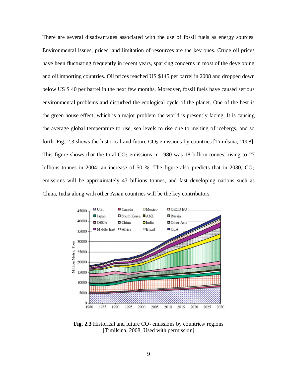There are several disadvantages associated with the use of fossil fuels as energy sources. Environmental issues, prices, and limitation of resources are the key ones. Crude oil prices have been fluctuating frequently in recent years, sparking concerns in most of the developing and oil importing countries. Oil prices reached US \$145 per barrel in 2008 and dropped down below US \$ 40 per barrel in the next few months. Moreover, fossil fuels have caused serious environmental problems and disturbed the ecological cycle of the planet. One of the best is the green house effect, which is a major problem the world is presently facing. It is causing the average global temperature to rise, sea levels to rise due to melting of icebergs, and so forth. Fig. 2.3 shows the historical and future  $CO<sub>2</sub>$  emissions by countries [Timilsina, 2008]. This figure shows that the total  $CO<sub>2</sub>$  emissions in 1980 was 18 billion tonnes, rising to 27 billions tonnes in 2004; an increase of 50 %. The figure also predicts that in 2030,  $CO<sub>2</sub>$ emissions will be approximately 43 billions tonnes, and fast developing nations such as China, India along with other Asian countries will be the key contributors.



**Fig. 2.3** Historical and future  $CO<sub>2</sub>$  emissions by countries/ regions [Timilsina, 2008, Used with permission]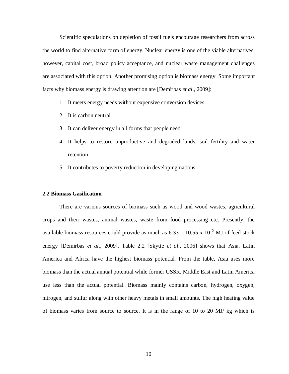Scientific speculations on depletion of fossil fuels encourage researchers from across the world to find alternative form of energy. Nuclear energy is one of the viable alternatives, however, capital cost, broad policy acceptance, and nuclear waste management challenges are associated with this option. Another promising option is biomass energy. Some important facts why biomass energy is drawing attention are [Demirbas *et al*., 2009]:

- 1. It meets energy needs without expensive conversion devices
- 2. It is carbon neutral
- 3. It can deliver energy in all forms that people need
- 4. It helps to restore unproductive and degraded lands, soil fertility and water retention
- 5. It contributes to poverty reduction in developing nations

#### **2.2 Biomass Gasification**

There are various sources of biomass such as wood and wood wastes, agricultural crops and their wastes, animal wastes, waste from food processing etc. Presently, the available biomass resources could provide as much as  $6.33 - 10.55 \times 10^{12}$  MJ of feed-stock energy [Demirbas *et al*., 2009]. Table 2.2 [Skytte *et al*., 2006] shows that Asia, Latin America and Africa have the highest biomass potential. From the table, Asia uses more biomass than the actual annual potential while former USSR, Middle East and Latin America use less than the actual potential. Biomass mainly contains carbon, hydrogen, oxygen, nitrogen, and sulfur along with other heavy metals in small amounts. The high heating value of biomass varies from source to source. It is in the range of 10 to 20 MJ/ kg which is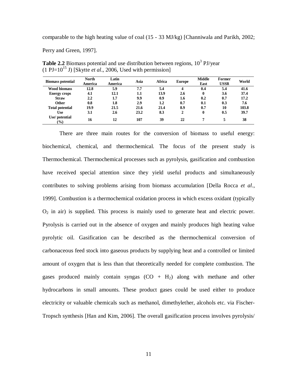comparable to the high heating value of coal (15 - 33 MJ/kg) [Channiwala and Parikh, 2002;

Perry and Green, 1997].

| <b>Biomass potential</b> | North<br>America | Latin<br>America | Asia | Africa | <b>Europe</b> | <b>Middle</b><br>East | Former<br><b>USSR</b> | World |
|--------------------------|------------------|------------------|------|--------|---------------|-----------------------|-----------------------|-------|
| <b>Wood biomass</b>      | 12.8             | 5.9              | 7.7  | 5.4    | 4             | 0.4                   | 5.4                   | 41.6  |
| <b>Energy crops</b>      | 4.1              | 12.1             | 1.1  | 13.9   | 2.6           | 0                     | 3.6                   | 37.4  |
| <b>Straw</b>             | 2.2              | 1.7              | 9.9  | 0.9    | 1.6           | 0.2                   | 0.7                   | 17.2  |
| <b>Other</b>             | 0.8              | 1.8              | 2.9  | 1.2    | 0.7           | 0.1                   | 0.3                   | 7.6   |
| <b>Total potential</b>   | 19.9             | 21.5             | 21.6 | 21.4   | 8.9           | 0.7                   | 10                    | 103.8 |
| Use                      | 3.1              | 2.6              | 23.2 | 8.3    | 2             | 0                     | 0.5                   | 39.7  |
| Use/potential<br>$(\%)$  | 16               | 12               | 107  | 39     | 22            |                       | 5                     | 38    |

**Table 2.2** Biomass potential and use distribution between regions,  $10^3$  PJ/year  $(1 \text{ PJ}=10^{15} \text{ J})$  [Skytte *et al.*, 2006, Used with permission]

There are three main routes for the conversion of biomass to useful energy: biochemical, chemical, and thermochemical. The focus of the present study is Thermochemical. Thermochemical processes such as pyrolysis, gasification and combustion have received special attention since they yield useful products and simultaneously contributes to solving problems arising from biomass accumulation [Della Rocca *et al*., 1999]. Combustion is a thermochemical oxidation process in which excess oxidant (typically  $O<sub>2</sub>$  in air) is supplied. This process is mainly used to generate heat and electric power. Pyrolysis is carried out in the absence of oxygen and mainly produces high heating value pyrolytic oil. Gasification can be described as the thermochemical conversion of carbonaceous feed stock into gaseous products by supplying heat and a controlled or limited amount of oxygen that is less than that theoretically needed for complete combustion. The gases produced mainly contain syngas  $(CO + H_2)$  along with methane and other hydrocarbons in small amounts. These product gases could be used either to produce electricity or valuable chemicals such as methanol, dimethylether, alcohols etc. via Fischer-Tropsch synthesis [Han and Kim, 2006]. The overall gasification process involves pyrolysis/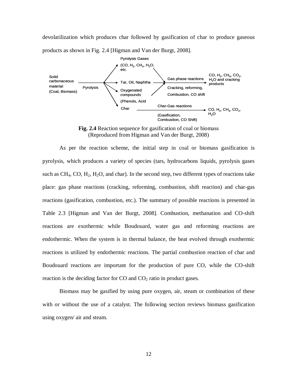devolatilization which produces char followed by gasification of char to produce gaseous products as shown in Fig. 2.4 [Higman and Van der Burgt, 2008].



**Fig. 2.4** Reaction sequence for gasification of coal or biomass (Reproduced from Higman and Van der Burgt, 2008)

As per the reaction scheme, the initial step in coal or biomass gasification is pyrolysis, which produces a variety of species (tars, hydrocarbons liquids, pyrolysis gases such as  $CH_4$ , CO,  $H_2$ ,  $H_2O$ , and char). In the second step, two different types of reactions take place: gas phase reactions (cracking, reforming, combustion, shift reaction) and char-gas reactions (gasification, combustion, etc.). The summary of possible reactions is presented in Table 2.3 [Higman and Van der Burgt, 2008]. Combustion, methanation and CO-shift reactions are exothermic while Boudouard, water gas and reforming reactions are endothermic. When the system is in thermal balance, the heat evolved through exothermic reactions is utilized by endothermic reactions. The partial combustion reaction of char and Boudouard reactions are important for the production of pure CO, while the CO-shift reaction is the deciding factor for  $CO$  and  $CO<sub>2</sub>$  ratio in product gases.

Biomass may be gasified by using pure oxygen, air, steam or combination of these with or without the use of a catalyst. The following section reviews biomass gasification using oxygen/ air and steam.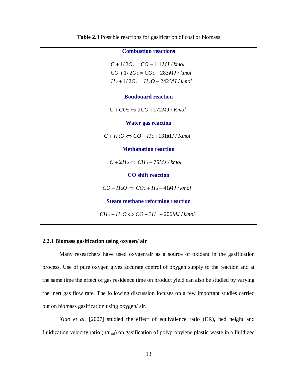|  | Table 2.3 Possible reactions for gasification of coal or biomass |
|--|------------------------------------------------------------------|
|--|------------------------------------------------------------------|

#### **2.2.1 Biomass gasification using oxygen/ air**

Many researchers have used oxygen/air as a source of oxidant in the gasification process. Use of pure oxygen gives accurate control of oxygen supply to the reaction and at the same time the effect of gas residence time on product yield can also be studied by varying the inert gas flow rate. The following discussion focuses on a few important studies carried out on biomass gasification using oxygen/ air.

*Xiao et al.* [2007] studied the effect of equivalence ratio (ER), bed height and fluidization velocity ratio ( $u/u_{\text{mf}}$ ) on gasification of polypropylene plastic waste in a fluidized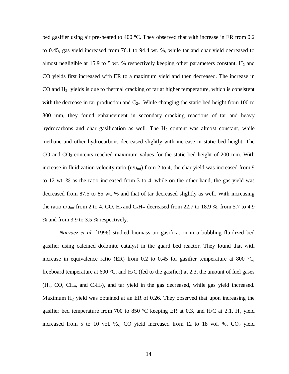bed gasifier using air pre-heated to 400 °C. They observed that with increase in ER from 0.2 to 0.45, gas yield increased from 76.1 to 94.4 wt. %, while tar and char yield decreased to almost negligible at 15.9 to 5 wt. % respectively keeping other parameters constant.  $H_2$  and CO yields first increased with ER to a maximum yield and then decreased. The increase in CO and  $H<sub>2</sub>$  yields is due to thermal cracking of tar at higher temperature, which is consistent with the decrease in tar production and  $C_{2+}$ . While changing the static bed height from 100 to 300 mm, they found enhancement in secondary cracking reactions of tar and heavy hydrocarbons and char gasification as well. The  $H_2$  content was almost constant, while methane and other hydrocarbons decreased slightly with increase in static bed height. The CO and  $CO<sub>2</sub>$  contents reached maximum values for the static bed height of 200 mm. With increase in fluidization velocity ratio ( $u/u<sub>mf</sub>$ ) from 2 to 4, the char yield was increased from 9 to 12 wt. % as the ratio increased from 3 to 4, while on the other hand, the gas yield was decreased from 87.5 to 85 wt. % and that of tar decreased slightly as well. With increasing the ratio  $u/u_{\text{mf}}$  from 2 to 4, CO, H<sub>2</sub> and  $C_nH_m$  decreased from 22.7 to 18.9 %, from 5.7 to 4.9 % and from 3.9 to 3.5 % respectively.

*Narvaez et al.* [1996] studied biomass air gasification in a bubbling fluidized bed gasifier using calcined dolomite catalyst in the guard bed reactor. They found that with increase in equivalence ratio (ER) from 0.2 to 0.45 for gasifier temperature at 800  $^{\circ}$ C, freeboard temperature at 600 °C, and H/C (fed to the gasifier) at 2.3, the amount of fuel gases  $(H_2, CO, CH_4, and C_2H_2)$ , and tar yield in the gas decreased, while gas yield increased. Maximum  $H_2$  yield was obtained at an ER of 0.26. They observed that upon increasing the gasifier bed temperature from 700 to 850 °C keeping ER at 0.3, and H/C at 2.1,  $H_2$  yield increased from 5 to 10 vol. %., CO yield increased from 12 to 18 vol. %,  $CO<sub>2</sub>$  yield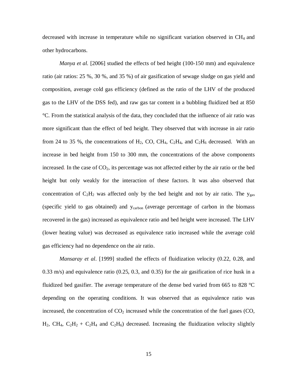decreased with increase in temperature while no significant variation observed in CH<sub>4</sub> and other hydrocarbons.

*Manya et al.* [2006] studied the effects of bed height (100-150 mm) and equivalence ratio (air ratios: 25 %, 30 %, and 35 %) of air gasification of sewage sludge on gas yield and composition, average cold gas efficiency (defined as the ratio of the LHV of the produced gas to the LHV of the DSS fed), and raw gas tar content in a bubbling fluidized bed at 850 °C. From the statistical analysis of the data, they concluded that the influence of air ratio was more significant than the effect of bed height. They observed that with increase in air ratio from 24 to 35 %, the concentrations of  $H_2$ , CO, CH<sub>4</sub>, C<sub>2</sub>H<sub>4</sub>, and C<sub>2</sub>H<sub>6</sub> decreased. With an increase in bed height from 150 to 300 mm, the concentrations of the above components increased. In the case of  $CO<sub>2</sub>$ , its percentage was not affected either by the air ratio or the bed height but only weakly for the interaction of these factors. It was also observed that concentration of  $C_2H_2$  was affected only by the bed height and not by air ratio. The  $y_{gas}$ (specific yield to gas obtained) and ycarbon (average percentage of carbon in the biomass recovered in the gas) increased as equivalence ratio and bed height were increased. The LHV (lower heating value) was decreased as equivalence ratio increased while the average cold gas efficiency had no dependence on the air ratio.

*Mansaray et al*. [1999] studied the effects of fluidization velocity (0.22, 0.28, and 0.33 m/s) and equivalence ratio (0.25, 0.3, and 0.35) for the air gasification of rice husk in a fluidized bed gasifier. The average temperature of the dense bed varied from 665 to 828 °C depending on the operating conditions. It was observed that as equivalence ratio was increased, the concentration of  $CO<sub>2</sub>$  increased while the concentration of the fuel gases (CO, H<sub>2</sub>, CH<sub>4</sub>, C<sub>2</sub>H<sub>2</sub> + C<sub>2</sub>H<sub>4</sub> and C<sub>2</sub>H<sub>6</sub>) decreased. Increasing the fluidization velocity slightly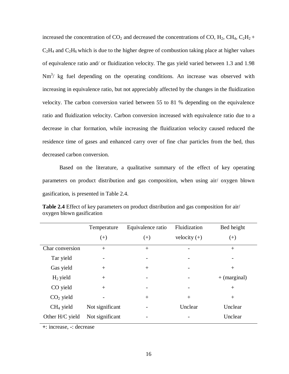increased the concentration of  $CO_2$  and decreased the concentrations of CO,  $H_2$ , CH<sub>4</sub>, C<sub>2</sub>H<sub>2</sub> +  $C_2H_4$  and  $C_2H_6$  which is due to the higher degree of combustion taking place at higher values of equivalence ratio and/ or fluidization velocity. The gas yield varied between 1.3 and 1.98  $Nm<sup>3</sup>/$  kg fuel depending on the operating conditions. An increase was observed with increasing in equivalence ratio, but not appreciably affected by the changes in the fluidization velocity. The carbon conversion varied between 55 to 81 % depending on the equivalence ratio and fluidization velocity. Carbon conversion increased with equivalence ratio due to a decrease in char formation, while increasing the fluidization velocity caused reduced the residence time of gases and enhanced carry over of fine char particles from the bed, thus decreased carbon conversion.

Based on the literature, a qualitative summary of the effect of key operating parameters on product distribution and gas composition, when using air/ oxygen blown gasification, is presented in Table 2.4.

|                 | Temperature     | Equivalence ratio        | Fluidization   | Bed height     |
|-----------------|-----------------|--------------------------|----------------|----------------|
|                 | $(+)$           | $^{(+)}$                 | velocity $(+)$ | $(+)$          |
| Char conversion | $^{+}$          | $^{+}$                   |                | $+$            |
| Tar yield       |                 |                          |                |                |
| Gas yield       | $+$             | $^{+}$                   |                | $+$            |
| $H_2$ yield     | $^{+}$          | $\overline{\phantom{a}}$ |                | $+$ (marginal) |
| CO yield        | $+$             |                          |                | $^{+}$         |
| $CO2$ yield     |                 | $^{+}$                   | $+$            | $^{+}$         |
| $CH4$ yield     | Not significant |                          | Unclear        | Unclear        |
| Other H/C yield | Not significant |                          |                | Unclear        |

**Table 2.4** Effect of key parameters on product distribution and gas composition for air/ oxygen blown gasification

**+**: increase, **-**: decrease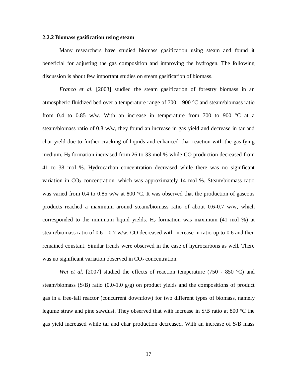#### **2.2.2 Biomass gasification using steam**

Many researchers have studied biomass gasification using steam and found it beneficial for adjusting the gas composition and improving the hydrogen. The following discussion is about few important studies on steam gasification of biomass.

*Franco et al.* [2003] studied the steam gasification of forestry biomass in an atmospheric fluidized bed over a temperature range of 700 – 900 °C and steam/biomass ratio from 0.4 to 0.85 w/w. With an increase in temperature from 700 to 900  $\degree$ C at a steam/biomass ratio of 0.8 w/w, they found an increase in gas yield and decrease in tar and char yield due to further cracking of liquids and enhanced char reaction with the gasifying medium.  $H_2$  formation increased from 26 to 33 mol % while CO production decreased from 41 to 38 mol %. Hydrocarbon concentration decreased while there was no significant variation in  $CO<sub>2</sub>$  concentration, which was approximately 14 mol %. Steam/biomass ratio was varied from 0.4 to 0.85 w/w at 800  $^{\circ}$ C. It was observed that the production of gaseous products reached a maximum around steam/biomass ratio of about 0.6-0.7 w/w, which corresponded to the minimum liquid yields.  $H_2$  formation was maximum (41 mol %) at steam/biomass ratio of  $0.6 - 0.7$  w/w. CO decreased with increase in ratio up to 0.6 and then remained constant. Similar trends were observed in the case of hydrocarbons as well. There was no significant variation observed in  $CO<sub>2</sub>$  concentration.

*Wei et al.* [2007] studied the effects of reaction temperature (750 - 850 °C) and steam/biomass (S/B) ratio (0.0-1.0 g/g) on product yields and the compositions of product gas in a free-fall reactor (concurrent downflow) for two different types of biomass, namely legume straw and pine sawdust. They observed that with increase in S/B ratio at 800 °C the gas yield increased while tar and char production decreased. With an increase of S/B mass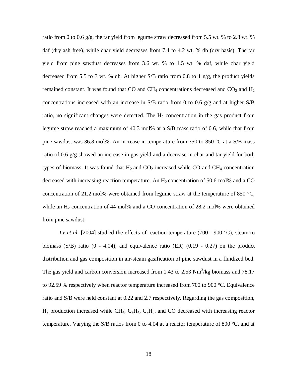ratio from 0 to 0.6 g/g, the tar yield from legume straw decreased from 5.5 wt. % to 2.8 wt. % daf (dry ash free), while char yield decreases from 7.4 to 4.2 wt. % db (dry basis). The tar yield from pine sawdust decreases from 3.6 wt. % to 1.5 wt. % daf, while char yield decreased from 5.5 to 3 wt. % db. At higher S/B ratio from 0.8 to 1 g/g, the product yields remained constant. It was found that CO and CH<sub>4</sub> concentrations decreased and  $CO<sub>2</sub>$  and H<sub>2</sub> concentrations increased with an increase in S/B ratio from 0 to 0.6 g/g and at higher S/B ratio, no significant changes were detected. The  $H_2$  concentration in the gas product from legume straw reached a maximum of 40.3 mol% at a S/B mass ratio of 0.6, while that from pine sawdust was 36.8 mol%. An increase in temperature from 750 to 850 °C at a S/B mass ratio of 0.6 g/g showed an increase in gas yield and a decrease in char and tar yield for both types of biomass. It was found that  $H_2$  and  $CO_2$  increased while CO and CH<sub>4</sub> concentration decreased with increasing reaction temperature. An  $H<sub>2</sub>$  concentration of 50.6 mol% and a CO concentration of 21.2 mol% were obtained from legume straw at the temperature of 850  $^{\circ}C$ , while an  $H_2$  concentration of 44 mol% and a CO concentration of 28.2 mol% were obtained from pine sawdust.

*Lv et al.* [2004] studied the effects of reaction temperature (700 - 900 °C), steam to biomass  $(S/B)$  ratio  $(0 - 4.04)$ , and equivalence ratio  $(ER)$   $(0.19 - 0.27)$  on the product distribution and gas composition in air-steam gasification of pine sawdust in a fluidized bed. The gas yield and carbon conversion increased from 1.43 to 2.53  $Nm<sup>3</sup>/kg$  biomass and 78.17 to 92.59 % respectively when reactor temperature increased from 700 to 900 °C. Equivalence ratio and S/B were held constant at 0.22 and 2.7 respectively. Regarding the gas composition,  $H_2$  production increased while CH<sub>4</sub>, C<sub>2</sub>H<sub>4</sub>, C<sub>2</sub>H<sub>6</sub>, and CO decreased with increasing reactor temperature. Varying the S/B ratios from 0 to 4.04 at a reactor temperature of 800 °C, and at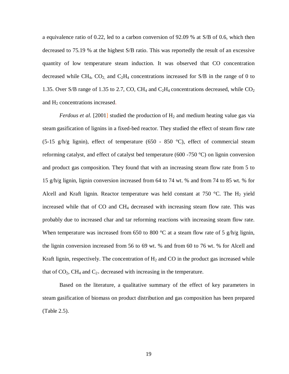a equivalence ratio of 0.22, led to a carbon conversion of 92.09 % at S/B of 0.6, which then decreased to 75.19 % at the highest S/B ratio. This was reportedly the result of an excessive quantity of low temperature steam induction. It was observed that CO concentration decreased while CH<sub>4</sub>, CO<sub>2</sub>, and C<sub>2</sub>H<sub>4</sub> concentrations increased for S/B in the range of 0 to 1.35. Over S/B range of 1.35 to 2.7, CO, CH<sub>4</sub> and C<sub>2</sub>H<sub>4</sub> concentrations decreased, while  $CO<sub>2</sub>$ and H<sub>2</sub> concentrations increased.

*Ferdous et al.* [2001] studied the production of  $H_2$  and medium heating value gas via steam gasification of lignins in a fixed-bed reactor. They studied the effect of steam flow rate (5-15 g/h/g lignin), effect of temperature (650 - 850 °C), effect of commercial steam reforming catalyst, and effect of catalyst bed temperature (600 -750  $\degree$ C) on lignin conversion and product gas composition. They found that with an increasing steam flow rate from 5 to 15 g/h/g lignin, lignin conversion increased from 64 to 74 wt. % and from 74 to 85 wt. % for Alcell and Kraft lignin. Reactor temperature was held constant at 750 °C. The H<sub>2</sub> yield increased while that of CO and CH4 decreased with increasing steam flow rate. This was probably due to increased char and tar reforming reactions with increasing steam flow rate. When temperature was increased from 650 to 800  $^{\circ}$ C at a steam flow rate of 5 g/h/g lignin, the lignin conversion increased from 56 to 69 wt. % and from 60 to 76 wt. % for Alcell and Kraft lignin, respectively. The concentration of  $H_2$  and CO in the product gas increased while that of  $CO<sub>2</sub>$ , CH<sub>4</sub> and  $C<sub>2+</sub>$  decreased with increasing in the temperature.

Based on the literature, a qualitative summary of the effect of key parameters in steam gasification of biomass on product distribution and gas composition has been prepared (Table 2.5).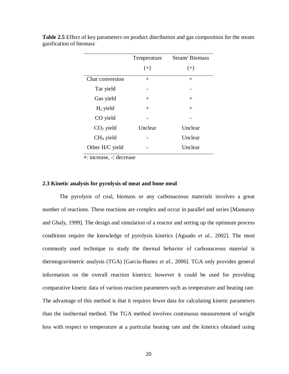|                 | Temperature | Steam/Biomass |
|-----------------|-------------|---------------|
|                 | $(+)$       | $(+)$         |
| Char conversion | $+$         | $^{+}$        |
| Tar yield       |             |               |
| Gas yield       | $^{+}$      | $^{+}$        |
| $H_2$ yield     | $^{+}$      | $^{+}$        |
| CO yield        |             |               |
| $CO2$ yield     | Unclear     | Unclear       |
| $CH4$ yield     |             | Unclear       |
| Other H/C yield |             | Unclear       |

**Table 2.5** Effect of key parameters on product distribution and gas composition for the steam gasification of biomass

 **+**: increase, **-**: decrease

#### **2.3 Kinetic analysis for pyrolysis of meat and bone meal**

The pyrolysis of coal, biomass or any carbonaceous materials involves a great number of reactions. These reactions are complex and occur in parallel and series [Mansaray and Ghaly, 1999]. The design and simulation of a reactor and setting up the optimum process conditions require the knowledge of pyrolysis kinetics [Aguado *et al*., 2002]. The most commonly used technique to study the thermal behavior of carbonaceous material is thermogravimetric analysis (TGA) [Garcia-Ibanez *et al*., 2006]. TGA only provides general information on the overall reaction kinetics; however it could be used for providing comparative kinetic data of various reaction parameters such as temperature and heating rate. The advantage of this method is that it requires fewer data for calculating kinetic parameters than the isothermal method. The TGA method involves continuous measurement of weight loss with respect to temperature at a particular heating rate and the kinetics obtained using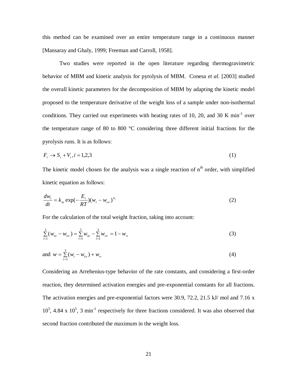this method can be examined over an entire temperature range in a continuous manner [Mansaray and Ghaly, 1999; Freeman and Carroll, 1958].

Two studies were reported in the open literature regarding thermogravimetric behavior of MBM and kinetic analysis for pyrolysis of MBM. Conesa *et al*. [2003] studied the overall kinetic parameters for the decomposition of MBM by adapting the kinetic model proposed to the temperature derivative of the weight loss of a sample under non-isothermal conditions. They carried out experiments with heating rates of 10, 20, and 30 K min<sup>-1</sup> over the temperature range of 80 to 800 °C considering three different initial fractions for the pyrolysis runs. It is as follows:

$$
F_i \rightarrow S_i + V_i, i = 1,2,3 \tag{1}
$$

The kinetic model chosen for the analysis was a single reaction of  $n<sup>th</sup>$  order, with simplified kinetic equation as follows:

$$
\frac{dw_i}{dt} = k_{io} \exp(-\frac{E_i}{RT})(w_i - w_{io})^{n_i}
$$
\n(2)

For the calculation of the total weight fraction, taking into account:

$$
\sum_{i=1}^{3} (w_{io} - w_{io}) = \sum_{i=1}^{3} w_{io} - \sum_{i=1}^{3} w_{io} = 1 - w_{\infty}
$$
\n(3)

and 
$$
w = \sum_{i=1}^{3} (w_i - w_{i\infty}) + w_{\infty}
$$
 (4)

Considering an Arrehenius-type behavior of the rate constants, and considering a first-order reaction, they determined activation energies and pre-exponential constants for all fractions. The activation energies and pre-exponential factors were 30.9, 72.2, 21.5 kJ/ mol and 7.16 x  $10^3$ , 4.84 x  $10^5$ , 3 min<sup>-1</sup> respectively for three fractions considered. It was also observed that second fraction contributed the maximum in the weight loss.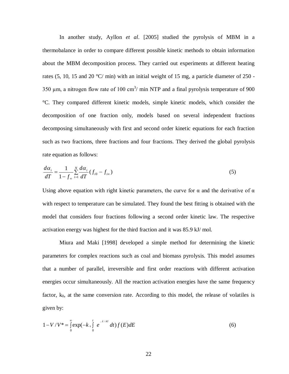In another study, Ayllon *et al*. [2005] studied the pyrolysis of MBM in a thermobalance in order to compare different possible kinetic methods to obtain information about the MBM decomposition process. They carried out experiments at different heating rates  $(5, 10, 15, \text{ and } 20 \degree C / \text{ min})$  with an initial weight of 15 mg, a particle diameter of 250 -350  $\mu$ m, a nitrogen flow rate of 100 cm<sup>3</sup>/ min NTP and a final pyrolysis temperature of 900 °C. They compared different kinetic models, simple kinetic models, which consider the decomposition of one fraction only, models based on several independent fractions decomposing simultaneously with first and second order kinetic equations for each fraction such as two fractions, three fractions and four fractions. They derived the global pyrolysis rate equation as follows:

$$
\frac{d\alpha_i}{dT} = \frac{1}{1 - f_\infty} \sum_{i=1}^N \frac{d\alpha_i}{dT} (f_{i0} - f_{i\infty})
$$
\n(5)

Using above equation with right kinetic parameters, the curve for  $\alpha$  and the derivative of  $\alpha$ with respect to temperature can be simulated. They found the best fitting is obtained with the model that considers four fractions following a second order kinetic law. The respective activation energy was highest for the third fraction and it was 85.9 kJ/ mol.

Miura and Maki [1998] developed a simple method for determining the kinetic parameters for complex reactions such as coal and biomass pyrolysis. This model assumes that a number of parallel, irreversible and first order reactions with different activation energies occur simultaneously. All the reaction activation energies have the same frequency factor,  $k_0$ , at the same conversion rate. According to this model, the release of volatiles is given by:

$$
1 - V/V^* = \int_{0}^{\infty} \exp(-k \int_{0}^{t} e^{-E/kT} dt) f(E) dE
$$
 (6)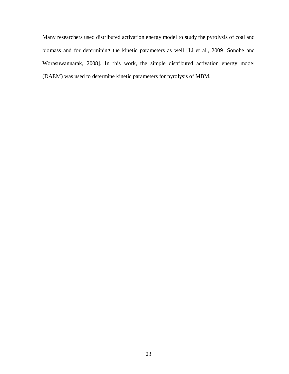Many researchers used distributed activation energy model to study the pyrolysis of coal and biomass and for determining the kinetic parameters as well [Li et al., 2009; Sonobe and Worasuwannarak, 2008]. In this work, the simple distributed activation energy model (DAEM) was used to determine kinetic parameters for pyrolysis of MBM.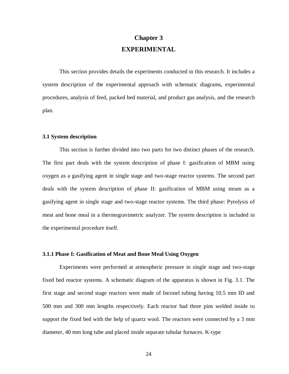# **Chapter 3 EXPERIMENTAL**

This section provides details the experiments conducted in this research. It includes a system description of the experimental approach with schematic diagrams, experimental procedures, analysis of feed, packed bed material, and product gas analysis, and the research plan.

#### **3.1 System description**

This section is further divided into two parts for two distinct phases of the research. The first part deals with the system description of phase I: gasification of MBM using oxygen as a gasifying agent in single stage and two-stage reactor systems. The second part deals with the system description of phase II: gasification of MBM using steam as a gasifying agent in single stage and two-stage reactor systems. The third phase: Pyrolysis of meat and bone meal in a thermogravimetric analyzer. The system description is included in the experimental procedure itself.

# **3.1.1 Phase I: Gasification of Meat and Bone Meal Using Oxygen**

Experiments were performed at atmospheric pressure in single stage and two-stage fixed bed reactor systems. A schematic diagram of the apparatus is shown in Fig. 3.1. The first stage and second stage reactors were made of Inconel tubing having 10.5 mm ID and 500 mm and 300 mm lengths respectively. Each reactor had three pins welded inside to support the fixed bed with the help of quartz wool. The reactors were connected by a 3 mm diameter, 40 mm long tube and placed inside separate tubular furnaces. K-type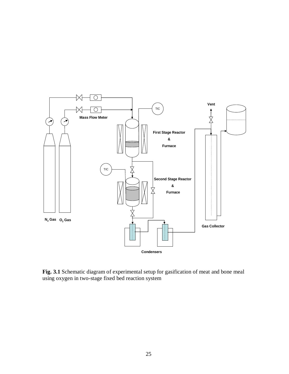

**Fig. 3.1** Schematic diagram of experimental setup for gasification of meat and bone meal using oxygen in two-stage fixed bed reaction system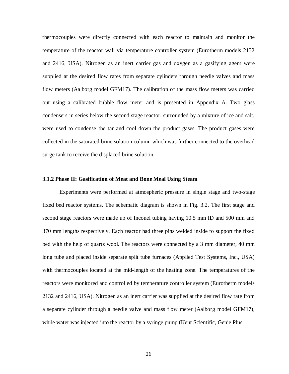thermocouples were directly connected with each reactor to maintain and monitor the temperature of the reactor wall via temperature controller system (Eurotherm models 2132 and 2416, USA). Nitrogen as an inert carrier gas and oxygen as a gasifying agent were supplied at the desired flow rates from separate cylinders through needle valves and mass flow meters (Aalborg model GFM17). The calibration of the mass flow meters was carried out using a calibrated bubble flow meter and is presented in Appendix A. Two glass condensers in series below the second stage reactor, surrounded by a mixture of ice and salt, were used to condense the tar and cool down the product gases. The product gases were collected in the saturated brine solution column which was further connected to the overhead surge tank to receive the displaced brine solution.

# **3.1.2 Phase II: Gasification of Meat and Bone Meal Using Steam**

Experiments were performed at atmospheric pressure in single stage and two-stage fixed bed reactor systems. The schematic diagram is shown in Fig. 3.2. The first stage and second stage reactors were made up of Inconel tubing having 10.5 mm ID and 500 mm and 370 mm lengths respectively. Each reactor had three pins welded inside to support the fixed bed with the help of quartz wool. The reactors were connected by a 3 mm diameter, 40 mm long tube and placed inside separate split tube furnaces (Applied Test Systems, Inc., USA) with thermocouples located at the mid-length of the heating zone. The temperatures of the reactors were monitored and controlled by temperature controller system (Eurotherm models 2132 and 2416, USA). Nitrogen as an inert carrier was supplied at the desired flow rate from a separate cylinder through a needle valve and mass flow meter (Aalborg model GFM17), while water was injected into the reactor by a syringe pump (Kent Scientific, Genie Plus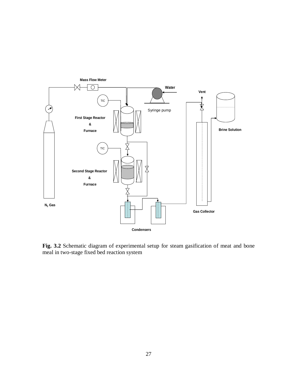

**Fig. 3.2** Schematic diagram of experimental setup for steam gasification of meat and bone meal in two-stage fixed bed reaction system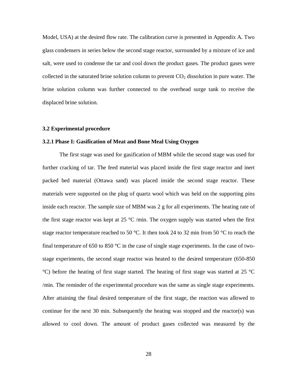Model, USA) at the desired flow rate. The calibration curve is presented in Appendix A. Two glass condensers in series below the second stage reactor, surrounded by a mixture of ice and salt, were used to condense the tar and cool down the product gases. The product gases were collected in the saturated brine solution column to prevent  $CO<sub>2</sub>$  dissolution in pure water. The brine solution column was further connected to the overhead surge tank to receive the displaced brine solution.

#### **3.2 Experimental procedure**

## **3.2.1 Phase I: Gasification of Meat and Bone Meal Using Oxygen**

The first stage was used for gasification of MBM while the second stage was used for further cracking of tar. The feed material was placed inside the first stage reactor and inert packed bed material (Ottawa sand) was placed inside the second stage reactor. These materials were supported on the plug of quartz wool which was held on the supporting pins inside each reactor. The sample size of MBM was 2 g for all experiments. The heating rate of the first stage reactor was kept at  $25 \text{ °C/min}$ . The oxygen supply was started when the first stage reactor temperature reached to 50 °C. It then took 24 to 32 min from 50 °C to reach the final temperature of 650 to 850  $\degree$ C in the case of single stage experiments. In the case of twostage experiments, the second stage reactor was heated to the desired temperature (650-850 °C) before the heating of first stage started. The heating of first stage was started at 25 °C /min. The reminder of the experimental procedure was the same as single stage experiments. After attaining the final desired temperature of the first stage, the reaction was allowed to continue for the next 30 min. Subsequently the heating was stopped and the reactor(s) was allowed to cool down. The amount of product gases collected was measured by the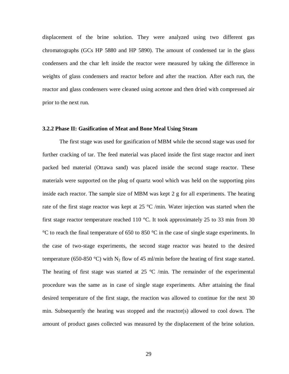displacement of the brine solution. They were analyzed using two different gas chromatographs (GCs HP 5880 and HP 5890). The amount of condensed tar in the glass condensers and the char left inside the reactor were measured by taking the difference in weights of glass condensers and reactor before and after the reaction. After each run, the reactor and glass condensers were cleaned using acetone and then dried with compressed air prior to the next run.

#### **3.2.2 Phase II: Gasification of Meat and Bone Meal Using Steam**

The first stage was used for gasification of MBM while the second stage was used for further cracking of tar. The feed material was placed inside the first stage reactor and inert packed bed material (Ottawa sand) was placed inside the second stage reactor. These materials were supported on the plug of quartz wool which was held on the supporting pins inside each reactor. The sample size of MBM was kept 2 g for all experiments. The heating rate of the first stage reactor was kept at 25  $\degree$ C /min. Water injection was started when the first stage reactor temperature reached 110 °C. It took approximately 25 to 33 min from 30 °C to reach the final temperature of 650 to 850 °C in the case of single stage experiments. In the case of two-stage experiments, the second stage reactor was heated to the desired temperature (650-850 °C) with N<sub>2</sub> flow of 45 ml/min before the heating of first stage started. The heating of first stage was started at  $25 \text{ °C}$  /min. The remainder of the experimental procedure was the same as in case of single stage experiments. After attaining the final desired temperature of the first stage, the reaction was allowed to continue for the next 30 min. Subsequently the heating was stopped and the reactor(s) allowed to cool down. The amount of product gases collected was measured by the displacement of the brine solution.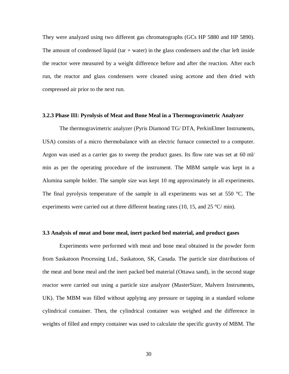They were analyzed using two different gas chromatographs (GCs HP 5880 and HP 5890). The amount of condensed liquid (tar  $+$  water) in the glass condensers and the char left inside the reactor were measured by a weight difference before and after the reaction. After each run, the reactor and glass condensers were cleaned using acetone and then dried with compressed air prior to the next run.

## **3.2.3 Phase III: Pyrolysis of Meat and Bone Meal in a Thermogravimetric Analyzer**

The thermogravimetric analyzer (Pyris Diamond TG/ DTA, PerkinElmer Instruments, USA) consists of a micro thermobalance with an electric furnace connected to a computer. Argon was used as a carrier gas to sweep the product gases. Its flow rate was set at 60 ml/ min as per the operating procedure of the instrument. The MBM sample was kept in a Alumina sample holder. The sample size was kept 10 mg approximately in all experiments. The final pyrolysis temperature of the sample in all experiments was set at 550 °C. The experiments were carried out at three different heating rates (10, 15, and 25  $^{\circ}$ C/ min).

## **3.3 Analysis of meat and bone meal, inert packed bed material, and product gases**

Experiments were performed with meat and bone meal obtained in the powder form from Saskatoon Processing Ltd., Saskatoon, SK, Canada. The particle size distributions of the meat and bone meal and the inert packed bed material (Ottawa sand), in the second stage reactor were carried out using a particle size analyzer (MasterSizer, Malvern Instruments, UK). The MBM was filled without applying any pressure or tapping in a standard volume cylindrical container. Then, the cylindrical container was weighed and the difference in weights of filled and empty container was used to calculate the specific gravity of MBM. The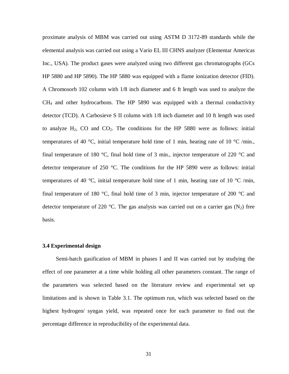proximate analysis of MBM was carried out using ASTM D 3172-89 standards while the elemental analysis was carried out using a Vario EL III CHNS analyzer (Elementar Americas Inc., USA). The product gases were analyzed using two different gas chromatographs (GCs HP 5880 and HP 5890). The HP 5880 was equipped with a flame ionization detector (FID). A Chromosorb 102 column with 1/8 inch diameter and 6 ft length was used to analyze the  $CH<sub>4</sub>$  and other hydrocarbons. The HP 5890 was equipped with a thermal conductivity detector (TCD). A Carbosieve S II column with 1/8 inch diameter and 10 ft length was used to analyze  $H_2$ , CO and CO<sub>2</sub>. The conditions for the HP 5880 were as follows: initial temperatures of 40 °C, initial temperature hold time of 1 min, heating rate of 10 °C /min. final temperature of 180  $\degree$ C, final hold time of 3 min., injector temperature of 220  $\degree$ C and detector temperature of 250 °C. The conditions for the HP 5890 were as follows: initial temperatures of 40 °C, initial temperature hold time of 1 min, heating rate of 10 °C /min, final temperature of 180  $\degree$ C, final hold time of 3 min, injector temperature of 200  $\degree$ C and detector temperature of 220 °C. The gas analysis was carried out on a carrier gas  $(N_2)$  free basis.

#### **3.4 Experimental design**

Semi-batch gasification of MBM in phases I and II was carried out by studying the effect of one parameter at a time while holding all other parameters constant. The range of the parameters was selected based on the literature review and experimental set up limitations and is shown in Table 3.1. The optimum run, which was selected based on the highest hydrogen/ syngas yield, was repeated once for each parameter to find out the percentage difference in reproducibility of the experimental data.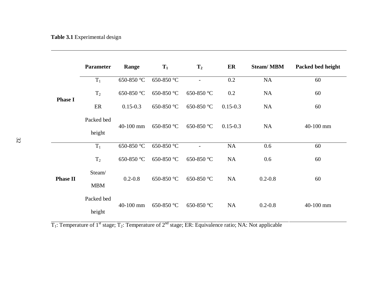|                 | <b>Parameter</b> | Range        | $T_1$      | $T_2$      | ER           | <b>Steam/MBM</b> | Packed bed height |
|-----------------|------------------|--------------|------------|------------|--------------|------------------|-------------------|
| <b>Phase I</b>  | $T_1$            | 650-850 °C   | 650-850 °C |            | 0.2          | NA               | 60                |
|                 | T <sub>2</sub>   | 650-850 °C   | 650-850 °C | 650-850 °C | 0.2          | <b>NA</b>        | 60                |
|                 | ER               | $0.15 - 0.3$ | 650-850 °C | 650-850 °C | $0.15 - 0.3$ | <b>NA</b>        | 60                |
|                 | Packed bed       | 40-100 mm    | 650-850 °C | 650-850 °C | $0.15 - 0.3$ | <b>NA</b>        | 40-100 mm         |
|                 | height           |              |            |            |              |                  |                   |
| <b>Phase II</b> | $T_1$            | 650-850 °C   | 650-850 °C |            | NA           | 0.6              | 60                |
|                 | T <sub>2</sub>   | 650-850 °C   | 650-850 °C | 650-850 °C | <b>NA</b>    | 0.6              | 60                |
|                 | Steam/           | $0.2 - 0.8$  | 650-850 °C | 650-850 °C | NA           | $0.2 - 0.8$      | 60                |
|                 | <b>MBM</b>       |              |            |            |              |                  |                   |
|                 | Packed bed       | 40-100 mm    | 650-850 °C | 650-850 °C | <b>NA</b>    | $0.2 - 0.8$      | 40-100 mm         |
|                 | height           |              |            |            |              |                  |                   |

 $T_1$ : Temperature of 1<sup>st</sup> stage;  $T_2$ : Temperature of 2<sup>nd</sup> stage; ER: Equivalence ratio; NA: Not applicable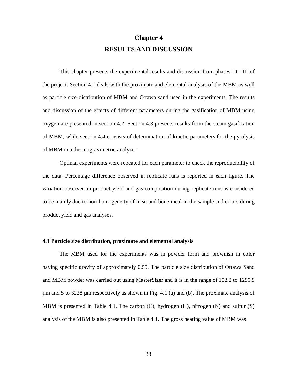# **Chapter 4 RESULTS AND DISCUSSION**

This chapter presents the experimental results and discussion from phases I to III of the project. Section 4.1 deals with the proximate and elemental analysis of the MBM as well as particle size distribution of MBM and Ottawa sand used in the experiments. The results and discussion of the effects of different parameters during the gasification of MBM using oxygen are presented in section 4.2. Section 4.3 presents results from the steam gasification of MBM, while section 4.4 consists of determination of kinetic parameters for the pyrolysis of MBM in a thermogravimetric analyzer.

Optimal experiments were repeated for each parameter to check the reproducibility of the data. Percentage difference observed in replicate runs is reported in each figure. The variation observed in product yield and gas composition during replicate runs is considered to be mainly due to non-homogeneity of meat and bone meal in the sample and errors during product yield and gas analyses.

# **4.1 Particle size distribution, proximate and elemental analysis**

The MBM used for the experiments was in powder form and brownish in color having specific gravity of approximately 0.55. The particle size distribution of Ottawa Sand and MBM powder was carried out using MasterSizer and it is in the range of 152.2 to 1290.9 µm and 5 to 3228 µm respectively as shown in Fig. 4.1 (a) and (b). The proximate analysis of MBM is presented in Table 4.1. The carbon  $(C)$ , hydrogen  $(H)$ , nitrogen  $(N)$  and sulfur  $(S)$ analysis of the MBM is also presented in Table 4.1. The gross heating value of MBM was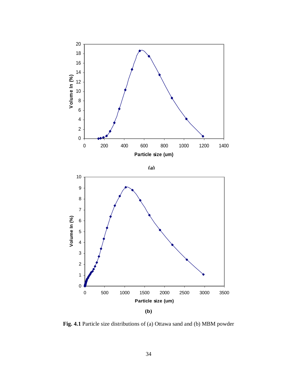

**Fig. 4.1** Particle size distributions of (a) Ottawa sand and (b) MBM powder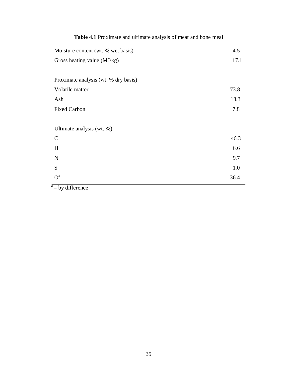| Moisture content (wt. % wet basis)   | 4.5  |  |
|--------------------------------------|------|--|
| Gross heating value (MJ/kg)          |      |  |
|                                      |      |  |
| Proximate analysis (wt. % dry basis) |      |  |
| Volatile matter                      | 73.8 |  |
| Ash                                  | 18.3 |  |
| <b>Fixed Carbon</b>                  | 7.8  |  |
|                                      |      |  |
| Ultimate analysis (wt. %)            |      |  |
| $\mathsf{C}$                         | 46.3 |  |
| H                                    | 6.6  |  |
| ${\bf N}$                            | 9.7  |  |
| S                                    | 1.0  |  |
| O <sup>a</sup>                       | 36.4 |  |
| $k = 1.00$                           |      |  |

# **Table 4.1** Proximate and ultimate analysis of meat and bone meal

 $a = by$  difference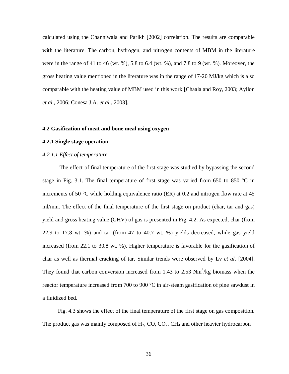calculated using the Channiwala and Parikh [2002] correlation. The results are comparable with the literature. The carbon, hydrogen, and nitrogen contents of MBM in the literature were in the range of 41 to 46 (wt. %), 5.8 to 6.4 (wt. %), and 7.8 to 9 (wt. %). Moreover, the gross heating value mentioned in the literature was in the range of 17-20 MJ/kg which is also comparable with the heating value of MBM used in this work [Chaala and Roy, 2003; Ayllon *et al*., 2006; Conesa J.A. *et al*., 2003].

#### **4.2 Gasification of meat and bone meal using oxygen**

# **4.2.1 Single stage operation**

# *4.2.1.1 Effect of temperature*

The effect of final temperature of the first stage was studied by bypassing the second stage in Fig. 3.1. The final temperature of first stage was varied from 650 to 850 °C in increments of 50  $\degree$ C while holding equivalence ratio (ER) at 0.2 and nitrogen flow rate at 45 ml/min. The effect of the final temperature of the first stage on product (char, tar and gas) yield and gross heating value (GHV) of gas is presented in Fig. 4.2. As expected, char (from 22.9 to 17.8 wt. %) and tar (from 47 to 40.7 wt. %) yields decreased, while gas yield increased (from 22.1 to 30.8 wt. %). Higher temperature is favorable for the gasification of char as well as thermal cracking of tar. Similar trends were observed by Lv *et al*. [2004]. They found that carbon conversion increased from 1.43 to 2.53  $Nm<sup>3</sup>/kg$  biomass when the reactor temperature increased from 700 to 900 °C in air-steam gasification of pine sawdust in a fluidized bed.

 Fig. 4.3 shows the effect of the final temperature of the first stage on gas composition. The product gas was mainly composed of  $H_2$ , CO, CO<sub>2</sub>, CH<sub>4</sub> and other heavier hydrocarbon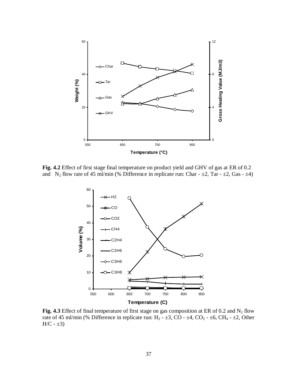

**Fig. 4.2** Effect of first stage final temperature on product yield and GHV of gas at ER of 0.2 and N<sub>2</sub> flow rate of 45 ml/min (% Difference in replicate run: Char -  $\pm 2$ , Tar -  $\pm 2$ , Gas -  $\pm 4$ )



Fig. 4.3 Effect of final temperature of first stage on gas composition at ER of 0.2 and  $N_2$  flow rate of 45 ml/min (% Difference in replicate run: H<sub>2</sub> -  $\pm$ 3, CO -  $\pm$ 4, CO<sub>2</sub> -  $\pm$ 6, CH<sub>4</sub> -  $\pm$ 2, Other  $H/C - \pm 3$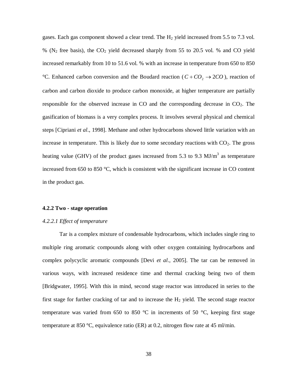gases. Each gas component showed a clear trend. The H<sub>2</sub> yield increased from 5.5 to 7.3 vol.  $\%$  (N<sub>2</sub> free basis), the CO<sub>2</sub> yield decreased sharply from 55 to 20.5 vol. % and CO yield increased remarkably from 10 to 51.6 vol. % with an increase in temperature from 650 to 850 °C. Enhanced carbon conversion and the Boudard reaction ( $C + CO_2 \rightarrow 2CO$ ), reaction of carbon and carbon dioxide to produce carbon monoxide, at higher temperature are partially responsible for the observed increase in CO and the corresponding decrease in  $CO<sub>2</sub>$ . The gasification of biomass is a very complex process. It involves several physical and chemical steps [Cipriani *et al*., 1998]. Methane and other hydrocarbons showed little variation with an increase in temperature. This is likely due to some secondary reactions with  $CO<sub>2</sub>$ . The gross heating value (GHV) of the product gases increased from 5.3 to 9.3  $MJ/m<sup>3</sup>$  as temperature increased from 650 to 850 °C, which is consistent with the significant increase in CO content in the product gas.

# **4.2.2 Two - stage operation**

# *4.2.2.1 Effect of temperature*

Tar is a complex mixture of condensable hydrocarbons, which includes single ring to multiple ring aromatic compounds along with other oxygen containing hydrocarbons and complex polycyclic aromatic compounds [Devi *et al*., 2005]. The tar can be removed in various ways, with increased residence time and thermal cracking being two of them [Bridgwater, 1995]. With this in mind, second stage reactor was introduced in series to the first stage for further cracking of tar and to increase the  $H<sub>2</sub>$  yield. The second stage reactor temperature was varied from 650 to 850  $\degree$ C in increments of 50  $\degree$ C, keeping first stage temperature at 850 °C, equivalence ratio (ER) at 0.2, nitrogen flow rate at 45 ml/min.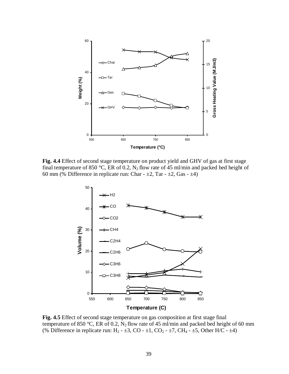

**Fig. 4.4** Effect of second stage temperature on product yield and GHV of gas at first stage final temperature of 850 °C, ER of 0.2,  $N_2$  flow rate of 45 ml/min and packed bed height of 60 mm (% Difference in replicate run: Char -  $\pm 2$ , Tar -  $\pm 2$ , Gas -  $\pm 4$ )



**Fig. 4.5** Effect of second stage temperature on gas composition at first stage final temperature of 850 °C, ER of 0.2,  $N_2$  flow rate of 45 ml/min and packed bed height of 60 mm (% Difference in replicate run: H<sub>2</sub> -  $\pm 3$ , CO -  $\pm 1$ , CO<sub>2</sub> -  $\pm 7$ , CH<sub>4</sub> -  $\pm 5$ , Other H/C -  $\pm 4$ )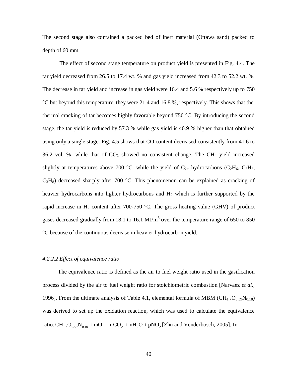The second stage also contained a packed bed of inert material (Ottawa sand) packed to depth of 60 mm.

The effect of second stage temperature on product yield is presented in Fig. 4.4. The tar yield decreased from 26.5 to 17.4 wt. % and gas yield increased from 42.3 to 52.2 wt. %. The decrease in tar yield and increase in gas yield were 16.4 and 5.6 % respectively up to 750 °C but beyond this temperature, they were 21.4 and 16.8 %, respectively. This shows that the thermal cracking of tar becomes highly favorable beyond 750 °C. By introducing the second stage, the tar yield is reduced by 57.3 % while gas yield is 40.9 % higher than that obtained using only a single stage. Fig. 4.5 shows that CO content decreased consistently from 41.6 to 36.2 vol. %, while that of  $CO<sub>2</sub>$  showed no consistent change. The CH<sub>4</sub> yield increased slightly at temperatures above 700 °C, while the yield of  $C_{2+}$  hydrocarbons (C<sub>2</sub>H<sub>6</sub>, C<sub>3</sub>H<sub>6</sub>,  $C_3H_8$ ) decreased sharply after 700 °C. This phenomenon can be explained as cracking of heavier hydrocarbons into lighter hydrocarbons and  $H_2$  which is further supported by the rapid increase in  $H_2$  content after 700-750 °C. The gross heating value (GHV) of product gases decreased gradually from 18.1 to 16.1  $MJ/m<sup>3</sup>$  over the temperature range of 650 to 850 °C because of the continuous decrease in heavier hydrocarbon yield.

#### *4.2.2.2 Effect of equivalence ratio*

 The equivalence ratio is defined as the air to fuel weight ratio used in the gasification process divided by the air to fuel weight ratio for stoichiometric combustion [Narvaez *et al*., 1996]. From the ultimate analysis of Table 4.1, elemental formula of MBM  $(CH_{1.7}O_{0.59}N_{0.18})$ was derived to set up the oxidation reaction, which was used to calculate the equivalence ratio:  $\text{CH}_{1.7}\text{O}_{0.59}\text{N}_{0.18} + \text{mO}_2 \rightarrow \text{CO}_2 + \text{nH}_2\text{O} + \text{pNO}_2$  [Zhu and Venderbosch, 2005]. In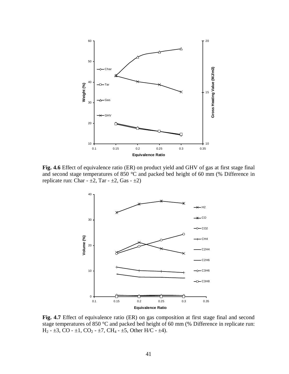

**Fig. 4.6** Effect of equivalence ratio (ER) on product yield and GHV of gas at first stage final and second stage temperatures of 850 °C and packed bed height of 60 mm (% Difference in replicate run: Char -  $\pm 2$ , Tar -  $\pm 2$ , Gas -  $\pm 2$ )



**Fig. 4.7** Effect of equivalence ratio (ER) on gas composition at first stage final and second stage temperatures of 850 °C and packed bed height of 60 mm (% Difference in replicate run:  $H_2$  -  $\pm 3$ , CO -  $\pm 1$ , CO<sub>2</sub> -  $\pm 7$ , CH<sub>4</sub> -  $\pm 5$ , Other H/C -  $\pm 4$ ).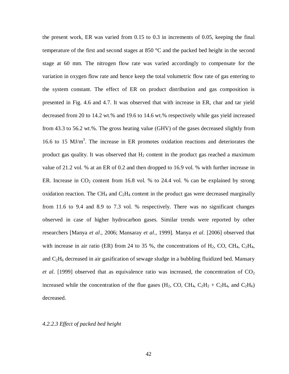the present work, ER was varied from 0.15 to 0.3 in increments of 0.05, keeping the final temperature of the first and second stages at 850 °C and the packed bed height in the second stage at 60 mm. The nitrogen flow rate was varied accordingly to compensate for the variation in oxygen flow rate and hence keep the total volumetric flow rate of gas entering to the system constant. The effect of ER on product distribution and gas composition is presented in Fig. 4.6 and 4.7. It was observed that with increase in ER, char and tar yield decreased from 20 to 14.2 wt.% and 19.6 to 14.6 wt.% respectively while gas yield increased from 43.3 to 56.2 wt.%. The gross heating value (GHV) of the gases decreased slightly from 16.6 to 15  $MJ/m<sup>3</sup>$ . The increase in ER promotes oxidation reactions and deteriorates the product gas quality. It was observed that  $H_2$  content in the product gas reached a maximum value of 21.2 vol. % at an ER of 0.2 and then dropped to 16.9 vol. % with further increase in ER. Increase in  $CO_2$  content from 16.8 vol. % to 24.4 vol. % can be explained by strong oxidation reaction. The CH<sub>4</sub> and  $C_2H_4$  content in the product gas were decreased marginally from 11.6 to 9.4 and 8.9 to 7.3 vol. % respectively. There was no significant changes observed in case of higher hydrocarbon gases. Similar trends were reported by other researchers [Manya *et al*., 2006; Mansaray *et al*., 1999]. Manya *et al*. [2006] observed that with increase in air ratio (ER) from 24 to 35 %, the concentrations of  $H_2$ , CO, CH<sub>4</sub>, C<sub>2</sub>H<sub>4</sub>, and  $C_2H_6$  decreased in air gasification of sewage sludge in a bubbling fluidized bed. Mansary *et al.* [1999] observed that as equivalence ratio was increased, the concentration of  $CO<sub>2</sub>$ increased while the concentration of the flue gases (H<sub>2</sub>, CO, CH<sub>4</sub>, C<sub>2</sub>H<sub>2</sub> + C<sub>2</sub>H<sub>4</sub>, and C<sub>2</sub>H<sub>6</sub>) decreased.

## *4.2.2.3 Effect of packed bed height*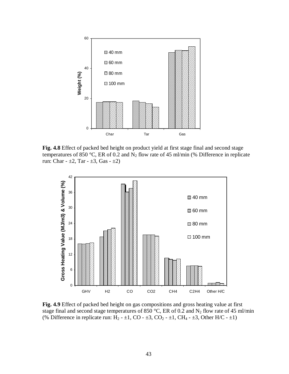

**Fig. 4.8** Effect of packed bed height on product yield at first stage final and second stage temperatures of 850 °C, ER of 0.2 and  $N_2$  flow rate of 45 ml/min (% Difference in replicate run: Char -  $\pm 2$ , Tar -  $\pm 3$ , Gas -  $\pm 2$ )



**Fig. 4.9** Effect of packed bed height on gas compositions and gross heating value at first stage final and second stage temperatures of 850 °C, ER of 0.2 and  $N_2$  flow rate of 45 ml/min (% Difference in replicate run:  $H_2 - \pm 1$ , CO -  $\pm 3$ , CO<sub>2</sub> -  $\pm 1$ , CH<sub>4</sub> -  $\pm 3$ , Other H/C -  $\pm 1$ )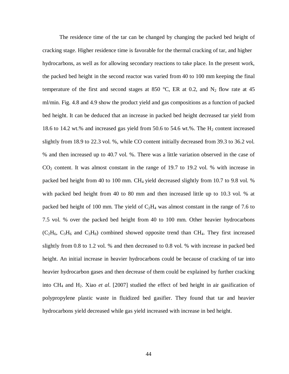The residence time of the tar can be changed by changing the packed bed height of cracking stage. Higher residence time is favorable for the thermal cracking of tar, and higher hydrocarbons, as well as for allowing secondary reactions to take place. In the present work, the packed bed height in the second reactor was varied from 40 to 100 mm keeping the final temperature of the first and second stages at 850 °C, ER at 0.2, and  $N_2$  flow rate at 45 ml/min. Fig. 4.8 and 4.9 show the product yield and gas compositions as a function of packed bed height. It can be deduced that an increase in packed bed height decreased tar yield from 18.6 to 14.2 wt.% and increased gas yield from 50.6 to 54.6 wt.%. The  $H_2$  content increased slightly from 18.9 to 22.3 vol. %, while CO content initially decreased from 39.3 to 36.2 vol. % and then increased up to 40.7 vol. %. There was a little variation observed in the case of  $CO<sub>2</sub>$  content. It was almost constant in the range of 19.7 to 19.2 vol. % with increase in packed bed height from 40 to 100 mm. CH4 yield decreased slightly from 10.7 to 9.8 vol. % with packed bed height from 40 to 80 mm and then increased little up to 10.3 vol. % at packed bed height of 100 mm. The yield of  $C_2H_4$  was almost constant in the range of 7.6 to 7.5 vol. % over the packed bed height from 40 to 100 mm. Other heavier hydrocarbons  $(C_2H_6, C_3H_6$  and  $C_3H_8$ ) combined showed opposite trend than CH<sub>4</sub>. They first increased slightly from 0.8 to 1.2 vol. % and then decreased to 0.8 vol. % with increase in packed bed height. An initial increase in heavier hydrocarbons could be because of cracking of tar into heavier hydrocarbon gases and then decrease of them could be explained by further cracking into CH4 and H2. Xiao *et al*. [2007] studied the effect of bed height in air gasification of polypropylene plastic waste in fluidized bed gasifier. They found that tar and heavier hydrocarbons yield decreased while gas yield increased with increase in bed height.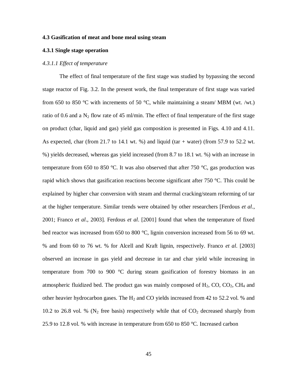# **4.3 Gasification of meat and bone meal using steam**

## **4.3.1 Single stage operation**

#### *4.3.1.1 Effect of temperature*

The effect of final temperature of the first stage was studied by bypassing the second stage reactor of Fig. 3.2. In the present work, the final temperature of first stage was varied from 650 to 850 °C with increments of 50 °C, while maintaining a steam/ MBM (wt. /wt.) ratio of 0.6 and a  $N_2$  flow rate of 45 ml/min. The effect of final temperature of the first stage on product (char, liquid and gas) yield gas composition is presented in Figs. 4.10 and 4.11. As expected, char (from 21.7 to 14.1 wt. %) and liquid (tar  $+$  water) (from 57.9 to 52.2 wt. %) yields decreased, whereas gas yield increased (from 8.7 to 18.1 wt. %) with an increase in temperature from 650 to 850 °C. It was also observed that after 750 °C, gas production was rapid which shows that gasification reactions become significant after 750  $\degree$ C. This could be explained by higher char conversion with steam and thermal cracking/steam reforming of tar at the higher temperature. Similar trends were obtained by other researchers [Ferdous *et al*., 2001; Franco *et al*., 2003]. Ferdous *et al*. [2001] found that when the temperature of fixed bed reactor was increased from 650 to 800 °C, lignin conversion increased from 56 to 69 wt. % and from 60 to 76 wt. % for Alcell and Kraft lignin, respectively. Franco *et al*. [2003] observed an increase in gas yield and decrease in tar and char yield while increasing in temperature from 700 to 900 °C during steam gasification of forestry biomass in an atmospheric fluidized bed. The product gas was mainly composed of  $H_2$ , CO, CO<sub>2</sub>, CH<sub>4</sub> and other heavier hydrocarbon gases. The  $H_2$  and CO yields increased from 42 to 52.2 vol. % and 10.2 to 26.8 vol. % ( $N_2$  free basis) respectively while that of  $CO_2$  decreased sharply from 25.9 to 12.8 vol. % with increase in temperature from 650 to 850 °C. Increased carbon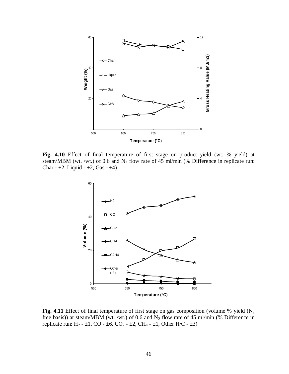

**Fig. 4.10** Effect of final temperature of first stage on product yield (wt. % yield) at steam/MBM (wt. /wt.) of 0.6 and  $N_2$  flow rate of 45 ml/min (% Difference in replicate run: Char -  $\pm 2$ , Liquid -  $\pm 2$ , Gas -  $\pm 4$ )



Fig. 4.11 Effect of final temperature of first stage on gas composition (volume % yield (N<sub>2</sub>) free basis)) at steam/MBM (wt. /wt.) of 0.6 and  $N_2$  flow rate of 45 ml/min (% Difference in replicate run: H<sub>2</sub> -  $\pm$ 1, CO -  $\pm$ 6, CO<sub>2</sub> -  $\pm$ 2, CH<sub>4</sub> -  $\pm$ 1, Other H/C -  $\pm$ 3)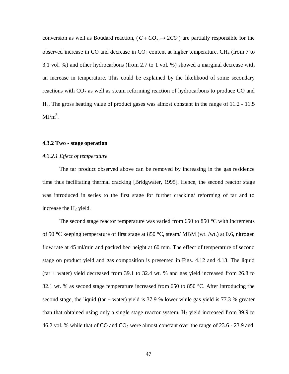conversion as well as Boudard reaction,  $(C + CO_2 \rightarrow 2CO)$  are partially responsible for the observed increase in CO and decrease in  $CO<sub>2</sub>$  content at higher temperature. CH<sub>4</sub> (from 7 to 3.1 vol. %) and other hydrocarbons (from 2.7 to 1 vol. %) showed a marginal decrease with an increase in temperature. This could be explained by the likelihood of some secondary reactions with  $CO<sub>2</sub>$  as well as steam reforming reaction of hydrocarbons to produce  $CO$  and H2. The gross heating value of product gases was almost constant in the range of 11.2 - 11.5  $MJ/m<sup>3</sup>$ .

# **4.3.2 Two - stage operation**

# *4.3.2.1 Effect of temperature*

The tar product observed above can be removed by increasing in the gas residence time thus facilitating thermal cracking [Bridgwater, 1995]. Hence, the second reactor stage was introduced in series to the first stage for further cracking/ reforming of tar and to increase the  $H_2$  yield.

The second stage reactor temperature was varied from 650 to 850  $^{\circ}$ C with increments of 50 °C keeping temperature of first stage at 850 °C, steam/ MBM (wt. /wt.) at 0.6, nitrogen flow rate at 45 ml/min and packed bed height at 60 mm. The effect of temperature of second stage on product yield and gas composition is presented in Figs. 4.12 and 4.13. The liquid (tar + water) yield decreased from 39.1 to 32.4 wt. % and gas yield increased from 26.8 to 32.1 wt. % as second stage temperature increased from 650 to 850 °C. After introducing the second stage, the liquid (tar + water) yield is  $37.9$  % lower while gas yield is  $77.3$  % greater than that obtained using only a single stage reactor system.  $H_2$  yield increased from 39.9 to 46.2 vol. % while that of CO and  $CO<sub>2</sub>$  were almost constant over the range of 23.6 - 23.9 and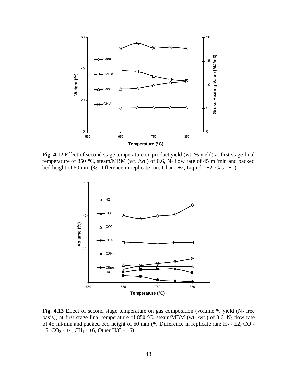

**Fig. 4.12** Effect of second stage temperature on product yield (wt. % yield) at first stage final temperature of 850 °C, steam/MBM (wt. /wt.) of 0.6,  $N_2$  flow rate of 45 ml/min and packed bed height of 60 mm (% Difference in replicate run: Char -  $\pm 2$ , Liquid -  $\pm 2$ , Gas -  $\pm 1$ )



**Fig. 4.13** Effect of second stage temperature on gas composition (volume % yield  $(N_2$  free basis)) at first stage final temperature of 850 °C, steam/MBM (wt. /wt.) of 0.6,  $N_2$  flow rate of 45 ml/min and packed bed height of 60 mm (% Difference in replicate run:  $H_2 - \pm 2$ , CO - $\pm 5$ , CO<sub>2</sub> -  $\pm 4$ , CH<sub>4</sub> -  $\pm 6$ , Other H/C -  $\pm 6$ )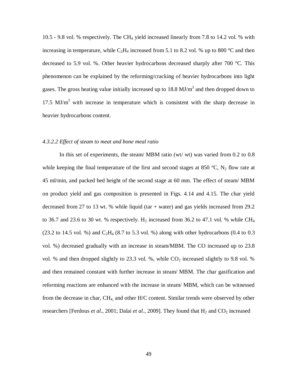10.5 - 9.8 vol. % respectively. The CH4 yield increased linearly from 7.8 to 14.2 vol. % with increasing in temperature, while  $C_2H_4$  increased from 5.1 to 8.2 vol. % up to 800 °C and then decreased to 5.9 vol. %. Other heavier hydrocarbons decreased sharply after 700 °C. This phenomenon can be explained by the reforming/cracking of heavier hydrocarbons into light gases. The gross heating value initially increased up to  $18.8 \text{ MJ/m}^3$  and then dropped down to 17.5  $MJ/m<sup>3</sup>$  with increase in temperature which is consistent with the sharp decrease in heavier hydrocarbons content.

# *4.3.2.2 Effect of steam to meat and bone meal ratio*

In this set of experiments, the steam/ MBM ratio (wt/ wt) was varied from 0.2 to 0.8 while keeping the final temperature of the first and second stages at 850  $^{\circ}C$ , N<sub>2</sub> flow rate at 45 ml/min, and packed bed height of the second stage at 60 mm. The effect of steam/ MBM on product yield and gas composition is presented in Figs. 4.14 and 4.15. The char yield decreased from 27 to 13 wt. % while liquid (tar + water) and gas yields increased from 29.2 to 36.7 and 23.6 to 30 wt. % respectively.  $H_2$  increased from 36.2 to 47.1 vol. % while CH<sub>4</sub> (23.2 to 14.5 vol. %) and  $C_2H_4$  (8.7 to 5.3 vol. %) along with other hydrocarbons (0.4 to 0.3 vol. %) decreased gradually with an increase in steam/MBM. The CO increased up to 23.8 vol. % and then dropped slightly to 23.3 vol. %, while  $CO<sub>2</sub>$  increased slightly to 9.8 vol. % and then remained constant with further increase in steam/ MBM. The char gasification and reforming reactions are enhanced with the increase in steam/ MBM, which can be witnessed from the decrease in char, CH4, and other H/C content. Similar trends were observed by other researchers [Ferdous *et al.*, 2001; Dalai *et al.*, 2009]. They found that H<sub>2</sub> and CO<sub>2</sub> increased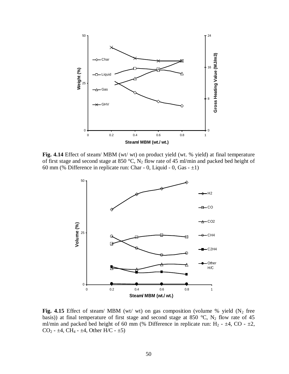

**Fig. 4.14** Effect of steam/ MBM (wt/ wt) on product yield (wt. % yield) at final temperature of first stage and second stage at 850 °C,  $N_2$  flow rate of 45 ml/min and packed bed height of 60 mm (% Difference in replicate run: Char - 0, Liquid - 0, Gas -  $\pm 1$ )



**Fig. 4.15** Effect of steam/ MBM (wt/ wt) on gas composition (volume % yield  $(N_2$  free basis)) at final temperature of first stage and second stage at 850 °C,  $N_2$  flow rate of 45 ml/min and packed bed height of 60 mm (% Difference in replicate run: H<sub>2</sub> -  $\pm$ 4, CO -  $\pm$ 2, CO<sub>2</sub> -  $\pm$ 4, CH<sub>4</sub> -  $\pm$ 4, Other H/C -  $\pm$ 5)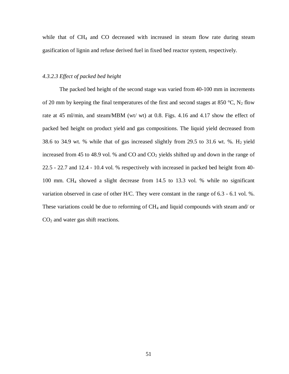while that of CH<sub>4</sub> and CO decreased with increased in steam flow rate during steam gasification of lignin and refuse derived fuel in fixed bed reactor system, respectively.

# *4.3.2.3 Effect of packed bed height*

The packed bed height of the second stage was varied from 40-100 mm in increments of 20 mm by keeping the final temperatures of the first and second stages at 850 °C,  $N_2$  flow rate at 45 ml/min, and steam/MBM (wt/ wt) at 0.8. Figs. 4.16 and 4.17 show the effect of packed bed height on product yield and gas compositions. The liquid yield decreased from 38.6 to 34.9 wt. % while that of gas increased slightly from 29.5 to 31.6 wt. %.  $H_2$  yield increased from 45 to 48.9 vol. % and  $CO$  and  $CO<sub>2</sub>$  yields shifted up and down in the range of 22.5 - 22.7 and 12.4 - 10.4 vol. % respectively with increased in packed bed height from 40- 100 mm. CH4 showed a slight decrease from 14.5 to 13.3 vol. % while no significant variation observed in case of other H/C. They were constant in the range of 6.3 - 6.1 vol. %. These variations could be due to reforming of CH<sub>4</sub> and liquid compounds with steam and/ or  $CO<sub>2</sub>$  and water gas shift reactions.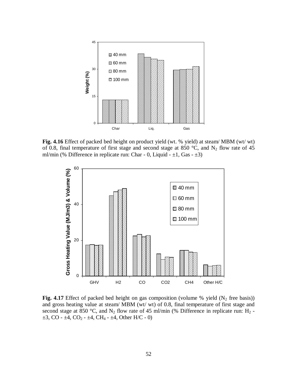

**Fig. 4.16** Effect of packed bed height on product yield (wt. % yield) at steam/ MBM (wt/ wt) of 0.8, final temperature of first stage and second stage at 850 °C, and  $N_2$  flow rate of 45 ml/min (% Difference in replicate run: Char - 0, Liquid -  $\pm 1$ , Gas -  $\pm 3$ )



**Fig. 4.17** Effect of packed bed height on gas composition (volume % yield  $(N_2$  free basis)) and gross heating value at steam/ MBM (wt/ wt) of 0.8, final temperature of first stage and second stage at 850 °C, and N<sub>2</sub> flow rate of 45 ml/min (% Difference in replicate run: H<sub>2</sub> - $\pm 3$ , CO -  $\pm 4$ , CO<sub>2</sub> -  $\pm 4$ , CH<sub>4</sub> -  $\pm 4$ , Other H/C - 0)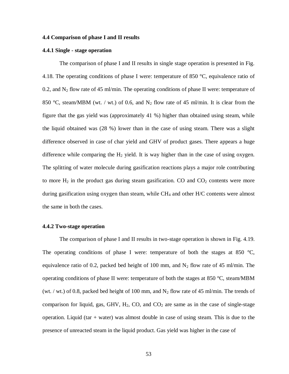#### **4.4 Comparison of phase I and II results**

## **4.4.1 Single - stage operation**

The comparison of phase I and II results in single stage operation is presented in Fig. 4.18. The operating conditions of phase I were: temperature of 850  $^{\circ}$ C, equivalence ratio of 0.2, and  $N_2$  flow rate of 45 ml/min. The operating conditions of phase II were: temperature of 850 °C, steam/MBM (wt. / wt.) of 0.6, and  $N_2$  flow rate of 45 ml/min. It is clear from the figure that the gas yield was (approximately 41 %) higher than obtained using steam, while the liquid obtained was (28 %) lower than in the case of using steam. There was a slight difference observed in case of char yield and GHV of product gases. There appears a huge difference while comparing the  $H_2$  yield. It is way higher than in the case of using oxygen. The splitting of water molecule during gasification reactions plays a major role contributing to more  $H_2$  in the product gas during steam gasification. CO and  $CO_2$  contents were more during gasification using oxygen than steam, while  $CH<sub>4</sub>$  and other  $H/C$  contents were almost the same in both the cases.

## **4.4.2 Two-stage operation**

The comparison of phase I and II results in two-stage operation is shown in Fig. 4.19. The operating conditions of phase I were: temperature of both the stages at 850  $^{\circ}C$ , equivalence ratio of 0.2, packed bed height of 100 mm, and  $N_2$  flow rate of 45 ml/min. The operating conditions of phase II were: temperature of both the stages at 850 °C, steam/MBM (wt. / wt.) of 0.8, packed bed height of 100 mm, and  $N_2$  flow rate of 45 ml/min. The trends of comparison for liquid, gas, GHV,  $H_2$ , CO, and  $CO_2$  are same as in the case of single-stage operation. Liquid (tar  $+$  water) was almost double in case of using steam. This is due to the presence of unreacted steam in the liquid product. Gas yield was higher in the case of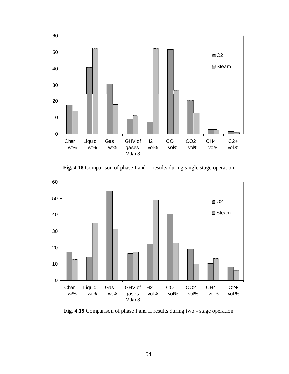

**Fig. 4.18** Comparison of phase I and II results during single stage operation



**Fig. 4.19** Comparison of phase I and II results during two - stage operation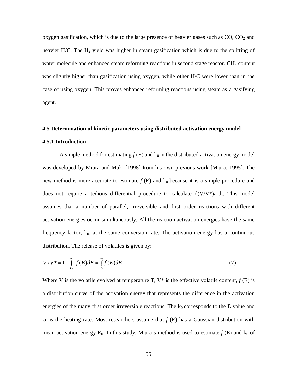oxygen gasification, which is due to the large presence of heavier gases such as  $CO$ ,  $CO<sub>2</sub>$  and heavier H/C. The  $H_2$  yield was higher in steam gasification which is due to the splitting of water molecule and enhanced steam reforming reactions in second stage reactor. CH<sub>4</sub> content was slightly higher than gasification using oxygen, while other H/C were lower than in the case of using oxygen. This proves enhanced reforming reactions using steam as a gasifying agent.

# **4.5 Determination of kinetic parameters using distributed activation energy model**

# **4.5.1 Introduction**

A simple method for estimating  $f(E)$  and  $k_0$  in the distributed activation energy model was developed by Miura and Maki [1998] from his own previous work [Miura, 1995]. The new method is more accurate to estimate  $f(E)$  and  $k_0$  because it is a simple procedure and does not require a tedious differential procedure to calculate  $d(V/V^*)/ dt$ . This model assumes that a number of parallel, irreversible and first order reactions with different activation energies occur simultaneously. All the reaction activation energies have the same frequency factor,  $k_0$ , at the same conversion rate. The activation energy has a continuous distribution. The release of volatiles is given by:

$$
V/V^* = 1 - \int_{Es}^{\infty} f(E)dE = \int_{0}^{Es} f(E)dE
$$
 (7)

Where V is the volatile evolved at temperature T,  $V^*$  is the effective volatile content,  $f(E)$  is a distribution curve of the activation energy that represents the difference in the activation energies of the many first order irreversible reactions. The  $k_0$  corresponds to the E value and *a* is the heating rate. Most researchers assume that *f* (E) has a Gaussian distribution with mean activation energy  $E_0$ . In this study, Miura's method is used to estimate  $f(E)$  and  $k_0$  of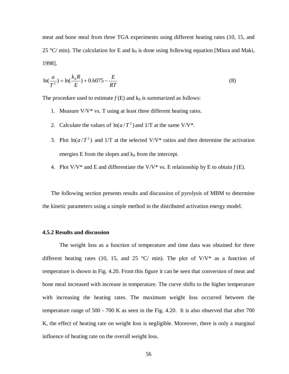meat and bone meal from three TGA experiments using different heating rates (10, 15, and 25 °C/ min). The calculation for E and  $k_0$  is done using following equation [Miura and Maki, 1998].

$$
\ln(\frac{a}{T^2}) = \ln(\frac{k_0 R}{E}) + 0.6075 - \frac{E}{RT}
$$
\n(8)

The procedure used to estimate  $f(E)$  and  $k_0$  is summarized as follows:

- 1. Measure  $V/V^*$  vs. T using at least three different heating rates.
- 2. Calculate the values of  $ln(a/T^2)$  and  $1/T$  at the same V/V<sup>\*</sup>.
- 3. Plot  $ln(a/T^2)$  and 1/T at the selected V/V<sup>\*</sup> ratios and then determine the activation energies  $E$  from the slopes and  $k_0$  from the intercept.
- 4. Plot  $V/V^*$  and E and differentiate the  $V/V^*$  vs. E relationship by E to obtain  $f(E)$ .

The following section presents results and discussion of pyrolysis of MBM to determine the kinetic parameters using a simple method in the distributed activation energy model.

# **4.5.2 Results and discussion**

The weight loss as a function of temperature and time data was obtained for three different heating rates (10, 15, and 25  $\degree$ C/ min). The plot of V/V\* as a function of temperature is shown in Fig. 4.20. From this figure it can be seen that conversion of meat and bone meal increased with increase in temperature. The curve shifts to the higher temperature with increasing the heating rates. The maximum weight loss occurred between the temperature range of 500 - 700 K as seen in the Fig. 4.20. It is also observed that after 700 K, the effect of heating rate on weight loss is negligible. Moreover, there is only a marginal influence of heating rate on the overall weight loss.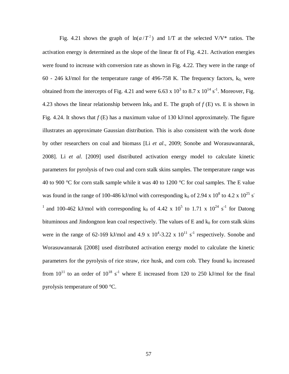Fig. 4.21 shows the graph of  $\ln(a/T^2)$  and 1/T at the selected V/V\* ratios. The activation energy is determined as the slope of the linear fit of Fig. 4.21. Activation energies were found to increase with conversion rate as shown in Fig. 4.22. They were in the range of 60 - 246 kJ/mol for the temperature range of 496-758 K. The frequency factors,  $k_0$ , were obtained from the intercepts of Fig. 4.21 and were 6.63 x  $10^3$  to 8.7 x  $10^{14}$  s<sup>-1</sup>. Moreover, Fig. 4.23 shows the linear relationship between  $\text{lnk}_0$  and E. The graph of  $f(E)$  vs. E is shown in Fig. 4.24. It shows that *f* (E) has a maximum value of 130 kJ/mol approximately. The figure illustrates an approximate Gaussian distribution. This is also consistent with the work done by other researchers on coal and biomass [Li *et al*., 2009; Sonobe and Worasuwannarak, 2008]. Li *et al*. [2009] used distributed activation energy model to calculate kinetic parameters for pyrolysis of two coal and corn stalk skins samples. The temperature range was 40 to 900 °C for corn stalk sample while it was 40 to 1200 °C for coal samples. The E value was found in the range of 100-486 kJ/mol with corresponding  $k_0$  of 2.94 x 10<sup>8</sup> to 4.2 x 10<sup>25</sup> s<sup>-</sup> <sup>1</sup> and 100-462 kJ/mol with corresponding  $k_0$  of 4.42 x 10<sup>5</sup> to 1.71 x 10<sup>24</sup> s<sup>-1</sup> for Datong bituminous and Jindongnon lean coal respectively. The values of  $E$  and  $k_0$  for corn stalk skins were in the range of 62-169 kJ/mol and 4.9 x  $10^4$ -3.22 x  $10^{11}$  s<sup>-1</sup> respectively. Sonobe and Worasuwannarak [2008] used distributed activation energy model to calculate the kinetic parameters for the pyrolysis of rice straw, rice husk, and corn cob. They found  $k_0$  increased from  $10^{11}$  to an order of  $10^{18}$  s<sup>-1</sup> where E increased from 120 to 250 kJ/mol for the final pyrolysis temperature of 900 °C.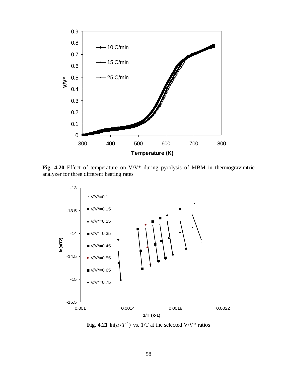

**Fig. 4.20** Effect of temperature on V/V\* during pyrolysis of MBM in thermogravimtric analyzer for three different heating rates



Fig. 4.21  $\ln(a/T^2)$  vs. 1/T at the selected V/V\* ratios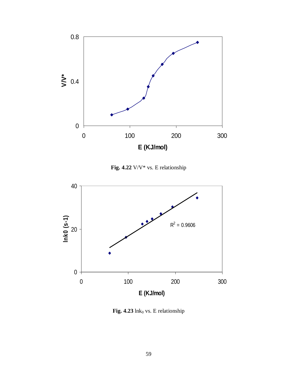

**Fig. 4.22** V/V\* vs. E relationship



Fig.  $4.23$  lnk<sub>0</sub> vs. E relationship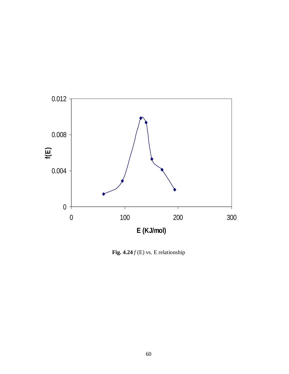

Fig.  $4.24 f(E)$  vs. E relationship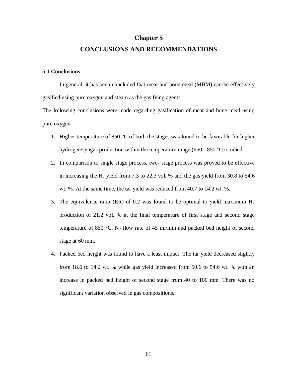#### **Chapter 5**

#### **CONCLUSIONS AND RECOMMENDATIONS**

#### **5.1 Conclusions**

In general, it has been concluded that meat and bone meal (MBM) can be effectively gasified using pure oxygen and steam as the gasifying agents.

The following conclusions were made regarding gasification of meat and bone meal using pure oxygen:

- 1. Higher temperature of 850  $\degree$ C of both the stages was found to be favorable for higher hydrogen/syngas production within the temperature range (650 - 850 °C) studied.
- 2. In comparison to single stage process, two- stage process was proved to be effective in increasing the  $H_2$  yield from 7.3 to 22.3 vol. % and the gas yield from 30.8 to 54.6 wt. %. At the same time, the tar yield was reduced from 40.7 to 14.2 wt. %.
- 3. The equivalence ratio (ER) of 0.2 was found to be optimal to yield maximum  $H_2$ production of 21.2 vol. % at the final temperature of first stage and second stage temperature of 850 °C,  $N_2$  flow rate of 45 ml/min and packed bed height of second stage at 60 mm.
- 4. Packed bed height was found to have a least impact. The tar yield decreased slightly from 18.6 to 14.2 wt. % while gas yield increased from 50.6 to 54.6 wt. % with an increase in packed bed height of second stage from 40 to 100 mm. There was no significant variation observed in gas compositions.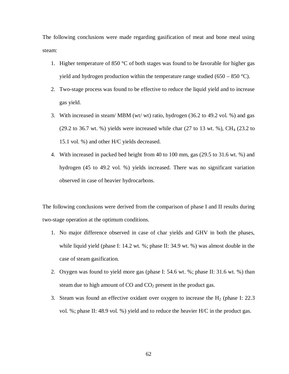The following conclusions were made regarding gasification of meat and bone meal using steam:

- 1. Higher temperature of 850  $\degree$ C of both stages was found to be favorable for higher gas yield and hydrogen production within the temperature range studied (650 – 850 °C).
- 2. Two-stage process was found to be effective to reduce the liquid yield and to increase gas yield.
- 3. With increased in steam/ MBM (wt/ wt) ratio, hydrogen (36.2 to 49.2 vol. %) and gas (29.2 to 36.7 wt. %) yields were increased while char (27 to 13 wt. %),  $CH_4$  (23.2 to 15.1 vol. %) and other H/C yields decreased.
- 4. With increased in packed bed height from 40 to 100 mm, gas (29.5 to 31.6 wt. %) and hydrogen (45 to 49.2 vol. %) yields increased. There was no significant variation observed in case of heavier hydrocarbons.

The following conclusions were derived from the comparison of phase I and II results during two-stage operation at the optimum conditions.

- 1. No major difference observed in case of char yields and GHV in both the phases, while liquid yield (phase I: 14.2 wt. %; phase II: 34.9 wt. %) was almost double in the case of steam gasification.
- 2. Oxygen was found to yield more gas (phase I: 54.6 wt. %; phase II: 31.6 wt. %) than steam due to high amount of  $CO$  and  $CO<sub>2</sub>$  present in the product gas.
- 3. Steam was found an effective oxidant over oxygen to increase the  $H_2$  (phase I: 22.3) vol. %; phase II: 48.9 vol. %) yield and to reduce the heavier H/C in the product gas.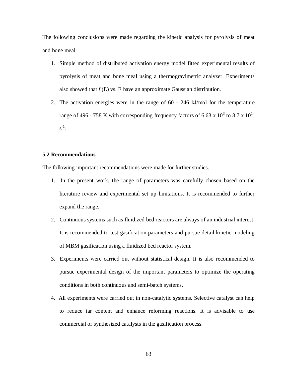The following conclusions were made regarding the kinetic analysis for pyrolysis of meat and bone meal:

- 1. Simple method of distributed activation energy model fitted experimental results of pyrolysis of meat and bone meal using a thermogravimetric analyzer. Experiments also showed that  $f(E)$  vs. E have an approximate Gaussian distribution.
- 2. The activation energies were in the range of 60 246 kJ/mol for the temperature range of 496 - 758 K with corresponding frequency factors of 6.63 x  $10^3$  to 8.7 x  $10^{14}$  $s^{-1}$ .

#### **5.2 Recommendations**

The following important recommendations were made for further studies.

- 1. In the present work, the range of parameters was carefully chosen based on the literature review and experimental set up limitations. It is recommended to further expand the range.
- 2. Continuous systems such as fluidized bed reactors are always of an industrial interest. It is recommended to test gasification parameters and pursue detail kinetic modeling of MBM gasification using a fluidized bed reactor system.
- 3. Experiments were carried out without statistical design. It is also recommended to pursue experimental design of the important parameters to optimize the operating conditions in both continuous and semi-batch systems.
- 4. All experiments were carried out in non-catalytic systems. Selective catalyst can help to reduce tar content and enhance reforming reactions. It is advisable to use commercial or synthesized catalysts in the gasification process.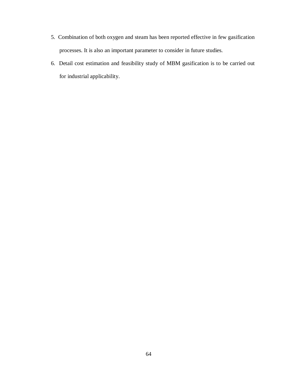- 5. Combination of both oxygen and steam has been reported effective in few gasification processes. It is also an important parameter to consider in future studies.
- 6. Detail cost estimation and feasibility study of MBM gasification is to be carried out for industrial applicability.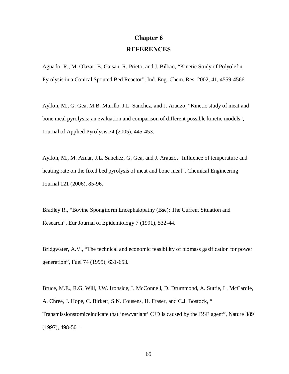# **Chapter 6 REFERENCES**

Aguado, R., M. Olazar, B. Gaisan, R. Prieto, and J. Bilbao, "Kinetic Study of Polyolefin Pyrolysis in a Conical Spouted Bed Reactor", Ind. Eng. Chem. Res. 2002, 41, 4559-4566

Ayllon, M., G. Gea, M.B. Murillo, J.L. Sanchez, and J. Arauzo, "Kinetic study of meat and bone meal pyrolysis: an evaluation and comparison of different possible kinetic models", Journal of Applied Pyrolysis 74 (2005), 445-453.

Ayllon, M., M. Aznar, J.L. Sanchez, G. Gea, and J. Arauzo, "Influence of temperature and heating rate on the fixed bed pyrolysis of meat and bone meal", Chemical Engineering Journal 121 (2006), 85-96.

Bradley R., "Bovine Spongiform Encephalopathy (Bse): The Current Situation and Research", Eur Journal of Epidemiology 7 (1991), 532-44.

Bridgwater, A.V., "The technical and economic feasibility of biomass gasification for power generation", Fuel 74 (1995), 631-653.

Bruce, M.E., R.G. Will, J.W. Ironside, I. McConnell, D. Drummond, A. Suttie, L. McCardle, A. Chree, J. Hope, C. Birkett, S.N. Cousens, H. Fraser, and C.J. Bostock, " Transmissionstomiceindicate that 'newvariant' CJD is caused by the BSE agent", Nature 389 (1997), 498-501.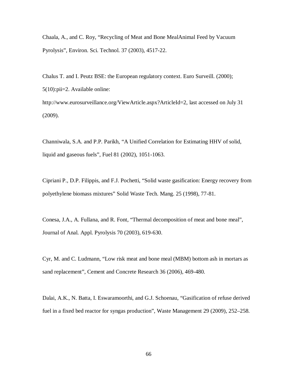Chaala, A., and C. Roy, "Recycling of Meat and Bone MealAnimal Feed by Vacuum Pyrolysis", Environ. Sci. Technol. 37 (2003), 4517-22.

Chalus T. and I. Peutz BSE: the European regulatory context. Euro Surveill. (2000); 5(10):pii=2. Available online: http://www.eurosurveillance.org/ViewArticle.aspx?ArticleId=2, last accessed on July 31 (2009).

Channiwala, S.A. and P.P. Parikh, "A Unified Correlation for Estimating HHV of solid, liquid and gaseous fuels", Fuel 81 (2002), 1051-1063.

Cipriani P., D.P. Filippis, and F.J. Pochetti, "Solid waste gasification: Energy recovery from polyethylene biomass mixtures" Solid Waste Tech. Mang. 25 (1998), 77-81.

Conesa, J.A., A. Fullana, and R. Font, "Thermal decomposition of meat and bone meal", Journal of Anal. Appl. Pyrolysis 70 (2003), 619-630.

Cyr, M. and C. Ludmann, "Low risk meat and bone meal (MBM) bottom ash in mortars as sand replacement", Cement and Concrete Research 36 (2006), 469-480.

Dalai, A.K., N. Batta, I. Eswaramoorthi, and G.J. Schoenau, "Gasification of refuse derived fuel in a fixed bed reactor for syngas production", Waste Management 29 (2009), 252–258.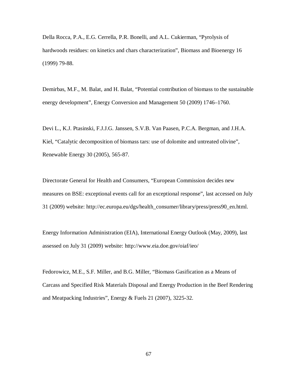Della Rocca, P.A., E.G. Cerrella, P.R. Bonelli, and A.L. Cukierman, "Pyrolysis of hardwoods residues: on kinetics and chars characterization", Biomass and Bioenergy 16 (1999) 79-88.

Demirbas, M.F., M. Balat, and H. Balat, "Potential contribution of biomass to the sustainable energy development", Energy Conversion and Management 50 (2009) 1746–1760.

Devi L., K.J. Ptasinski, F.J.J.G. Janssen, S.V.B. Van Paasen, P.C.A. Bergman, and J.H.A. Kiel, "Catalytic decomposition of biomass tars: use of dolomite and untreated olivine", Renewable Energy 30 (2005), 565-87.

Directorate General for Health and Consumers, "European Commission decides new measures on BSE: exceptional events call for an exceptional response", last accessed on July 31 (2009) website: http://ec.europa.eu/dgs/health\_consumer/library/press/press90\_en.html.

Energy Information Administration (EIA), International Energy Outlook (May, 2009), last assessed on July 31 (2009) website: http://www.eia.doe.gov/oiaf/ieo/

Fedorowicz, M.E., S.F. Miller, and B.G. Miller, "Biomass Gasification as a Means of Carcass and Specified Risk Materials Disposal and Energy Production in the Beef Rendering and Meatpacking Industries", Energy & Fuels 21 (2007), 3225-32.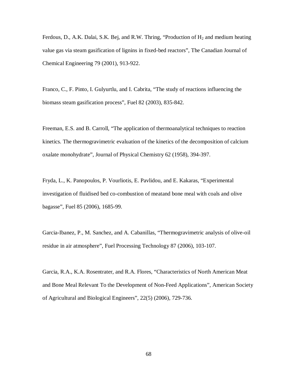Ferdous, D., A.K. Dalai, S.K. Bej, and R.W. Thring, "Production of  $H_2$  and medium heating value gas via steam gasification of lignins in fixed-bed reactors", The Canadian Journal of Chemical Engineering 79 (2001), 913-922.

Franco, C., F. Pinto, I. Gulyurtlu, and I. Cabrita, "The study of reactions influencing the biomass steam gasification process", Fuel 82 (2003), 835-842.

Freeman, E.S. and B. Carroll, "The application of thermoanalytical techniques to reaction kinetics. The thermogravimetric evaluation of the kinetics of the decomposition of calcium oxalate monohydrate", Journal of Physical Chemistry 62 (1958), 394-397.

Fryda, L., K. Panopoulos, P. Vourliotis, E. Pavlidou, and E. Kakaras, "Experimental investigation of fluidised bed co-combustion of meatand bone meal with coals and olive bagasse", Fuel 85 (2006), 1685-99.

Garcia-Ibanez, P., M. Sanchez, and A. Cabanillas, "Thermogravimetric analysis of olive-oil residue in air atmosphere", Fuel Processing Technology 87 (2006), 103-107.

Garcia, R.A., K.A. Rosentrater, and R.A. Flores, "Characteristics of North American Meat and Bone Meal Relevant To the Development of Non-Feed Applications", American Society of Agricultural and Biological Engineers", 22(5) (2006), 729-736.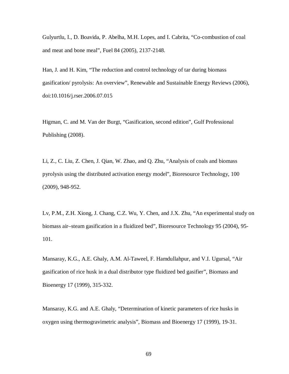Gulyurtlu, I., D. Boavida, P. Abelha, M.H. Lopes, and I. Cabrita, "Co-combustion of coal and meat and bone meal", Fuel 84 (2005), 2137-2148.

Han, J. and H. Kim, "The reduction and control technology of tar during biomass gasification/ pyrolysis: An overview", Renewable and Sustainable Energy Reviews (2006), doi:10.1016/j.rser.2006.07.015

Higman, C. and M. Van der Burgt, "Gasification, second edition", Gulf Professional Publishing (2008).

Li, Z., C. Liu, Z. Chen, J. Qian, W. Zhao, and Q. Zhu, "Analysis of coals and biomass pyrolysis using the distributed activation energy model", Bioresource Technology, 100 (2009), 948-952.

Lv, P.M., Z.H. Xiong, J. Chang, C.Z. Wu, Y. Chen, and J.X. Zhu, "An experimental study on biomass air–steam gasification in a fluidized bed", Bioresource Technology 95 (2004), 95- 101.

Mansaray, K.G., A.E. Ghaly, A.M. Al-Taweel, F. Hamdullahpur, and V.I. Ugursal, "Air gasification of rice husk in a dual distributor type fluidized bed gasifier", Biomass and Bioenergy 17 (1999), 315-332.

Mansaray, K.G. and A.E. Ghaly, "Determination of kinetic parameters of rice husks in oxygen using thermogravimetric analysis", Biomass and Bioenergy 17 (1999), 19-31.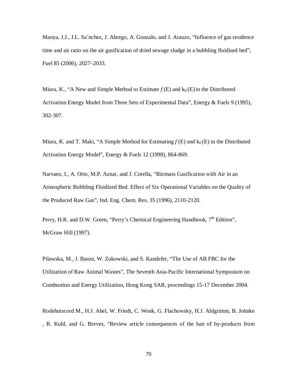Manya, J.J., J.L. Sa´nchez, J. Abrego, A. Gonzalo, and J. Arauzo, "Influence of gas residence time and air ratio on the air gasification of dried sewage sludge in a bubbling fluidised bed", Fuel 85 (2006), 2027–2033.

Miura, K., "A New and Simple Method to Estimate  $f(E)$  and  $k_0(E)$  in the Distributed Activation Energy Model from Three Sets of Experimental Data", Energy & Fuels 9 (1995), 302-307.

Miura, K. and T. Maki, "A Simple Method for Estimating  $f(E)$  and  $k_0(E)$  in the Distributed Activation Energy Model", Energy & Fuels 12 (1998), 864-869.

Narvaez, I., A. Orio, M.P. Aznar, and J. Corella, "Biomass Gasification with Air in an Atmospheric Bubbling Fluidized Bed. Effect of Six Operational Variables on the Quality of the Produced Raw Gas", Ind. Eng. Chem. Res. 35 (1996), 2110-2120.

Perry, H.R. and D.W. Green, "Perry's Chemical Engineering Handbook,  $7<sup>th</sup>$  Edition", McGraw Hill (1997).

Pilawska, M., J. Baron, W. Zukowski, and S. Kandefer, "The Use of AB FBC for the Utilization of Raw Animal Wastes", The Seventh Asia-Pacific International Symposium on Combustion and Energy Utilization, Hong Kong SAR, proceedings 15-17 December 2004.

Rodehutscord M., H.J. Abel, W. Friedt, C. Wenk, G. Flachowsky, H.J. Ahlgrimm, B. Johnke , R. Kuhl, and G. Breves, "Review article consequences of the ban of by-products from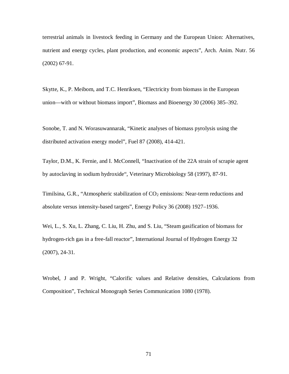terrestrial animals in livestock feeding in Germany and the European Union: Alternatives, nutrient and energy cycles, plant production, and economic aspects", Arch. Anim. Nutr. 56 (2002) 67-91.

Skytte, K., P. Meibom, and T.C. Henriksen, "Electricity from biomass in the European union—with or without biomass import", Biomass and Bioenergy 30 (2006) 385–392.

Sonobe, T. and N. Worasuwannarak, "Kinetic analyses of biomass pyrolysis using the distributed activation energy model", Fuel 87 (2008), 414-421.

Taylor, D.M., K. Fernie, and I. McConnell, "Inactivation of the 22A strain of scrapie agent by autoclaving in sodium hydroxide", Veterinary Microbiology 58 (1997), 87-91.

Timilsina, G.R., "Atmospheric stabilization of  $CO<sub>2</sub>$  emissions: Near-term reductions and absolute versus intensity-based targets", Energy Policy 36 (2008) 1927–1936.

Wei, L., S. Xu, L. Zhang, C. Liu, H. Zhu, and S. Liu, "Steam gasification of biomass for hydrogen-rich gas in a free-fall reactor", International Journal of Hydrogen Energy 32 (2007), 24-31.

Wrobel, J and P. Wright, "Calorific values and Relative densities, Calculations from Composition", Technical Monograph Series Communication 1080 (1978).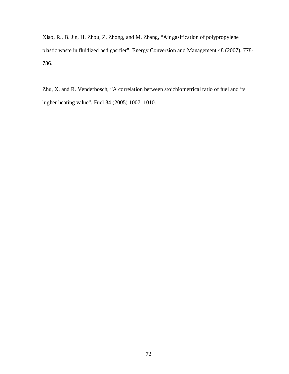Xiao, R., B. Jin, H. Zhou, Z. Zhong, and M. Zhang, "Air gasification of polypropylene plastic waste in fluidized bed gasifier", Energy Conversion and Management 48 (2007), 778- 786.

Zhu, X. and R. Venderbosch, "A correlation between stoichiometrical ratio of fuel and its higher heating value", Fuel 84 (2005) 1007–1010.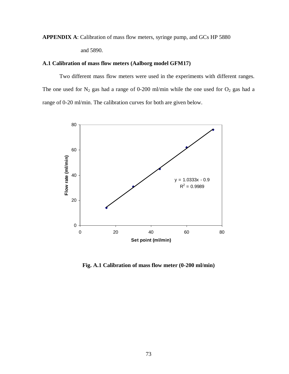# **APPENDIX A**: Calibration of mass flow meters, syringe pump, and GCs HP 5880 and 5890.

#### **A.1 Calibration of mass flow meters (Aalborg model GFM17)**

Two different mass flow meters were used in the experiments with different ranges. The one used for  $N_2$  gas had a range of 0-200 ml/min while the one used for  $O_2$  gas had a range of 0-20 ml/min. The calibration curves for both are given below.



**Fig. A.1 Calibration of mass flow meter (0-200 ml/min)**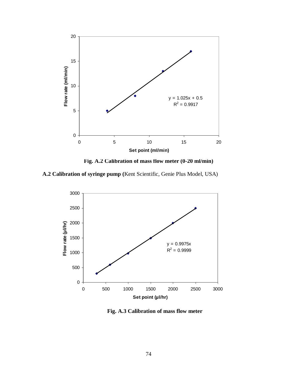

**Fig. A.2 Calibration of mass flow meter (0-20 ml/min)**

**A.2 Calibration of syringe pump (**Kent Scientific, Genie Plus Model, USA)



**Fig. A.3 Calibration of mass flow meter**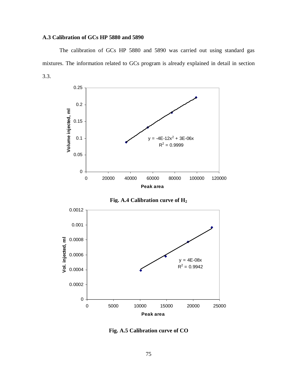#### **A.3 Calibration of GCs HP 5880 and 5890**

The calibration of GCs HP 5880 and 5890 was carried out using standard gas mixtures. The information related to GCs program is already explained in detail in section 3.3.





**Fig. A.5 Calibration curve of CO**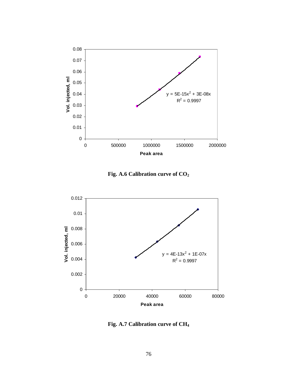

**Fig. A.6 Calibration curve of CO<sup>2</sup>**



**Fig. A.7 Calibration curve of CH<sup>4</sup>**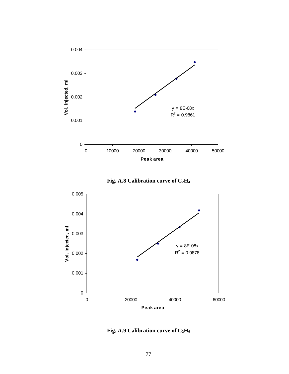





**Fig. A.9 Calibration curve of C2H<sup>6</sup>**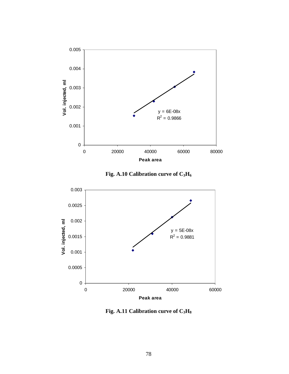





**Fig. A.11 Calibration curve of C3H<sup>8</sup>**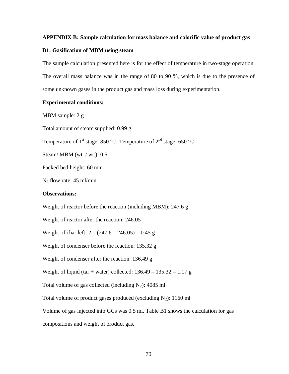#### **APPENDIX B: Sample calculation for mass balance and calorific value of product gas**

#### **B1: Gasification of MBM using steam**

The sample calculation presented here is for the effect of temperature in two-stage operation. The overall mass balance was in the range of 80 to 90 %, which is due to the presence of some unknown gases in the product gas and mass loss during experimentation.

#### **Experimental conditions:**

MBM sample: 2 g

Total amount of steam supplied: 0.99 g

Temperature of 1<sup>st</sup> stage: 850 °C, Temperature of 2<sup>nd</sup> stage: 650 °C

Steam/ MBM (wt. / wt.): 0.6

Packed bed height: 60 mm

 $N_2$  flow rate: 45 ml/min

#### **Observations:**

Weight of reactor before the reaction (including MBM): 247.6 g

Weight of reactor after the reaction: 246.05

Weight of char left:  $2 - (247.6 - 246.05) = 0.45$  g

Weight of condenser before the reaction: 135.32 g

Weight of condenser after the reaction: 136.49 g

Weight of liquid (tar + water) collected:  $136.49 - 135.32 = 1.17$  g

Total volume of gas collected (including  $N_2$ ): 4085 ml

Total volume of product gases produced (excluding  $N_2$ ): 1160 ml

Volume of gas injected into GCs was 0.5 ml. Table B1 shows the calculation for gas

compositions and weight of product gas.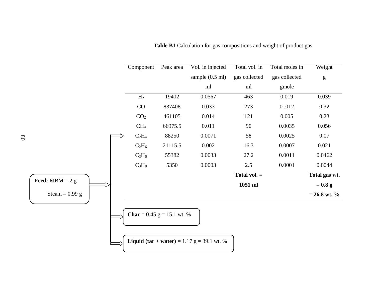|                          | Component                           | Peak area | Vol. in injected                                    | Total vol. in  | Total moles in | Weight                                                                                                                                                                                                                                                                                                                                                                                                                         |
|--------------------------|-------------------------------------|-----------|-----------------------------------------------------|----------------|----------------|--------------------------------------------------------------------------------------------------------------------------------------------------------------------------------------------------------------------------------------------------------------------------------------------------------------------------------------------------------------------------------------------------------------------------------|
|                          |                                     |           | sample $(0.5 \text{ ml})$                           | gas collected  | gas collected  | $\mathbf{g}% _{T}=\mathbf{g}_{T}=\mathbf{g}_{T}=\mathbf{g}_{T}=\mathbf{g}_{T}=\mathbf{g}_{T}=\mathbf{g}_{T}=\mathbf{g}_{T}=\mathbf{g}_{T}=\mathbf{g}_{T}=\mathbf{g}_{T}=\mathbf{g}_{T}=\mathbf{g}_{T}=\mathbf{g}_{T}=\mathbf{g}_{T}=\mathbf{g}_{T}=\mathbf{g}_{T}=\mathbf{g}_{T}=\mathbf{g}_{T}=\mathbf{g}_{T}=\mathbf{g}_{T}=\mathbf{g}_{T}=\mathbf{g}_{T}=\mathbf{g}_{T}=\mathbf{g}_{T}=\mathbf{g}_{T}=\mathbf{g}_{T}=\math$ |
|                          |                                     |           | ml                                                  | ml             | gmole          |                                                                                                                                                                                                                                                                                                                                                                                                                                |
|                          | H <sub>2</sub>                      | 19402     | 0.0567                                              | 463            | 0.019          | 0.039                                                                                                                                                                                                                                                                                                                                                                                                                          |
|                          | CO                                  | 837408    | 0.033                                               | 273            | 0.012          | 0.32                                                                                                                                                                                                                                                                                                                                                                                                                           |
|                          | CO <sub>2</sub>                     | 461105    | 0.014                                               | 121            | 0.005          | 0.23                                                                                                                                                                                                                                                                                                                                                                                                                           |
|                          | CH <sub>4</sub>                     | 66975.5   | 0.011                                               | 90             | 0.0035         | 0.056                                                                                                                                                                                                                                                                                                                                                                                                                          |
|                          | $C_2H_4$                            | 88250     | 0.0071                                              | 58             | 0.0025         | 0.07                                                                                                                                                                                                                                                                                                                                                                                                                           |
|                          | $C_2H_6$                            | 21115.5   | 0.002                                               | 16.3           | 0.0007         | 0.021                                                                                                                                                                                                                                                                                                                                                                                                                          |
|                          | $C_3H_6$                            | 55382     | 0.0033                                              | 27.2           | 0.0011         | 0.0462                                                                                                                                                                                                                                                                                                                                                                                                                         |
|                          | $C_3H_8$                            | 5350      | 0.0003                                              | 2.5            | 0.0001         | 0.0044                                                                                                                                                                                                                                                                                                                                                                                                                         |
|                          |                                     |           |                                                     | Total vol. $=$ |                | Total gas wt.                                                                                                                                                                                                                                                                                                                                                                                                                  |
| <b>Feed:</b> MBM = $2 g$ |                                     |           |                                                     | 1051 ml        |                | $= 0.8 g$                                                                                                                                                                                                                                                                                                                                                                                                                      |
| Steam = $0.99$ g         |                                     |           |                                                     |                |                | $= 26.8$ wt. %                                                                                                                                                                                                                                                                                                                                                                                                                 |
|                          | <b>Char</b> = $0.45$ g = 15.1 wt. % |           | <b>Liquid (tar + water)</b> = 1.17 $g = 39.1$ wt. % |                |                |                                                                                                                                                                                                                                                                                                                                                                                                                                |

**Table B1** Calculation for gas compositions and weight of product gas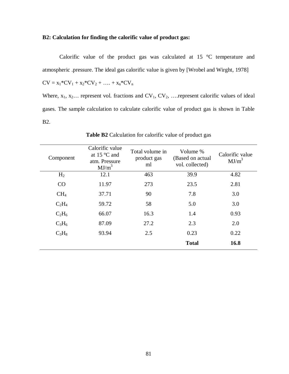#### **B2: Calculation for finding the calorific value of product gas:**

Calorific value of the product gas was calculated at 15 °C temperature and atmospheric .pressure. The ideal gas calorific value is given by [Wrobel and Wirght, 1978]

$$
CV = x_1*CV_1 + x_2*CV_2 + \ldots + x_n*CV_n
$$

Where,  $x_1, x_2, \ldots$  represent vol. fractions and  $CV_1, CV_2, \ldots$  represent calorific values of ideal gases. The sample calculation to calculate calorific value of product gas is shown in Table B2.

| Component       | Calorific value<br>at $15^{\circ}$ C and<br>atm. Pressure<br>$MJ/m^3$ | Total volume in<br>product gas<br>ml | Volume %<br>(Based on actual<br>vol. collected) | Calorific value<br>$MJ/m^3$ |
|-----------------|-----------------------------------------------------------------------|--------------------------------------|-------------------------------------------------|-----------------------------|
| H <sub>2</sub>  | 12.1                                                                  | 463                                  | 39.9                                            | 4.82                        |
| CO              | 11.97                                                                 | 273                                  | 23.5                                            | 2.81                        |
| CH <sub>4</sub> | 37.71                                                                 | 90                                   | 7.8                                             | 3.0                         |
| $C_2H_4$        | 59.72                                                                 | 58                                   | 5.0                                             | 3.0                         |
| $C_2H_6$        | 66.07                                                                 | 16.3                                 | 1.4                                             | 0.93                        |
| $C_3H_6$        | 87.09                                                                 | 27.2                                 | 2.3                                             | 2.0                         |
| $C_3H_8$        | 93.94                                                                 | 2.5                                  | 0.23                                            | 0.22                        |
|                 |                                                                       |                                      | <b>Total</b>                                    | 16.8                        |

**Table B2** Calculation for calorific value of product gas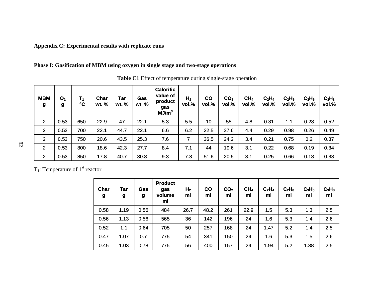#### **Appendix C: Experimental results with replicate runs**

#### **Phase I: Gasification of MBM using oxygen in single stage and two-stage operations**

| <b>MBM</b><br>g | O <sub>2</sub><br>g | Τ,<br>$\mathbf{C}$ | <b>Char</b><br>wt. % | Tar<br>wt. % | Gas<br>wt. % | <b>Calorific</b><br>value of<br>product<br>gas<br>MJ/m <sup>3</sup> | H <sub>2</sub><br>vol.% | $\mathbf{co}$<br>vol.% | CO <sub>2</sub><br>vol.% | CH <sub>4</sub><br>vol.% | $C_2H_4$<br>vol.% | $C_2H_6$<br>vol.% | $C_3H_6$<br>vol.% | $C_3H_8$<br>vol.% |
|-----------------|---------------------|--------------------|----------------------|--------------|--------------|---------------------------------------------------------------------|-------------------------|------------------------|--------------------------|--------------------------|-------------------|-------------------|-------------------|-------------------|
| $\overline{2}$  | 0.53                | 650                | 22.9                 | 47           | 22.1         | 5.3                                                                 | 5.5                     | 10                     | 55                       | 4.8                      | 0.31              | 1.1               | 0.28              | 0.52              |
| $\overline{2}$  | 0.53                | 700                | 22.1                 | 44.7         | 22.1         | 6.6                                                                 | 6.2                     | 22.5                   | 37.6                     | 4.4                      | 0.29              | 0.98              | 0.26              | 0.49              |
| $\overline{2}$  | 0.53                | 750                | 20.6                 | 43.5         | 25.3         | 7.6                                                                 | 7                       | 36.5                   | 24.2                     | 3.4                      | 0.21              | 0.75              | 0.2               | 0.37              |
| $\overline{2}$  | 0.53                | 800                | 18.6                 | 42.3         | 27.7         | 8.4                                                                 | 7.1                     | 44                     | 19.6                     | 3.1                      | 0.22              | 0.68              | 0.19              | 0.34              |
| $\overline{2}$  | 0.53                | 850                | 17.8                 | 40.7         | 30.8         | 9.3                                                                 | 7.3                     | 51.6                   | 20.5                     | 3.1                      | 0.25              | 0.66              | 0.18              | 0.33              |

**Table C1** Effect of temperature during single-stage operation

T<sub>1</sub>: Temperature of  $1<sup>st</sup>$  reactor

| Char<br>$\boldsymbol{g}$ | <b>Tar</b><br>g | Gas<br>g | <b>Product</b><br>gas<br>volume<br>ml | H <sub>2</sub><br>ml | $\mathbf{CO}$<br>ml | CO <sub>2</sub><br>ml | CH <sub>4</sub><br>ml | C <sub>2</sub> H <sub>4</sub><br>ml | $C_2H_6$<br>ml | $C_3H_6$<br>ml | $C_3H_8$<br>ml |
|--------------------------|-----------------|----------|---------------------------------------|----------------------|---------------------|-----------------------|-----------------------|-------------------------------------|----------------|----------------|----------------|
| 0.58                     | 1.19            | 0.56     | 484                                   | 26.7                 | 48.2                | 261                   | 22.9                  | 1.5                                 | 5.3            | 1.3            | 2.5            |
| 0.56                     | 1.13            | 0.56     | 565                                   | 36                   | 142                 | 196                   | 24                    | 1.6                                 | 5.3            | 1.4            | 2.6            |
| 0.52                     | 1.1             | 0.64     | 705                                   | 50                   | 257                 | 168                   | 24                    | 1.47                                | 5.2            | 1.4            | 2.5            |
| 0.47                     | 1.07            | 0.7      | 775                                   | 54                   | 341                 | 150                   | 24                    | 1.6                                 | 5.3            | 1.5            | 2.6            |
| 0.45                     | 1.03            | 0.78     | 775                                   | 56                   | 400                 | 157                   | 24                    | 1.94                                | 5.2            | 1.38           | 2.5            |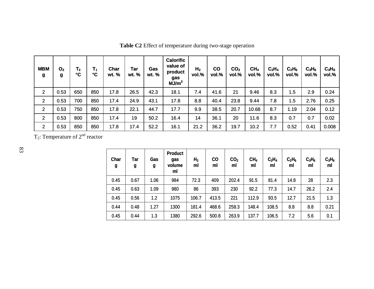| <b>MBM</b><br>g | O <sub>2</sub><br>g | $T_{2}$<br>°C | Τ,<br>°C | Char<br>wt. % | Tar<br>wt. % | Gas<br>wt. % | <b>Calorific</b><br>value of<br>product<br>gas<br>MJ/m <sup>3</sup> | H <sub>2</sub><br>vol.% | $\mathbf{c}\mathbf{o}$<br>vol.% | CO <sub>2</sub><br>vol.% | CH <sub>4</sub><br>vol.% | $C_2H_4$<br>vol.% | $C_2H_6$<br>vol.% | $C_3H_6$<br>vol.% | $C_3H_8$<br>vol.% |
|-----------------|---------------------|---------------|----------|---------------|--------------|--------------|---------------------------------------------------------------------|-------------------------|---------------------------------|--------------------------|--------------------------|-------------------|-------------------|-------------------|-------------------|
| $\overline{2}$  | 0.53                | 650           | 850      | 17.8          | 26.5         | 42.3         | 18.1                                                                | 7.4                     | 41.6                            | 21                       | 9.46                     | 8.3               | 1.5               | 2.9               | 0.24              |
| $\overline{2}$  | 0.53                | 700           | 850      | 17.4          | 24.9         | 43.1         | 17.8                                                                | 8.8                     | 40.4                            | 23.8                     | 9.44                     | 7.8               | 1.5               | 2.76              | 0.25              |
| $\overline{2}$  | 0.53                | 750           | 850      | 17.8          | 22.1         | 44.7         | 17.7                                                                | 9.9                     | 38.5                            | 20.7                     | 10.68                    | 8.7               | 1.19              | 2.04              | 0.12              |
| $\overline{2}$  | 0.53                | 800           | 850      | 17.4          | 19           | 50.2         | 16.4                                                                | 14                      | 36.1                            | 20                       | 11.6                     | 8.3               | 0.7               | 0.7               | 0.02              |
| $\overline{2}$  | 0.53                | 850           | 850      | 17.8          | 17.4         | 52.2         | 16.1                                                                | 21.2                    | 36.2                            | 19.7                     | 10.2                     | 7.7               | 0.52              | 0.41              | 0.008             |

**Table C2** Effect of temperature during two-stage operation

T<sub>2</sub>: Temperature of  $2^{nd}$  reactor

| Char<br>g | <b>Tar</b><br>9 | Gas<br>g | <b>Product</b><br>gas<br>volume<br>ml | H <sub>2</sub><br>ml | <b>CO</b><br>ml | CO <sub>2</sub><br>ml | CH <sub>4</sub><br>ml | $C_2H_4$<br>ml | $C_2H_6$<br>ml | $C_3H_6$<br>ml | $C_3H_8$<br>ml |
|-----------|-----------------|----------|---------------------------------------|----------------------|-----------------|-----------------------|-----------------------|----------------|----------------|----------------|----------------|
| 0.45      | 0.67            | 1.06     | 984                                   | 72.3                 | 409             | 202.4                 | 91.5                  | 81.4           | 14.8           | 28             | 2.3            |
| 0.45      | 0.63            | 1.09     | 980                                   | 86                   | 393             | 230                   | 92.2                  | 77.3           | 14.7           | 26.2           | 2.4            |
| 0.45      | 0.56            | 1.2      | 1075                                  | 106.7                | 413.5           | 221                   | 112.9                 | 93.5           | 12.7           | 21.5           | 1.3            |
| 0.44      | 0.48            | 1.27     | 1300                                  | 181.4                | 468.6           | 258.3                 | 148.4                 | 108.5          | 8.8            | 8.8            | 0.21           |
| 0.45      | 0.44            | 1.3      | 1380                                  | 292.6                | 500.8           | 263.9                 | 137.7                 | 106.5          | 7.2            | 5.6            | 0.1            |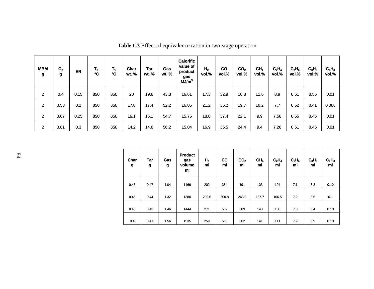| <b>MBM</b><br>g | O <sub>2</sub><br>g | ER   | $T_{2}$<br>$\mathbf{C}$ | $T_1$<br>°C | Char<br>wt. % | Tar<br>wt. % | Gas<br>wt. % | <b>Calorific</b><br>value of<br>product<br>gas<br>MJ/m <sup>3</sup> | H <sub>2</sub><br>vol.% | <b>CO</b><br>vol.% | CO <sub>2</sub><br>vol.% | CH <sub>4</sub><br>vol.% | C <sub>2</sub> H <sub>4</sub><br>vol.% | $C_2H_6$<br>vol.% | $C_3H_6$<br>vol.% | $C_3H_8$<br>vol.% |
|-----------------|---------------------|------|-------------------------|-------------|---------------|--------------|--------------|---------------------------------------------------------------------|-------------------------|--------------------|--------------------------|--------------------------|----------------------------------------|-------------------|-------------------|-------------------|
| $\overline{2}$  | 0.4                 | 0.15 | 850                     | 850         | 20            | 19.6         | 43.3         | 16.61                                                               | 17.3                    | 32.9               | 16.8                     | 11.6                     | 8.9                                    | 0.61              | 0.55              | 0.01              |
| $\overline{2}$  | 0.53                | 0.2  | 850                     | 850         | 17.8          | 17.4         | 52.2         | 16.05                                                               | 21.2                    | 36.2               | 19.7                     | 10.2                     | 7.7                                    | 0.52              | 0.41              | 0.008             |
| $\overline{2}$  | 0.67                | 0.25 | 850                     | 850         | 16.1          | 16.1         | 54.7         | 15.75                                                               | 18.8                    | 37.4               | 22.1                     | 9.9                      | 7.56                                   | 0.55              | 0.45              | 0.01              |
| $\overline{2}$  | 0.81                | 0.3  | 850                     | 850         | 14.2          | 14.6         | 56.2         | 15.04                                                               | 16.9                    | 36.5               | 24.4                     | 9.4                      | 7.26                                   | 0.51              | 0.46              | 0.01              |

**Table C3** Effect of equivalence ration in two-stage operation

| Char<br>g | Tar<br>g | Gas<br>g | <b>Product</b><br>gas<br>volume<br>ml | H <sub>2</sub><br>ml | $\mathbf{co}$<br>ml | CO <sub>2</sub><br>ml | CH <sub>4</sub><br>ml | $C_2H_4$<br>ml | $C_2H_6$<br>ml | $C_3H_6$<br>ml | $C_3H_8$<br>ml |
|-----------|----------|----------|---------------------------------------|----------------------|---------------------|-----------------------|-----------------------|----------------|----------------|----------------|----------------|
| 0.48      | 0.47     | 1.04     | 1169                                  | 202                  | 384                 | 191                   | 133                   | 104            | 7.1            | 6.3            | 0.12           |
| 0.45      | 0.44     | 1.32     | 1380                                  | 292.6                | 500.8               | 263.9                 | 137.7                 | 106.5          | 7.2            | 5.6            | 0.1            |
| 0.43      | 0.43     | 1.46     | 1444                                  | 271                  | 539                 | 309                   | 140                   | 108            | 7.8            | 6.4            | 0.13           |
| 0.4       | 0.41     | 1.56     | 1535                                  | 259                  | 560                 | 362                   | 141                   | 111            | 7.9            | 6.9            | 0.13           |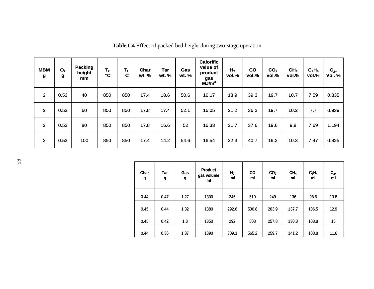| <b>MBM</b><br>g | O <sub>2</sub><br>g | <b>Packing</b><br>height<br>mm | T <sub>2</sub><br>°C | $T_1$<br>$\mathbf{C}$ | Char<br>wt. % | <b>Tar</b><br>wt. % | Gas<br>wt. % | <b>Calorific</b><br>value of<br>product<br>gas<br>MJ/m <sup>3</sup> | H <sub>2</sub><br>vol.% | co<br>vol.% | CO <sub>2</sub><br>vol.% | CH <sub>4</sub><br>vol.% | $C_2H_4$<br>vol.% | $\mathbf{C_{2+}}$<br>Vol. % |
|-----------------|---------------------|--------------------------------|----------------------|-----------------------|---------------|---------------------|--------------|---------------------------------------------------------------------|-------------------------|-------------|--------------------------|--------------------------|-------------------|-----------------------------|
| $\overline{2}$  | 0.53                | 40                             | 850                  | 850                   | 17.4          | 18.6                | 50.6         | 16.17                                                               | 18.9                    | 39.3        | 19.7                     | 10.7                     | 7.59              | 0.835                       |
| $\overline{2}$  | 0.53                | 60                             | 850                  | 850                   | 17.8          | 17.4                | 52.1         | 16.05                                                               | 21.2                    | 36.2        | 19.7                     | 10.2                     | 7.7               | 0.938                       |
| $\overline{2}$  | 0.53                | 80                             | 850                  | 850                   | 17.8          | 16.6                | 52           | 16.33                                                               | 21.7                    | 37.6        | 19.6                     | 9.8                      | 7.69              | 1.194                       |
| $\overline{2}$  | 0.53                | 100                            | 850                  | 850                   | 17.4          | 14.2                | 54.6         | 16.54                                                               | 22.3                    | 40.7        | 19.2                     | 10.3                     | 7.47              | 0.825                       |

**Table C4** Effect of packed bed height during two-stage operation

| Char<br>g | Tar<br>g | Gas<br>g | <b>Product</b><br>gas volume<br>ml | H <sub>2</sub><br>ml | <b>CO</b><br>ml | CO <sub>2</sub><br>ml | CH <sub>4</sub><br>ml | $C_2H_4$<br>ml | $C_{2+}$<br>ml |
|-----------|----------|----------|------------------------------------|----------------------|-----------------|-----------------------|-----------------------|----------------|----------------|
| 0.44      | 0.47     | 1.27     | 1300                               | 245                  | 510             | 249                   | 136                   | 98.6           | 10.8           |
| 0.45      | 0.44     | 1.32     | 1380                               | 292.6                | 500.8           | 263.9                 | 137.7                 | 106.5          | 12.9           |
| 0.45      | 0.42     | 1.3      | 1350                               | 292                  | 508             | 257.8                 | 130.3                 | 103.8          | 16             |
| 0.44      | 0.36     | 1.37     | 1390                               | 309.3                | 565.2           | 259.7                 | 141.2                 | 103.8          | 11.6           |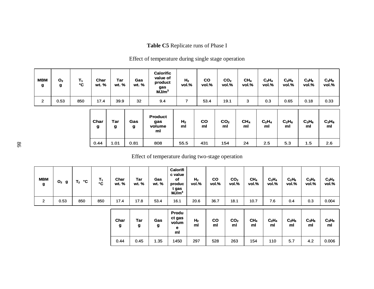### **Table C5** Replicate runs of Phase I

### Effect of temperature during single stage operation

| <b>MBM</b><br>g | O <sub>2</sub><br>g | 11<br>۰c | Char<br>wt. % | Tar<br>wt. % | Gas<br>wt. % | Calorific<br>value of<br>product<br>gas<br>MJ/m <sup>3</sup> | H <sub>2</sub><br>vol.% | CO<br>vol.% | CO <sub>2</sub><br>vol.% | CH <sub>4</sub><br>vol.% | $C_2H_4$<br>vol.% | $C_2H_6$<br>vol.% | $C_3H_6$<br>vol.% | $C_3H_8$<br>vol.% |
|-----------------|---------------------|----------|---------------|--------------|--------------|--------------------------------------------------------------|-------------------------|-------------|--------------------------|--------------------------|-------------------|-------------------|-------------------|-------------------|
| ◠<br>∠          | 0.53                | 850      | 17.4          | 39.9         | 32           | 9.4                                                          |                         | 53.4        | 19.1                     | 3                        | 0.3               | 0.65              | 0.18              | 0.33              |

| Char<br>g | Tar<br>g | Gas<br>g | <b>Product</b><br>gas<br>volume<br>ml | H <sub>2</sub><br>ml | CO<br>ml | CO <sub>2</sub><br>m | CH <sub>4</sub><br>ml | $C_2H_4$<br>ml | $C_2H_6$<br>ml | $C_3H_6$<br>ml | $C_3H_8$<br>ml |
|-----------|----------|----------|---------------------------------------|----------------------|----------|----------------------|-----------------------|----------------|----------------|----------------|----------------|
| 0.44      | 1.01     | 0.81     | 808                                   | 55.5                 | 431      | 154                  | 24                    | 2.5            | 5.3            | 1.5            | 2.6            |

#### Effect of temperature during two-stage operation

| <b>MBM</b><br>g | $O2$ g | °C<br>T <sub>2</sub> | $T_1$<br>۰c | Char<br>wt. % | Tar<br>wt. % | Gas<br>wt. % | Calorifi<br>c value<br>of<br>produc<br>t gas<br>$MJ/m3$ | H <sub>2</sub><br>vol.% | CO<br>vol.%     | CO <sub>2</sub><br>vol.% | CH <sub>4</sub><br>vol.% | $C_2H_4$<br>vol.% | $C_2H_6$<br>vol.% | $C_3H_6$<br>vol.% | $C_3H_8$<br>vol.% |
|-----------------|--------|----------------------|-------------|---------------|--------------|--------------|---------------------------------------------------------|-------------------------|-----------------|--------------------------|--------------------------|-------------------|-------------------|-------------------|-------------------|
| $\mathbf{2}$    | 0.53   | 850                  | 850         | 17.4          | 17.8         | 53.4         | 16.1                                                    | 20.6                    | 36.7            | 18.1                     | 10.7                     | 7.6               | 0.4               | 0.3               | 0.004             |
|                 |        |                      |             | Char<br>g     | Tar<br>g     | Gas<br>g     | Produ<br>ct gas<br>volum<br>е<br>ml                     | H <sub>2</sub><br>ml    | <b>CO</b><br>ml | CO <sub>2</sub><br>ml    | CH <sub>4</sub><br>ml    | $C_2H_4$<br>ml    | $C_2H_6$<br>ml    | $C_3H_6$<br>ml    | $C_3H_8$<br>ml    |
|                 |        |                      |             | 0.44          | 0.45         | 1.35         | 1450                                                    | 297                     | 528             | 263                      | 154                      | 110               | 5.7               | 4.2               | 0.006             |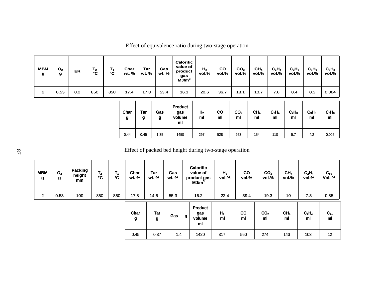| <b>MBM</b><br>g | O <sub>2</sub><br>g | <b>ER</b> | T <sub>2</sub><br>$\mathbf{C}$ | Τ,<br>۰c | Char<br>wt. % | Tar<br>wt. % | <b>Gas</b><br>wt. % | <b>Calorific</b><br>value of<br>product<br>gas<br>MJ/m <sup>3</sup> | H <sub>2</sub><br>vol.% | <b>CO</b><br>vol.% | CO <sub>2</sub><br>vol.% | CH <sub>4</sub><br>vol.% | $C_2H_4$<br>vol.% | $C_2H_6$<br>vol.% | $C_3H_6$<br>vol.% | $C_3H_8$<br>vol.% |
|-----------------|---------------------|-----------|--------------------------------|----------|---------------|--------------|---------------------|---------------------------------------------------------------------|-------------------------|--------------------|--------------------------|--------------------------|-------------------|-------------------|-------------------|-------------------|
| $\overline{2}$  | 0.53                | 0.2       | 850                            | 850      | 17.4          | 17.8         | 53.4                | 16.1                                                                | 20.6                    | 36.7               | 18.1                     | 10.7                     | 7.6               | 0.4               | 0.3               | 0.004             |
|                 |                     |           |                                |          | Char<br>g     | Tar<br>g     | Gas<br>g            | <b>Product</b><br>gas<br>volume<br>ml                               | H <sub>2</sub><br>ml    | co<br>ml           | CO <sub>2</sub><br>ml    | CH <sub>4</sub><br>ml    | $C_2H_4$<br>ml    | $C_2H_6$<br>ml    | $C_3H_6$<br>ml    | $C_3H_8$<br>ml    |
|                 |                     |           |                                |          | 0.44          | 0.45         | 1.35                | 1450                                                                | 297                     | 528                | 263                      | 154                      | 110               | 5.7               | 4.2               | 0.006             |

Effect of equivalence ratio during two-stage operation

Effect of packed bed height during two-stage operation

| <b>MBM</b><br>g | O <sub>2</sub><br>g | Packing<br>height<br>mm | $\mathbf{T_2}$<br>°C | $T_1$<br>°C | Char<br>wt. % | Tar<br>wt. %    | Gas<br>wt. % |      | <b>Calorific</b><br>value of<br>product gas<br>MJ/m <sup>3</sup> | H <sub>2</sub><br>vol.% | $\mathbf{co}$<br>vol.% | CO <sub>2</sub><br>vol.% | CH <sub>4</sub><br>vol.% | $C_2H_4$<br>vol.% | $C_{2+}$<br>Vol. % |
|-----------------|---------------------|-------------------------|----------------------|-------------|---------------|-----------------|--------------|------|------------------------------------------------------------------|-------------------------|------------------------|--------------------------|--------------------------|-------------------|--------------------|
| $\overline{2}$  | 0.53                | 100                     | 850                  | 850         | 17.8          | 14.6            | 55.3         | 16.2 |                                                                  | 22.4                    | 39.4                   | 19.3                     | 10                       | 7.3               | 0.85               |
|                 |                     |                         |                      |             | Char<br>g     | <b>Tar</b><br>g | Gas          | g    | <b>Product</b><br>gas<br>volume<br>ml                            | H <sub>2</sub><br>ml    | co<br>ml               | CO <sub>2</sub><br>ml    | CH <sub>4</sub><br>ml    | $C_2H_4$<br>ml    | $C_{2+}$<br>ml     |
|                 |                     |                         |                      |             | 0.45          | 0.37            | 1.4          |      | 1420                                                             | 317                     | 560                    | 274                      | 143                      | 103               | 12                 |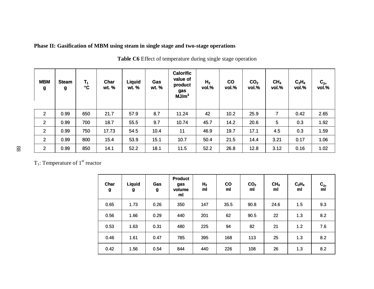### **Phase II: Gasification of MBM using steam in single stage and two-stage operations**

| <b>MBM</b><br>g | <b>Steam</b><br>g | $T_1$<br>°C | Char<br>wt. % | <b>Liquid</b><br>wt. % | Gas<br>wt. % | <b>Calorific</b><br>value of<br>product<br>gas<br>MJ/m <sup>3</sup> | H <sub>2</sub><br>vol.% | co<br>vol.% | CO <sub>2</sub><br>vol.% | CH <sub>4</sub><br>vol.% | $C_2H_4$<br>vol.% | $C_{2+}$<br>vol.% |
|-----------------|-------------------|-------------|---------------|------------------------|--------------|---------------------------------------------------------------------|-------------------------|-------------|--------------------------|--------------------------|-------------------|-------------------|
| $\overline{2}$  | 0.99              | 650         | 21.7          | 57.9                   | 8.7          | 11.24                                                               | 42                      | 10.2        | 25.9                     | 7                        | 0.42              | 2.65              |
| $\overline{2}$  | 0.99              | 700         | 18.7          | 55.5                   | 9.7          | 10.74                                                               | 45.7                    | 14.2        | 20.6                     | 5                        | 0.3               | 1.92              |
| $\overline{2}$  | 0.99              | 750         | 17.73         | 54.5                   | 10.4         | 11                                                                  | 46.9                    | 19.7        | 17.1                     | 4.5                      | 0.3               | 1.59              |
| $\overline{2}$  | 0.99              | 800         | 15.4          | 53.9                   | 15.1         | 10.7                                                                | 50.4                    | 21.5        | 14.4                     | 3.21                     | 0.17              | 1.06              |
| $\overline{2}$  | 0.99              | 850         | 14.1          | 52.2                   | 18.1         | 11.5                                                                | 52.2                    | 26.8        | 12.8                     | 3.12                     | 0.16              | 1.02              |

**Table C6** Effect of temperature during single stage operation

T<sub>1</sub>: Temperature of  $1<sup>st</sup>$  reactor

| Char<br>g | <b>Liquid</b><br>g | Gas<br>g | <b>Product</b><br>gas<br>volume<br>ml | H <sub>2</sub><br>ml | <b>CO</b><br>ml | CO <sub>2</sub><br>ml | CH <sub>4</sub><br>ml | $C_2H_4$<br>ml | $C_{2+}$<br>ml |
|-----------|--------------------|----------|---------------------------------------|----------------------|-----------------|-----------------------|-----------------------|----------------|----------------|
| 0.65      | 1.73               | 0.26     | 350                                   | 147                  | 35.5            | 90.8                  | 24.6                  | 1.5            | 9.3            |
| 0.56      | 1.66               | 0.29     | 440                                   | 201                  | 62              | 90.5                  | 22                    | 1.3            | 8.2            |
| 0.53      | 1.63               | 0.31     | 480                                   | 225                  | 94              | 82                    | 21                    | 1.2            | 7.6            |
| 0.46      | 1.61               | 0.47     | 785                                   | 395                  | 168             | 113                   | 25                    | 1.3            | 8.2            |
| 0.42      | 1.56               | 0.54     | 844                                   | 440                  | 226             | 108                   | 26                    | 1.3            | 8.2            |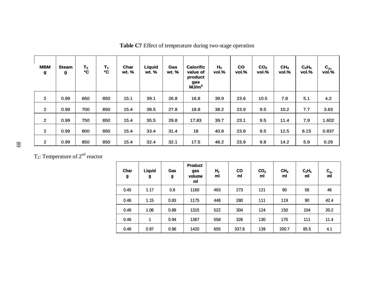| <b>MBM</b><br>g | <b>Steam</b><br>g | T <sub>2</sub><br>$\mathbf{C}$ | $T_1$<br>$\mathbf{C}$ | Char<br>wt. % | Liquid<br>wt. % | Gas<br>wt. % | <b>Calorific</b><br>value of<br>product<br>gas<br>MJ/m <sup>3</sup> | H <sub>2</sub><br>vol.% | CO<br>vol.% | CO <sub>2</sub><br>vol.% | CH <sub>4</sub><br>vol.% | $C_2H_4$<br>vol.% | $C_{2+}$<br>vol.% |
|-----------------|-------------------|--------------------------------|-----------------------|---------------|-----------------|--------------|---------------------------------------------------------------------|-------------------------|-------------|--------------------------|--------------------------|-------------------|-------------------|
| $\overline{2}$  | 0.99              | 650                            | 850                   | 15.1          | 39.1            | 26.8         | 16.8                                                                | 39.9                    | 23.6        | 10.5                     | 7.8                      | 5.1               | 4.2               |
| $\overline{2}$  | 0.99              | 700                            | 850                   | 15.4          | 38.5            | 27.8         | 18.8                                                                | 38.2                    | 23.9        | 9.5                      | 10.2                     | 7.7               | 3.63              |
| $\overline{2}$  | 0.99              | 750                            | 850                   | 15.4          | 35.5            | 29.8         | 17.83                                                               | 39.7                    | 23.1        | 9.5                      | 11.4                     | 7.9               | 1.602             |
| $\overline{2}$  | 0.99              | 800                            | 850                   | 15.4          | 33.4            | 31.4         | 18                                                                  | 40.8                    | 23.8        | 9.5                      | 12.5                     | 8.15              | 0.837             |
| $\overline{2}$  | 0.99              | 850                            | 850                   | 15.4          | 32.4            | 32.1         | 17.5                                                                | 46.2                    | 23.9        | 9.8                      | 14.2                     | 5.9               | 0.29              |

**Table C7** Effect of temperature during two-stage operation

T<sub>2</sub>: Temperature of  $2<sup>nd</sup>$  reactor

| Char<br>g | <b>Liquid</b><br>g | Gas<br>g | <b>Product</b><br>gas<br>volume<br>ml | H <sub>2</sub><br>ml | <b>CO</b><br>ml | CO <sub>2</sub><br>ml | CH <sub>4</sub><br>ml | $C_2H_4$<br>ml | $C_{2+}$<br>ml |
|-----------|--------------------|----------|---------------------------------------|----------------------|-----------------|-----------------------|-----------------------|----------------|----------------|
| 0.45      | 1.17               | 0.8      | 1160                                  | 463                  | 273             | 121                   | 90                    | 58             | 46             |
| 0.46      | 1.15               | 0.83     | 1175                                  | 448                  | 280             | 111                   | 119                   | 90             | 42.4           |
| 0.46      | 1.06               | 0.89     | 1315                                  | 522                  | 304             | 124                   | 150                   | 104            | 20.2           |
| 0.46      | $\mathbf 1$        | 0.94     | 1367                                  | 558                  | 326             | 130                   | 170                   | 111            | 11.4           |
| 0.46      | 0.97               | 0.96     | 1420                                  | 655                  | 337.8           | 139                   | 200.7                 | 85.5           | 4.1            |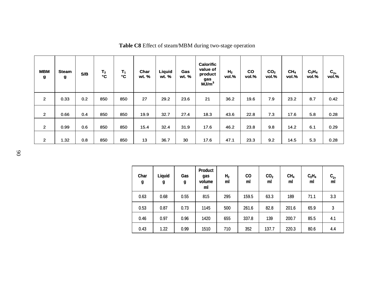| <b>MBM</b><br>g | <b>Steam</b><br>g | S/B | $T_{2}$<br>$\mathbf{C}$ | $T_1$<br>$\mathbf{C}$ | Char<br>wt. % | Liquid<br>wt. % | Gas<br>wt. % | <b>Calorific</b><br>value of<br>product<br>gas<br>MJ/m <sup>3</sup> | H <sub>2</sub><br>vol.% | <b>CO</b><br>vol.% | CO <sub>2</sub><br>vol.% | CH <sub>4</sub><br>vol.% | $C_2H_4$<br>vol.% | $\mathbf{C_{2+}}$<br>vol.% |
|-----------------|-------------------|-----|-------------------------|-----------------------|---------------|-----------------|--------------|---------------------------------------------------------------------|-------------------------|--------------------|--------------------------|--------------------------|-------------------|----------------------------|
| $\overline{2}$  | 0.33              | 0.2 | 850                     | 850                   | 27            | 29.2            | 23.6         | 21                                                                  | 36.2                    | 19.6               | 7.9                      | 23.2                     | 8.7               | 0.42                       |
| $\overline{2}$  | 0.66              | 0.4 | 850                     | 850                   | 19.9          | 32.7            | 27.4         | 18.3                                                                | 43.6                    | 22.8               | 7.3                      | 17.6                     | 5.8               | 0.28                       |
| $\overline{2}$  | 0.99              | 0.6 | 850                     | 850                   | 15.4          | 32.4            | 31.9         | 17.6                                                                | 46.2                    | 23.8               | 9.8                      | 14.2                     | 6.1               | 0.29                       |
| $\mathbf{2}$    | 1.32              | 0.8 | 850                     | 850                   | 13            | 36.7            | 30           | 17.6                                                                | 47.1                    | 23.3               | 9.2                      | 14.5                     | 5.3               | 0.28                       |

**Table C8** Effect of steam/MBM during two-stage operation

| Char<br>g | Liquid<br>g | Gas<br>g | <b>Product</b><br>gas<br>volume<br>ml | H <sub>2</sub><br>ml | <b>CO</b><br>ml | CO <sub>2</sub><br>ml | CH <sub>4</sub><br>ml | C <sub>2</sub> H <sub>4</sub><br>ml | $C_{2+}$<br>ml |
|-----------|-------------|----------|---------------------------------------|----------------------|-----------------|-----------------------|-----------------------|-------------------------------------|----------------|
| 0.63      | 0.68        | 0.55     | 815                                   | 295                  | 159.5           | 63.3                  | 189                   | 71.1                                | 3.3            |
| 0.53      | 0.87        | 0.73     | 1145                                  | 500                  | 261.6           | 82.8                  | 201.6                 | 65.9                                | 3              |
| 0.46      | 0.97        | 0.96     | 1420                                  | 655                  | 337.8           | 139                   | 200.7                 | 85.5                                | 4.1            |
| 0.43      | 1.22        | 0.99     | 1510                                  | 710                  | 352             | 137.7                 | 220.3                 | 80.6                                | 4.4            |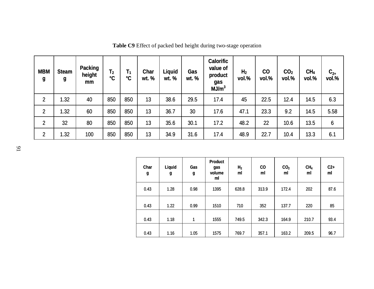| <b>MBM</b><br>$\boldsymbol{g}$ | <b>Steam</b><br>g | <b>Packing</b><br>height<br>mm | T <sub>2</sub><br>$\mathbf{C}$ | $T_1$<br>$\mathbf{C}$ | <b>Char</b><br>wt. % | <b>Liquid</b><br>wt. % | Gas<br>wt. % | <b>Calorific</b><br>value of<br>product<br>gas<br>MJ/m <sup>3</sup> | H <sub>2</sub><br>vol.% | $\mathbf{C}\mathbf{O}$<br>vol.% | CO <sub>2</sub><br>vol.% | CH <sub>4</sub><br>vol.% | $C_{2+}$<br>vol.% |
|--------------------------------|-------------------|--------------------------------|--------------------------------|-----------------------|----------------------|------------------------|--------------|---------------------------------------------------------------------|-------------------------|---------------------------------|--------------------------|--------------------------|-------------------|
| $\overline{2}$                 | 1.32              | 40                             | 850                            | 850                   | 13                   | 38.6                   | 29.5         | 17.4                                                                | 45                      | 22.5                            | 12.4                     | 14.5                     | 6.3               |
| $\overline{2}$                 | 1.32              | 60                             | 850                            | 850                   | 13                   | 36.7                   | 30           | 17.6                                                                | 47.1                    | 23.3                            | 9.2                      | 14.5                     | 5.58              |
| $\overline{2}$                 | 32                | 80                             | 850                            | 850                   | 13                   | 35.6                   | 30.1         | 17.2                                                                | 48.2                    | 22                              | 10.6                     | 13.5                     | 6                 |
| $\overline{2}$                 | 1.32              | 100                            | 850                            | 850                   | 13                   | 34.9                   | 31.6         | 17.4                                                                | 48.9                    | 22.7                            | 10.4                     | 13.3                     | 6.1               |

**Table C9** Effect of packed bed height during two-stage operation

| Char<br>g | <b>Liquid</b><br>g | Gas<br>g | <b>Product</b><br>gas<br>volume<br>ml | H <sub>2</sub><br>ml | <b>CO</b><br>ml | CO <sub>2</sub><br>ml | CH <sub>4</sub><br>ml | $C2+$<br>ml |
|-----------|--------------------|----------|---------------------------------------|----------------------|-----------------|-----------------------|-----------------------|-------------|
| 0.43      | 1.28               | 0.98     | 1395                                  | 628.8                | 313.9           | 172.4                 | 202                   | 87.6        |
| 0.43      | 1.22               | 0.99     | 1510                                  | 710                  | 352             | 137.7                 | 220                   | 85          |
| 0.43      | 1.18               | 1        | 1555                                  | 749.5                | 342.3           | 164.9                 | 210.7                 | 93.4        |
| 0.43      | 1.16               | 1.05     | 1575                                  | 769.7                | 357.1           | 163.2                 | 209.5                 | 96.7        |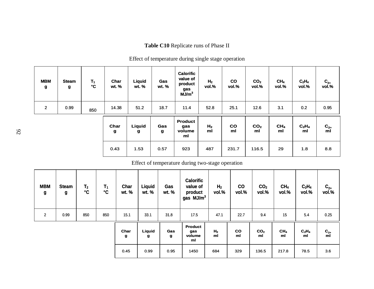### **Table C10** Replicate runs of Phase II

## Effect of temperature during single stage operation

| <b>MBM</b><br>$\boldsymbol{g}$ | <b>Steam</b><br>g | $T_1$<br>$\mathbf{C}$ | Char<br>wt. %        | Liquid<br>wt. %    | Gas<br>wt. %        | <b>Calorific</b><br>value of<br>product<br>gas<br>MJ/m <sup>3</sup> | H <sub>2</sub><br>vol.% | co<br>vol.%     | CO <sub>2</sub><br>vol.% | CH <sub>4</sub><br>vol.% | $C_2H_4$<br>vol.% | $C_{2+}$<br>vol.% |
|--------------------------------|-------------------|-----------------------|----------------------|--------------------|---------------------|---------------------------------------------------------------------|-------------------------|-----------------|--------------------------|--------------------------|-------------------|-------------------|
| $\overline{2}$                 | 0.99              | 850                   | 14.38                | 51.2               | 18.7                | 11.4                                                                | 52.8                    | 25.1            | 12.6                     | 3.1                      | 0.2               | 0.95              |
|                                |                   |                       | Char<br>$\mathbf{g}$ | <b>Liquid</b><br>g | Gas<br>$\mathbf{g}$ | <b>Product</b><br>gas<br>volume<br>ml                               | H <sub>2</sub><br>ml    | <b>CO</b><br>ml | CO <sub>2</sub><br>ml    | CH <sub>4</sub><br>ml    | $C_2H_4$<br>ml    | $C_{2+}$<br>ml    |
|                                |                   |                       | 0.43                 | 1.53               | 0.57                | 923                                                                 | 487                     | 231.7           | 116.5                    | 29                       | 1.8               | 8.8               |

### Effect of temperature during two-stage operation

| <b>MBM</b><br>g | <b>Steam</b><br>g | T <sub>2</sub><br>$\mathbf{C}$ | $T_1$<br>$\mathbf{C}$ | Char<br>wt. % | <b>Liquid</b><br>wt. % | Gas<br>wt. % | <b>Calorific</b><br>value of<br>product<br>gas MJ/m <sup>3</sup> | H <sub>2</sub><br>vol.% | co<br>vol.% | CO <sub>2</sub><br>vol.% | CH <sub>4</sub><br>vol.% | $C_2H_4$<br>vol.%                   | $C_{2+}$<br>vol.% |
|-----------------|-------------------|--------------------------------|-----------------------|---------------|------------------------|--------------|------------------------------------------------------------------|-------------------------|-------------|--------------------------|--------------------------|-------------------------------------|-------------------|
| $\overline{2}$  | 0.99              | 850                            | 850                   | 15.1          | 33.1                   | 31.8         | 17.5                                                             | 47.1                    | 22.7        | 9.4                      | 15                       | 5.4                                 | 0.25              |
|                 |                   |                                |                       | Char<br>g     | Liquid<br>g            | Gas<br>g     | <b>Product</b><br>gas<br>volume<br>ml                            | H <sub>2</sub><br>ml    | co<br>ml    | CO <sub>2</sub><br>ml    | CH <sub>4</sub><br>ml    | C <sub>2</sub> H <sub>4</sub><br>ml | $C_{2+}$<br>ml    |
|                 |                   |                                |                       | 0.45          | 0.99                   | 0.95         | 1450                                                             | 684                     | 329         | 136.5                    | 217.8                    | 78.5                                | 3.6               |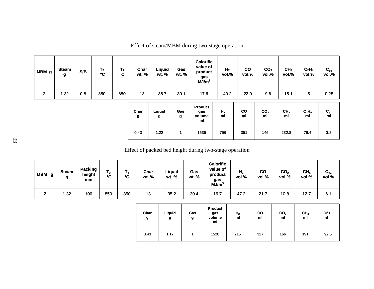| MBM <sub>g</sub> | <b>Steam</b><br>$\mathbf{g}$ | S/B | T <sub>2</sub><br>°C | $T_1$<br>$\mathbf{C}$ | Char<br>wt. %        | <b>Liquid</b><br>wt. % | Gas<br>wt. % | <b>Calorific</b><br>value of<br>product<br>gas<br>MJ/m <sup>3</sup> | H <sub>2</sub><br>vol.% | $\mathbf{co}$<br>vol.% | CO <sub>2</sub><br>vol.% | CH <sub>4</sub><br>vol.% | $C_2H_4$<br>vol.% | $C_{2+}$<br>vol.%      |
|------------------|------------------------------|-----|----------------------|-----------------------|----------------------|------------------------|--------------|---------------------------------------------------------------------|-------------------------|------------------------|--------------------------|--------------------------|-------------------|------------------------|
| $\overline{2}$   | 1.32                         | 0.8 | 850                  | 850                   | 13                   | 36.7                   | 30.1         | 17.6                                                                | 49.2                    | 22.9                   | 9.6                      | 15.1                     | 5                 | 0.25                   |
|                  |                              |     |                      |                       | Char<br>$\mathbf{g}$ | Liquid<br>g            | Gas<br>g     | <b>Product</b><br>gas<br>volume<br>ml                               | H <sub>2</sub><br>ml    | $\mathsf{co}$<br>ml    | CO <sub>2</sub><br>ml    | CH <sub>4</sub><br>ml    | $C_2H_4$<br>ml    | $C_{2+}$ <sub>ml</sub> |
|                  |                              |     |                      |                       | 0.43                 | 1.22                   | 1            | 1535                                                                | 756                     | 351                    | 146                      | 232.8                    | 76.4              | 3.8                    |

Effect of steam/MBM during two-stage operation

Effect of packed bed height during two-stage operation

| MBM <sub>g</sub> | <b>Steam</b> | <b>Packing</b><br>height<br>mm | T <sub>2</sub><br>۰c | ℃   | Char<br>wt. % | Liquid<br>wt. % | Gas<br>wt. % | <b>Calorific</b><br>value of<br>product<br>gas<br>MJ/m <sup>3</sup> | H <sub>2</sub><br>vol.% | <b>CO</b><br>vol.% | CO <sub>2</sub><br>vol.% | CH <sub>4</sub><br>vol.% | ∼<br>$\mathbf{v}_{2+}$<br>vol.% |
|------------------|--------------|--------------------------------|----------------------|-----|---------------|-----------------|--------------|---------------------------------------------------------------------|-------------------------|--------------------|--------------------------|--------------------------|---------------------------------|
| ◠                | .32          | 100                            | 850                  | 850 | 13            | 35.2            | 30.4         | 16.7                                                                | 47.2                    | 21.7               | 10.8                     | 12.7                     | 6.1                             |

| Char<br>g | Liquid<br>g | Gas<br>g | <b>Product</b><br>gas<br>volume<br>ml | H <sub>2</sub><br>ml | <b>CO</b><br>ml | CO <sub>2</sub><br>ml | CH <sub>4</sub><br>ml | $C2+$<br>ml |
|-----------|-------------|----------|---------------------------------------|----------------------|-----------------|-----------------------|-----------------------|-------------|
| 0.43      | 1.17        |          | 1520                                  | 715                  | 327             | 166                   | 191                   | 92.5        |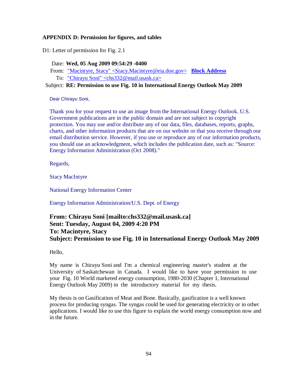### **APPENDIX D: Permission for figures, and tables**

D1: Letter of permission for Fig. 2.1

Date: **Wed, 05 Aug 2009 09:54:29 -0400**

- From: "Macintyre, Stacy" <Stacy.Macintyre@eia.doe.gov> **Block Address**
- To: "Chirayu Soni" <chs332@mail.usask.ca>

## Subject: **RE: Permission to use Fig. 10 in International Energy Outlook May 2009**

Dear Chirayu Soni,

Thank you for your request to use an image from the International Energy Outlook. U.S. Government publications are in the public domain and are not subject to copyright protection. You may use and/or distribute any of our data, files, databases, reports, graphs, charts, and other information products that are on our website or that you receive through our email distribution service. However, if you use or reproduce any of our information products, you should use an acknowledgment, which includes the publication date, such as: "Source: Energy Information Administration (Oct 2008)."

Regards,

Stacy MacIntyre

National Energy Information Center

Energy Information Administration/U.S. Dept. of Energy

# **From: Chirayu Soni [mailto:chs332@mail.usask.ca] Sent: Tuesday, August 04, 2009 4:20 PM To: Macintyre, Stacy Subject: Permission to use Fig. 10 in International Energy Outlook May 2009**

Hello,

My name is Chirayu Soni and I'm a chemical engineering master's student at the University of Saskatchewan in Canada. I would like to have your permission to use your Fig. 10 World marketed energy consumption, 1980-2030 (Chapter 1, International Energy Outlook May 2009) in the introductory material for my thesis.

My thesis is on Gasification of Meat and Bone. Basically, gasification is a well known process for producing syngas. The syngas could be used for generating electricity or in other applications. I would like to use this figure to explain the world energy consumption now and in the future.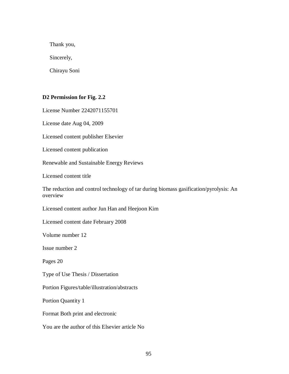Thank you,

Sincerely,

Chirayu Soni

## **D2 Permission for Fig. 2.2**

License Number 2242071155701

License date Aug 04, 2009

Licensed content publisher Elsevier

Licensed content publication

Renewable and Sustainable Energy Reviews

Licensed content title

The reduction and control technology of tar during biomass gasification/pyrolysis: An overview

Licensed content author Jun Han and Heejoon Kim

Licensed content date February 2008

Volume number 12

Issue number 2

Pages 20

Type of Use Thesis / Dissertation

Portion Figures/table/illustration/abstracts

Portion Quantity 1

Format Both print and electronic

You are the author of this Elsevier article No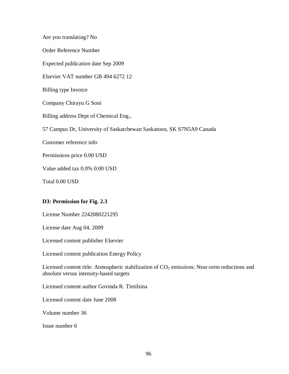Are you translating? No Order Reference Number Expected publication date Sep 2009 Elsevier VAT number GB 494 6272 12 Billing type Invoice Company Chirayu G Soni Billing address Dept of Chemical Eng., 57 Campus Dr, University of Saskatchewan Saskatoon, SK S7N5A9 Canada Customer reference info Permissions price 0.00 USD Value added tax 0.0% 0.00 USD Total 0.00 USD

## **D3: Permission for Fig. 2.3**

License Number 2242080221295

License date Aug 04, 2009

Licensed content publisher Elsevier

Licensed content publication Energy Policy

Licensed content title: Atmospheric stabilization of  $CO<sub>2</sub>$  emissions: Near-term reductions and absolute versus intensity-based targets

Licensed content author Govinda R. Timilsina

Licensed content date June 2008

Volume number 36

Issue number 6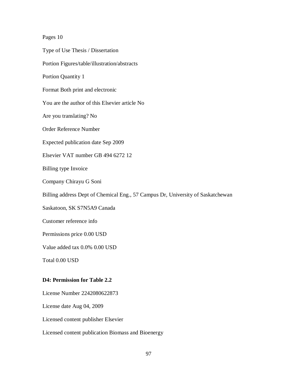### Pages 10

Type of Use Thesis / Dissertation

Portion Figures/table/illustration/abstracts

Portion Quantity 1

Format Both print and electronic

You are the author of this Elsevier article No

Are you translating? No

Order Reference Number

Expected publication date Sep 2009

Elsevier VAT number GB 494 6272 12

Billing type Invoice

Company Chirayu G Soni

Billing address Dept of Chemical Eng., 57 Campus Dr, University of Saskatchewan

Saskatoon, SK S7N5A9 Canada

Customer reference info

Permissions price 0.00 USD

Value added tax 0.0% 0.00 USD

Total 0.00 USD

#### **D4: Permission for Table 2.2**

License Number 2242080622873

License date Aug 04, 2009

Licensed content publisher Elsevier

Licensed content publication Biomass and Bioenergy